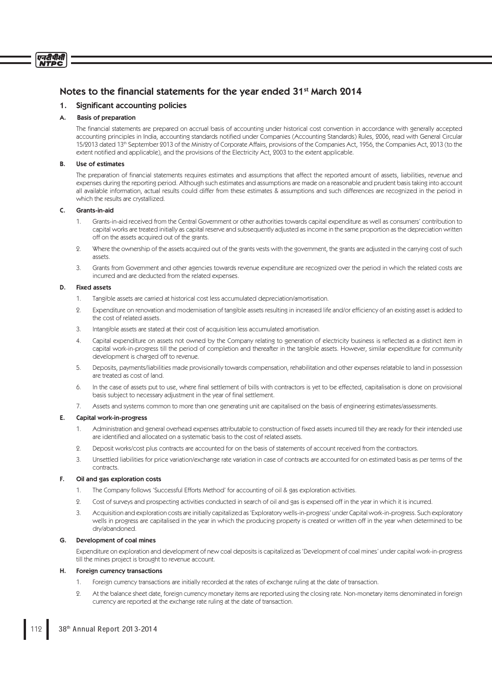# Notes to the financial statements for the year ended 31<sup>st</sup> March 2014

# 1. Significant accounting policies

# A. Basis of preparation

एनटीपीसी **NTDC** 

> The financial statements are prepared on accrual basis of accounting under historical cost convention in accordance with generally accepted accounting principles in India, accounting standards notified under Companies (Accounting Standards) Rules, 2006, read with General Circular 15/2013 dated 13<sup>th</sup> September 2013 of the Ministry of Corporate Affairs, provisions of the Companies Act, 1956, the Companies Act, 2013 (to the extent notified and applicable), and the provisions of the Electricity Act, 2003 to the extent applicable.

## B. Use of estimates

The preparation of financial statements requires estimates and assumptions that affect the reported amount of assets, liabilities, revenue and expenses during the reporting period. Although such estimates and assumptions are made on a reasonable and prudent basis taking into account all available information, actual results could differ from these estimates & assumptions and such differences are recognized in the period in which the results are crystallized.

## C. Grants-in-aid

- 1. Grants-in-aid received from the Central Government or other authorities towards capital expenditure as well as consumers' contribution to capital works are treated initially as capital reserve and subsequently adjusted as income in the same proportion as the depreciation written off on the assets acquired out of the grants.
- 2. Where the ownership of the assets acquired out of the grants vests with the government, the grants are adjusted in the carrying cost of such assets.
- 3. Grants from Government and other agencies towards revenue expenditure are recognized over the period in which the related costs are incurred and are deducted from the related expenses.

## D. Fixed assets

- 1. Tangible assets are carried at historical cost less accumulated depreciation/amortisation.
- 2. Expenditure on renovation and modernisation of tangible assets resulting in increased life and/or efficiency of an existing asset is added to the cost of related assets.
- 3. Intangible assets are stated at their cost of acquisition less accumulated amortisation.
- 4. Capital expenditure on assets not owned by the Company relating to generation of electricity business is reflected as a distinct item in capital work-in-progress till the period of completion and thereafter in the tangible assets. However, similar expenditure for community development is charged off to revenue.
- 5. Deposits, payments/liabilities made provisionally towards compensation, rehabilitation and other expenses relatable to land in possession are treated as cost of land.
- 6. In the case of assets put to use, where final settlement of bills with contractors is yet to be effected, capitalisation is done on provisional basis subject to necessary adjustment in the year of final settlement.
- 7. Assets and systems common to more than one generating unit are capitalised on the basis of engineering estimates/assessments.

## E. Capital work-in-progress

- 1. Administration and general overhead expenses attributable to construction of fixed assets incurred till they are ready for their intended use are identified and allocated on a systematic basis to the cost of related assets.
- 2. Deposit works/cost plus contracts are accounted for on the basis of statements of account received from the contractors.
- Unsettled liabilities for price variation/exchange rate variation in case of contracts are accounted for on estimated basis as per terms of the contracts.

## F. Oil and gas exploration costs

- 1. The Company follows 'Successful Efforts Method' for accounting of oil & gas exploration activities.
- 2. Cost of surveys and prospecting activities conducted in search of oil and gas is expensed off in the year in which it is incurred.
- 3. Acquisition and exploration costs are initially capitalized as 'Exploratory wells-in-progress' under Capital work-in-progress. Such exploratory wells in progress are capitalised in the year in which the producing property is created or written off in the year when determined to be dry/abandoned.

### G. Development of coal mines

 Expenditure on exploration and development of new coal deposits is capitalized as 'Development of coal mines' under capital work-in-progress till the mines project is brought to revenue account.

## H. Foreign currency transactions

- 1. Foreign currency transactions are initially recorded at the rates of exchange ruling at the date of transaction.
- 2. At the balance sheet date, foreign currency monetary items are reported using the closing rate. Non-monetary items denominated in foreign currency are reported at the exchange rate ruling at the date of transaction.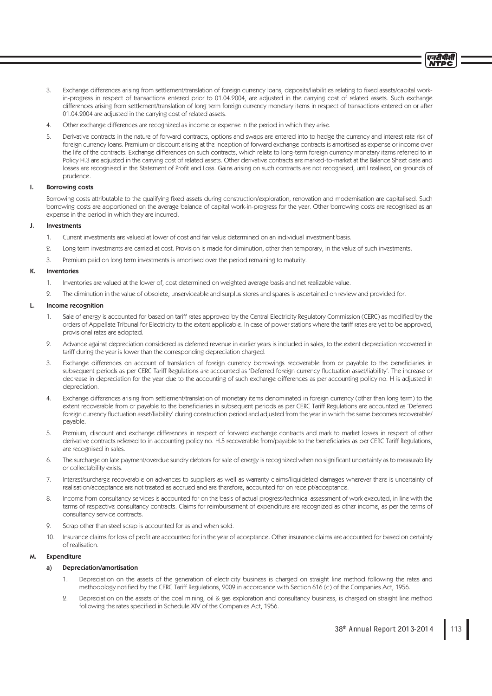- 3. Exchange differences arising from settlement/translation of foreign currency loans, deposits/liabilities relating to fixed assets/capital workin-progress in respect of transactions entered prior to 01.04.2004, are adjusted in the carrying cost of related assets. Such exchange differences arising from settlement/translation of long term foreign currency monetary items in respect of transactions entered on or after 01.04.2004 are adjusted in the carrying cost of related assets.
- 4. Other exchange differences are recognized as income or expense in the period in which they arise.
- 5. Derivative contracts in the nature of forward contracts, options and swaps are entered into to hedge the currency and interest rate risk of foreign currency loans. Premium or discount arising at the inception of forward exchange contracts is amortised as expense or income over the life of the contracts. Exchange differences on such contracts, which relate to long-term foreign currency monetary items referred to in Policy H.3 are adjusted in the carrying cost of related assets. Other derivative contracts are marked-to-market at the Balance Sheet date and losses are recognised in the Statement of Profit and Loss. Gains arising on such contracts are not recognised, until realised, on grounds of prudence.

## I. Borrowing costs

Borrowing costs attributable to the qualifying fixed assets during construction/exploration, renovation and modernisation are capitalised. Such borrowing costs are apportioned on the average balance of capital work-in-progress for the year. Other borrowing costs are recognised as an expense in the period in which they are incurred.

## J. Investments

- 1. Current investments are valued at lower of cost and fair value determined on an individual investment basis.
- 2. Long term investments are carried at cost. Provision is made for diminution, other than temporary, in the value of such investments.
- 3. Premium paid on long term investments is amortised over the period remaining to maturity.

#### K. Inventories

- 1. Inventories are valued at the lower of, cost determined on weighted average basis and net realizable value.
- 2. The diminution in the value of obsolete, unserviceable and surplus stores and spares is ascertained on review and provided for.

## L. Income recognition

- 1. Sale of energy is accounted for based on tariff rates approved by the Central Electricity Regulatory Commission (CERC) as modified by the orders of Appellate Tribunal for Electricity to the extent applicable. In case of power stations where the tariff rates are yet to be approved, provisional rates are adopted.
- 2. Advance against depreciation considered as deferred revenue in earlier years is included in sales, to the extent depreciation recovered in tariff during the year is lower than the corresponding depreciation charged.
- 3. Exchange differences on account of translation of foreign currency borrowings recoverable from or payable to the beneficiaries in subsequent periods as per CERC Tariff Regulations are accounted as 'Deferred foreign currency fluctuation asset/liability'. The increase or decrease in depreciation for the year due to the accounting of such exchange differences as per accounting policy no. H is adjusted in depreciation.
- 4. Exchange differences arising from settlement/translation of monetary items denominated in foreign currency (other than long term) to the extent recoverable from or payable to the beneficiaries in subsequent periods as per CERC Tariff Regulations are accounted as 'Deferred foreign currency fluctuation asset/liability' during construction period and adjusted from the year in which the same becomes recoverable/ payable.
- 5. Premium, discount and exchange differences in respect of forward exchange contracts and mark to market losses in respect of other derivative contracts referred to in accounting policy no. H.5 recoverable from/payable to the beneficiaries as per CERC Tariff Regulations, are recognised in sales.
- 6. The surcharge on late payment/overdue sundry debtors for sale of energy is recognized when no significant uncertainty as to measurability or collectability exists.
- 7. Interest/surcharge recoverable on advances to suppliers as well as warranty claims/liquidated damages wherever there is uncertainty of realisation/acceptance are not treated as accrued and are therefore, accounted for on receipt/acceptance.
- 8. Income from consultancy services is accounted for on the basis of actual progress/technical assessment of work executed, in line with the terms of respective consultancy contracts. Claims for reimbursement of expenditure are recognized as other income, as per the terms of consultancy service contracts.
- 9. Scrap other than steel scrap is accounted for as and when sold.
- 10. Insurance claims for loss of profi t are accounted for in the year of acceptance. Other insurance claims are accounted for based on certainty of realisation.

# Expenditure

## a) Depreciation/amortisation

- Depreciation on the assets of the generation of electricity business is charged on straight line method following the rates and methodology notified by the CERC Tariff Regulations, 2009 in accordance with Section 616 (c) of the Companies Act, 1956.
- 2. Depreciation on the assets of the coal mining, oil & gas exploration and consultancy business, is charged on straight line method following the rates specified in Schedule XIV of the Companies Act, 1956.

एनटीपीसी NTDC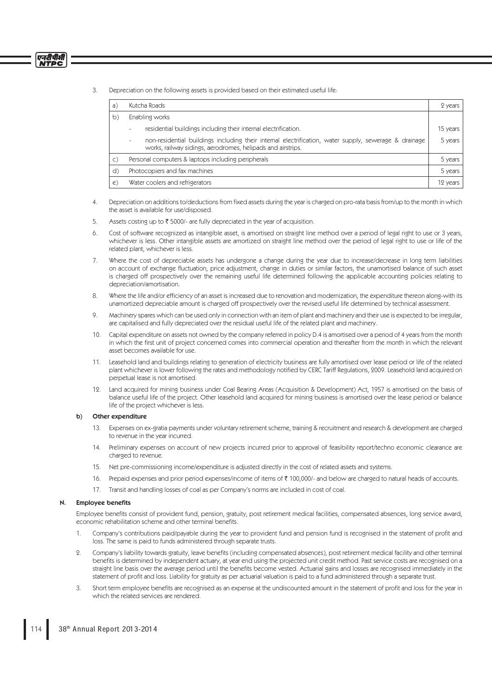3. Depreciation on the following assets is provided based on their estimated useful life:

| a) | Kutcha Roads                                                                                                                                                                                     | 2 years  |
|----|--------------------------------------------------------------------------------------------------------------------------------------------------------------------------------------------------|----------|
| b) | Enabling works                                                                                                                                                                                   |          |
|    | residential buildings including their internal electrification.<br>-                                                                                                                             | 15 years |
|    | non-residential buildings including their internal electrification, water supply, sewerage & drainage<br>$\overline{\phantom{m}}$<br>works, railway sidings, aerodromes, helipads and airstrips. | 5 years  |
| C) | Personal computers & laptops including peripherals                                                                                                                                               | 5 years  |
| d) | Photocopiers and fax machines                                                                                                                                                                    | 5 years  |
| e) | Water coolers and refrigerators                                                                                                                                                                  | 12 years |

- 4. Depreciation on additions to/deductions from fixed assets during the year is charged on pro-rata basis from/up to the month in which the asset is available for use/disposed.
- 5. Assets costing up to  $\bar{\tau}$  5000/- are fully depreciated in the year of acquisition.
- 6. Cost of software recognized as intangible asset, is amortised on straight line method over a period of legal right to use or 3 years, whichever is less. Other intangible assets are amortized on straight line method over the period of legal right to use or life of the related plant, whichever is less.
- 7. Where the cost of depreciable assets has undergone a change during the year due to increase/decrease in long term liabilities on account of exchange fluctuation, price adjustment, change in duties or similar factors, the unamortised balance of such asset is charged off prospectively over the remaining useful life determined following the applicable accounting policies relating to depreciation/amortisation.
- 8. Where the life and/or efficiency of an asset is increased due to renovation and modernization, the expenditure thereon along-with its unamortized depreciable amount is charged off prospectively over the revised useful life determined by technical assessment.
- 9. Machinery spares which can be used only in connection with an item of plant and machinery and their use is expected to be irregular, are capitalised and fully depreciated over the residual useful life of the related plant and machinery.
- 10. Capital expenditure on assets not owned by the company referred in policy D.4 is amortised over a period of 4 years from the month in which the first unit of project concerned comes into commercial operation and thereafter from the month in which the relevant asset becomes available for use.
- 11. Leasehold land and buildings relating to generation of electricity business are fully amortised over lease period or life of the related plant whichever is lower following the rates and methodology notified by CERC Tariff Regulations, 2009. Leasehold land acquired on perpetual lease is not amortised.
- 12. Land acquired for mining business under Coal Bearing Areas (Acquisition & Development) Act, 1957 is amortised on the basis of balance useful life of the project. Other leasehold land acquired for mining business is amortised over the lease period or balance life of the project whichever is less.

# b) Other expenditure

एनदीपीसी **NTPC** 

- 13. Expenses on ex-gratia payments under voluntary retirement scheme, training & recruitment and research & development are charged to revenue in the year incurred.
- 14. Preliminary expenses on account of new projects incurred prior to approval of feasibility report/techno economic clearance are charged to revenue.
- 15. Net pre-commissioning income/expenditure is adjusted directly in the cost of related assets and systems.
- 16. Prepaid expenses and prior period expenses/income of items of ₹ 100,000/- and below are charged to natural heads of accounts.
- 17. Transit and handling losses of coal as per Company's norms are included in cost of coal.

## N. Employee benefits

Employee benefits consist of provident fund, pension, gratuity, post retirement medical facilities, compensated absences, long service award, economic rehabilitation scheme and other terminal benefits.

- Company's contributions paid/payable during the year to provident fund and pension fund is recognised in the statement of profit and loss. The same is paid to funds administered through separate trusts.
- 2. Company's liability towards gratuity, leave benefits (including compensated absences), post retirement medical facility and other terminal benefits is determined by independent actuary, at year end using the projected unit credit method. Past service costs are recognised on a straight line basis over the average period until the benefits become vested. Actuarial gains and losses are recognised immediately in the statement of profit and loss. Liability for gratuity as per actuarial valuation is paid to a fund administered through a separate trust.
- 3. Short term employee benefits are recognised as an expense at the undiscounted amount in the statement of profit and loss for the year in which the related services are rendered.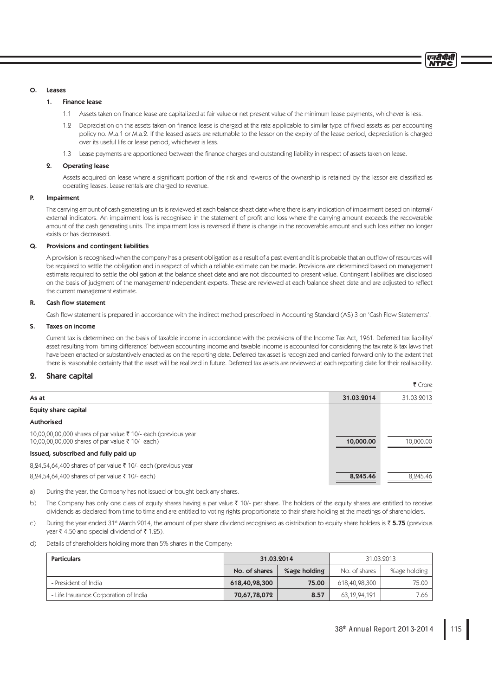एनटीपीसी **NTDC** 

## O. Leases

## 1. Finance lease

- 1.1 Assets taken on finance lease are capitalized at fair value or net present value of the minimum lease payments, whichever is less.
- 1.2 Depreciation on the assets taken on finance lease is charged at the rate applicable to similar type of fixed assets as per accounting policy no. M.a.1 or M.a.2. If the leased assets are returnable to the lessor on the expiry of the lease period, depreciation is charged over its useful life or lease period, whichever is less.
- 1.3 Lease payments are apportioned between the finance charges and outstanding liability in respect of assets taken on lease.

#### 2. Operating lease

Assets acquired on lease where a significant portion of the risk and rewards of the ownership is retained by the lessor are classified as operating leases. Lease rentals are charged to revenue.

## P. Impairment

 The carrying amount of cash generating units is reviewed at each balance sheet date where there is any indication of impairment based on internal/ external indicators. An impairment loss is recognised in the statement of profi t and loss where the carrying amount exceeds the recoverable amount of the cash generating units. The impairment loss is reversed if there is change in the recoverable amount and such loss either no longer exists or has decreased.

### Q. Provisions and contingent liabilities

A provision is recognised when the company has a present obligation as a result of a past event and it is probable that an outflow of resources will be required to settle the obligation and in respect of which a reliable estimate can be made. Provisions are determined based on management estimate required to settle the obligation at the balance sheet date and are not discounted to present value. Contingent liabilities are disclosed on the basis of judgment of the management/independent experts. These are reviewed at each balance sheet date and are adjusted to reflect the current management estimate.

# R Cash flow statement

Cash flow statement is prepared in accordance with the indirect method prescribed in Accounting Standard (AS) 3 on 'Cash Flow Statements'.

#### S. Taxes on income

 Current tax is determined on the basis of taxable income in accordance with the provisions of the Income Tax Act, 1961. Deferred tax liability/ asset resulting from 'timing difference' between accounting income and taxable income is accounted for considering the tax rate & tax laws that have been enacted or substantively enacted as on the reporting date. Deferred tax asset is recognized and carried forward only to the extent that there is reasonable certainty that the asset will be realized in future. Deferred tax assets are reviewed at each reporting date for their realisability.

# 2. Share capital

|            | ₹ Crore    |  |
|------------|------------|--|
| 31.03.2014 | 31.03.2013 |  |
|            |            |  |
|            |            |  |
| 10,000.00  | 10,000.00  |  |
|            |            |  |
|            |            |  |
| 8,245.46   | 8,245.46   |  |
|            |            |  |

a) During the year, the Company has not issued or bought back any shares.

- b) The Company has only one class of equity shares having a par value  $\bar{\tau}$  10/- per share. The holders of the equity shares are entitled to receive dividends as declared from time to time and are entitled to voting rights proportionate to their share holding at the meetings of shareholders.
- c) During the year ended 31st March 2014, the amount of per share dividend recognised as distribution to equity share holders is  $\bar{\tau}$  5.75 (previous  $\sqrt{2}$  vear ₹ 4.50 and special dividend of ₹ 1.25).
- d) Details of shareholders holding more than 5% shares in the Company:

| <b>Particulars</b>                    | 31.03.2014    |              |               | 31.03.2013   |
|---------------------------------------|---------------|--------------|---------------|--------------|
|                                       | No. of shares | %age holding | No. of shares | %age holding |
| - President of India                  | 618,40,98,300 | 75.00        | 618,40,98,300 | 75.00        |
| - Life Insurance Corporation of India | 70,67,78,072  | 8.57         | 63,12,94,191  | 7.66         |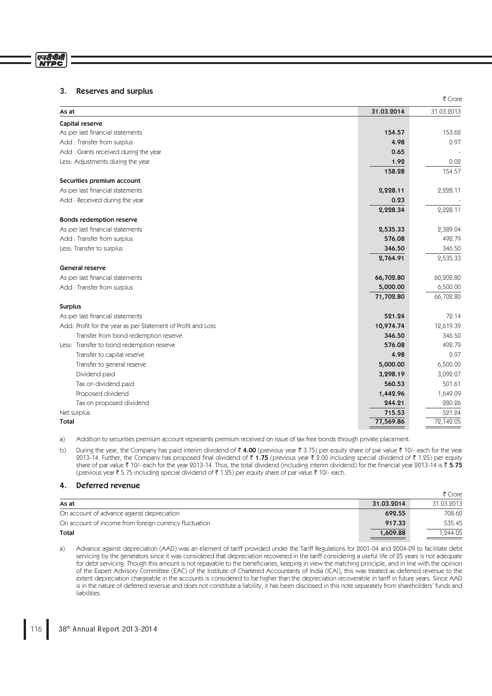# एनरीपीसी<br>NTPC

# 3. Reserves and surplus

|                                                              |            | ₹ Crore    |
|--------------------------------------------------------------|------------|------------|
| As at                                                        | 31.03.2014 | 31.03.2013 |
| Capital reserve                                              |            |            |
| As per last financial statements                             | 154.57     | 153.62     |
| Add: Transfer from surplus                                   | 4.98       | 0.97       |
| Add: Grants received during the year                         | 0.65       |            |
| Less: Adjustments during the year                            | 1.92       | 0.02       |
|                                                              | 158.28     | 154.57     |
| Securities premium account                                   |            |            |
| As per last financial statements                             | 2,228.11   | 2,228.11   |
| Add: Received during the year                                | 0.23       |            |
|                                                              | 2,228.34   | 2,228.11   |
| <b>Bonds redemption reserve</b>                              |            |            |
| As per last financial statements                             | 2,535.33   | 2,389.04   |
| Add : Transfer from surplus                                  | 576.08     | 492.79     |
| Less: Transfer to surplus                                    | 346.50     | 346.50     |
|                                                              | 2,764.91   | 2,535.33   |
| <b>General reserve</b>                                       |            |            |
| As per last financial statements                             | 66,702.80  | 60,202.80  |
| Add : Transfer from surplus                                  | 5,000.00   | 6,500.00   |
|                                                              | 71,702.80  | 66,702.80  |
| <b>Surplus</b>                                               |            |            |
| As per last financial statements                             | 521.24     | 72.14      |
| Add: Profit for the year as per Statement of Profit and Loss | 10,974.74  | 12,619.39  |
| Transfer from bond redemption reserve                        | 346.50     | 346.50     |
| Less: Transfer to bond redemption reserve                    | 576.08     | 492.79     |
| Transfer to capital reserve                                  | 4.98       | 0.97       |
| Transfer to general reserve                                  | 5,000.00   | 6,500.00   |
| Dividend paid                                                | 3,298.19   | 3,092.07   |
| Tax on dividend paid                                         | 560.53     | 501.61     |
| Proposed dividend                                            | 1,442.96   | 1,649.09   |
| Tax on proposed dividend                                     | 244.21     | 280.26     |
| Net surplus                                                  | 715.53     | 521.24     |
| Total                                                        | 77,569.86  | 72,142.05  |

a) Addition to securities premium account represents premium received on issue of tax free bonds through private placement.

b) During the year, the Company has paid interim dividend of  $\bar{x}$  4.00 (previous year  $\bar{x}$  3.75) per equity share of par value  $\bar{x}$  10/- each for the year 2013-14. Further, the Company has proposed final dividend of ₹ 1.75 (previous year ₹ 2.00 including special dividend of ₹ 1.25) per equity share of par value  $\bar{\tau}$  10/- each for the year 2013-14. Thus, the total dividend (including interim dividend) for the financial year 2013-14 is  $\bar{\tau}$  5.75 (previous year  $\bar{\tau}$  5.75 including special dividend of  $\bar{\tau}$  1.25) per equity share of par value  $\bar{\tau}$  10/- each.

# 4. Deferred revenue

|                                                        |            | ₹ Crore    |
|--------------------------------------------------------|------------|------------|
| As at                                                  | 31.03.2014 | 31.03.2013 |
| On account of advance against depreciation             | 692.55     | 708.60     |
| On account of income from foreign currency fluctuation | 917.33     | 535.45     |
| Total                                                  | 1,609.88   | .244.05    |

a) Advance against depreciation (AAD) was an element of tariff provided under the Tariff Regulations for 2001-04 and 2004-09 to facilitate debt servicing by the generators since it was considered that depreciation recovered in the tariff considering a useful life of 25 years is not adequate for debt servicing. Though this amount is not repayable to the beneficiaries, keeping in view the matching principle, and in line with the opinion of the Expert Advisory Committee (EAC) of the Institute of Chartered Accountants of India (ICAI), this was treated as deferred revenue to the extent depreciation chargeable in the accounts is considered to be higher than the depreciation recoverable in tariff in future years. Since AAD is in the nature of deferred revenue and does not constitute a liability, it has been disclosed in this note separately from shareholders' funds and liabilities.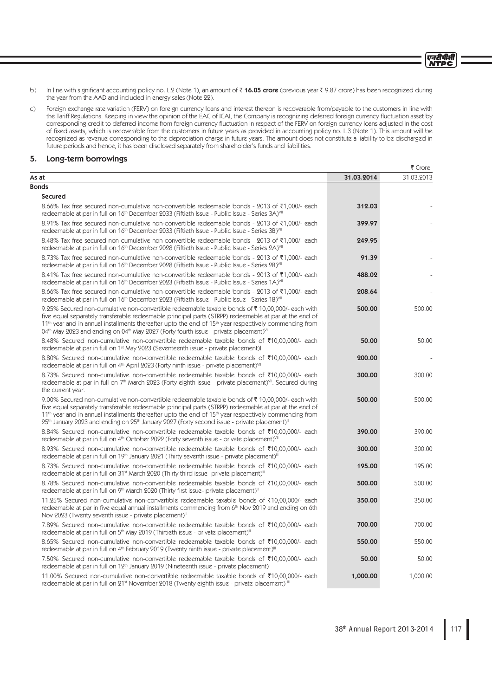एनदीपीसी **NTPC** 

- b) In line with significant accounting policy no. L.2 (Note 1), an amount of  $\bar{\tau}$  16.05 crore (previous year  $\bar{\tau}$  9.87 crore) has been recognized during the year from the AAD and included in energy sales (Note 22).
- c) Foreign exchange rate variation (FERV) on foreign currency loans and interest thereon is recoverable from/payable to the customers in line with the Tariff Regulations. Keeping in view the opinion of the EAC of ICAI, the Company is recognizing deferred foreign currency fluctuation asset by corresponding credit to deferred income from foreign currency fluctuation in respect of the FERV on foreign currency loans adjusted in the cost of fi xed assets, which is recoverable from the customers in future years as provided in accounting policy no. L.3 (Note 1). This amount will be recognized as revenue corresponding to the depreciation charge in future years. The amount does not constitute a liability to be discharged in future periods and hence, it has been disclosed separately from shareholder's funds and liabilities.

# 5. Long-term borrowings

|                                                                                                                                                                                                                                                                                                                                                                                                                                                                         |            | ₹ Crore    |
|-------------------------------------------------------------------------------------------------------------------------------------------------------------------------------------------------------------------------------------------------------------------------------------------------------------------------------------------------------------------------------------------------------------------------------------------------------------------------|------------|------------|
| As at                                                                                                                                                                                                                                                                                                                                                                                                                                                                   | 31.03.2014 | 31.03.2013 |
| <b>Bonds</b>                                                                                                                                                                                                                                                                                                                                                                                                                                                            |            |            |
| <b>Secured</b>                                                                                                                                                                                                                                                                                                                                                                                                                                                          |            |            |
| 8.66% Tax free secured non-cumulative non-convertible redeemable bonds - 2013 of ₹1,000/- each<br>redeemable at par in full on 16 <sup>th</sup> December 2033 (Fiftieth Issue - Public Issue - Series 3A) <sup>VII</sup>                                                                                                                                                                                                                                                | 312.03     |            |
| 8.91% Tax free secured non-cumulative non-convertible redeemable bonds - 2013 of ₹1,000/- each<br>redeemable at par in full on 16 <sup>th</sup> December 2033 (Fiftieth Issue - Public Issue - Series 3B) <sup>VII</sup>                                                                                                                                                                                                                                                | 399.97     |            |
| 8.48% Tax free secured non-cumulative non-convertible redeemable bonds - 2013 of ₹1,000/- each<br>redeemable at par in full on 16 <sup>th</sup> December 2028 (Fiftieth Issue - Public Issue - Series 2A) <sup>VII</sup>                                                                                                                                                                                                                                                | 249.95     |            |
| 8.73% Tax free secured non-cumulative non-convertible redeemable bonds - 2013 of ₹1,000/- each<br>redeemable at par in full on 16 <sup>th</sup> December 2028 (Fiftieth Issue - Public Issue - Series 2B) <sup>VII</sup>                                                                                                                                                                                                                                                | 91.39      |            |
| 8.41% Tax free secured non-cumulative non-convertible redeemable bonds - 2013 of ₹1,000/- each<br>redeemable at par in full on 16 <sup>th</sup> December 2023 (Fiftieth Issue - Public Issue - Series 1A) <sup>VII</sup>                                                                                                                                                                                                                                                | 488.02     |            |
| 8.66% Tax free secured non-cumulative non-convertible redeemable bonds - 2013 of ₹1,000/- each<br>redeemable at par in full on 16 <sup>th</sup> December 2023 (Fiftieth Issue - Public Issue - Series 1B) <sup>VII</sup>                                                                                                                                                                                                                                                | 208.64     |            |
| 9.25% Secured non-cumulative non-convertible redeemable taxable bonds of ₹10,00,000/- each with<br>five equal separately transferable redeemable principal parts (STRPP) redeemable at par at the end of<br>11 <sup>th</sup> year and in annual installments thereafter upto the end of 15 <sup>th</sup> year respectively commencing from<br>04 <sup>th</sup> May 2023 and ending on 04 <sup>th</sup> May 2027 (Forty fourth issue - private placement) <sup>VII</sup> | 500.00     | 500.00     |
| 8.48% Secured non-cumulative non-convertible redeemable taxable bonds of ₹10,00,000/- each<br>redeemable at par in full on 1 <sup>st</sup> May 2023 (Seventeenth issue - private placement)                                                                                                                                                                                                                                                                             | 50.00      | 50.00      |
| 8.80% Secured non-cumulative non-convertible redeemable taxable bonds of ₹10,00,000/- each<br>redeemable at par in full on 4 <sup>th</sup> April 2023 (Forty ninth issue - private placement) <sup>VII</sup>                                                                                                                                                                                                                                                            | 200.00     |            |
| 8.73% Secured non-cumulative non-convertible redeemable taxable bonds of ₹10,00,000/- each<br>redeemable at par in full on 7 <sup>th</sup> March 2023 (Forty eighth issue - private placement) <sup>VII</sup> . Secured during<br>the current year.                                                                                                                                                                                                                     | 300.00     | 300.00     |
| 9.00% Secured non-cumulative non-convertible redeemable taxable bonds of ₹10,00,000/- each with<br>five equal separately transferable redeemable principal parts (STRPP) redeemable at par at the end of<br>$11th$ year and in annual installments thereafter upto the end of $15th$ year respectively commencing from<br>$25th$ January 2023 and ending on $25th$ January 2027 (Forty second issue - private placement) <sup>III</sup>                                 | 500.00     | 500.00     |
| 8.84% Secured non-cumulative non-convertible redeemable taxable bonds of ₹10,00,000/- each<br>redeemable at par in full on 4 <sup>th</sup> October 2022 (Forty seventh issue - private placement) <sup>VII</sup>                                                                                                                                                                                                                                                        | 390.00     | 390.00     |
| 8.93% Secured non-cumulative non-convertible redeemable taxable bonds of ₹10,00,000/- each<br>redeemable at par in full on 19th January 2021 (Thirty seventh issue - private placement) <sup>III</sup>                                                                                                                                                                                                                                                                  | 300.00     | 300.00     |
| 8.73% Secured non-cumulative non-convertible redeemable taxable bonds of ₹10,00,000/- each<br>redeemable at par in full on 31 <sup>st</sup> March 2020 (Thirty third issue- private placement) <sup>III</sup>                                                                                                                                                                                                                                                           | 195.00     | 195.00     |
| 8.78% Secured non-cumulative non-convertible redeemable taxable bonds of ₹10,00,000/- each<br>redeemable at par in full on 9 <sup>th</sup> March 2020 (Thirty first issue- private placement) <sup>III</sup>                                                                                                                                                                                                                                                            | 500.00     | 500.00     |
| 11.25% Secured non-cumulative non-convertible redeemable taxable bonds of ₹10,00,000/- each<br>redeemable at par in five equal annual installments commencing from 6 <sup>th</sup> Nov 2019 and ending on 6th<br>Nov 2023 (Twenty seventh issue - private placement)"                                                                                                                                                                                                   | 350.00     | 350.00     |
| 7.89% Secured non-cumulative non-convertible redeemable taxable bonds of ₹10,00,000/- each<br>redeemable at par in full on 5 <sup>th</sup> May 2019 (Thirtieth issue - private placement) <sup>III</sup>                                                                                                                                                                                                                                                                | 700.00     | 700.00     |
| 8.65% Secured non-cumulative non-convertible redeemable taxable bonds of ₹10,00,000/- each<br>redeemable at par in full on 4 <sup>th</sup> February 2019 (Twenty ninth issue - private placement) <sup>III</sup>                                                                                                                                                                                                                                                        | 550.00     | 550.00     |
| 7.50% Secured non-cumulative non-convertible redeemable taxable bonds of ₹10,00,000/- each<br>redeemable at par in full on 12 <sup>th</sup> January 2019 (Nineteenth issue - private placement) <sup>11</sup>                                                                                                                                                                                                                                                           | 50.00      | 50.00      |
| 11.00% Secured non-cumulative non-convertible redeemable taxable bonds of ₹10,00,000/- each<br>redeemable at par in full on 21st November 2018 (Twenty eighth issue - private placement) III                                                                                                                                                                                                                                                                            | 1,000.00   | 1,000.00   |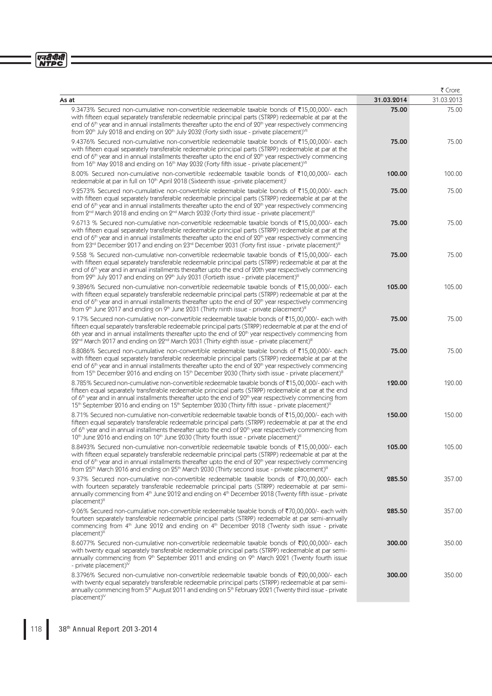|                                                                                                                                                                                                                                                                                                                                                                                                                                                                    |            | ₹ Crore    |
|--------------------------------------------------------------------------------------------------------------------------------------------------------------------------------------------------------------------------------------------------------------------------------------------------------------------------------------------------------------------------------------------------------------------------------------------------------------------|------------|------------|
| As at                                                                                                                                                                                                                                                                                                                                                                                                                                                              | 31.03.2014 | 31.03.2013 |
| 9.3473% Secured non-cumulative non-convertible redeemable taxable bonds of ₹15,00,000/- each<br>with fifteen equal separately transferable redeemable principal parts (STRPP) redeemable at par at the<br>end of $6th$ year and in annual installments thereafter upto the end of $20th$ year respectively commencing<br>from 20 <sup>th</sup> July 2018 and ending on 20 <sup>th</sup> July 2032 (Forty sixth issue - private placement) <sup>VII</sup>           | 75.00      | 75.00      |
| 9.4376% Secured non-cumulative non-convertible redeemable taxable bonds of ₹15,00,000/- each<br>with fifteen equal separately transferable redeemable principal parts (STRPP) redeemable at par at the<br>end of $6th$ year and in annual installments thereafter upto the end of $20th$ year respectively commencing<br>from 16 <sup>th</sup> May 2018 and ending on 16 <sup>th</sup> May 2032 (Forty fifth issue - private placement) <sup>VII</sup>             | 75.00      | 75.00      |
| 8.00% Secured non-cumulative non-convertible redeemable taxable bonds of ₹10,00,000/- each<br>redeemable at par in full on 10 <sup>th</sup> April 2018 (Sixteenth issue -private placement)                                                                                                                                                                                                                                                                        | 100.00     | 100.00     |
| 9.2573% Secured non-cumulative non-convertible redeemable taxable bonds of ₹15,00,000/- each<br>with fifteen equal separately transferable redeemable principal parts (STRPP) redeemable at par at the<br>end of $6th$ year and in annual installments thereafter upto the end of $20th$ year respectively commencing<br>from $2nd$ March 2018 and ending on $2nd$ March 2032 (Forty third issue - private placement) <sup>III</sup>                               | 75.00      | 75.00      |
| 9.6713 % Secured non-cumulative non-convertible redeemable taxable bonds of ₹15,00,000/- each<br>with fifteen equal separately transferable redeemable principal parts (STRPP) redeemable at par at the<br>end of $6th$ year and in annual installments thereafter upto the end of $20th$ year respectively commencing<br>from 23rd December 2017 and ending on 23rd December 2031 (Forty first issue - private placement) <sup>III</sup>                          | 75.00      | 75.00      |
| 9.558 % Secured non-cumulative non-convertible redeemable taxable bonds of ₹15,00,000/- each<br>with fifteen equal separately transferable redeemable principal parts (STRPP) redeemable at par at the<br>end of 6 <sup>th</sup> year and in annual installments thereafter upto the end of 20th year respectively commencing<br>from 29th July 2017 and ending on 29th July 2031 (Fortieth issue - private placement) <sup>III</sup>                              | 75.00      | 75.00      |
| 9.3896% Secured non-cumulative non-convertible redeemable taxable bonds of ₹15,00,000/- each<br>with fifteen equal separately transferable redeemable principal parts (STRPP) redeemable at par at the<br>end of $6th$ year and in annual installments thereafter upto the end of $20th$ year respectively commencing<br>from 9th June 2017 and ending on 9th June 2031 (Thirty ninth issue - private placement) <sup>III</sup>                                    | 105.00     | 105.00     |
| 9.17% Secured non-cumulative non-convertible redeemable taxable bonds of ₹15,00,000/- each with<br>fifteen equal separately transferable redeemable principal parts (STRPP) redeemable at par at the end of<br>6th year and in annual installments thereafter upto the end of 20 <sup>th</sup> year respectively commencing from<br>22nd March 2017 and ending on 22nd March 2031 (Thirty eighth issue - private placement) <sup>III</sup>                         | 75.00      | 75.00      |
| 8.8086% Secured non-cumulative non-convertible redeemable taxable bonds of ₹15,00,000/- each<br>with fifteen equal separately transferable redeemable principal parts (STRPP) redeemable at par at the<br>end of $6th$ year and in annual installments thereafter upto the end of $20th$ year respectively commencing<br>from 15 <sup>th</sup> December 2016 and ending on 15 <sup>th</sup> December 2030 (Thirty sixth issue - private placement) <sup>III</sup>  | 75.00      | 75.00      |
| 8.785% Secured non-cumulative non-convertible redeemable taxable bonds of ₹15,00,000/- each with<br>fifteen equal separately transferable redeemable principal parts (STRPP) redeemable at par at the end<br>of $6th$ year and in annual installments thereafter upto the end of $20th$ year respectively commencing from<br>15 <sup>th</sup> September 2016 and ending on 15 <sup>th</sup> September 2030 (Thirty fifth issue - private placement) <sup>III</sup> | 120.00     | 120.00     |
| 8.71% Secured non-cumulative non-convertible redeemable taxable bonds of ₹15,00,000/- each with<br>fifteen equal separately transferable redeemable principal parts (STRPP) redeemable at par at the end<br>of $6th$ year and in annual installments thereafter upto the end of $20th$ year respectively commencing from<br>10 <sup>th</sup> June 2016 and ending on 10 <sup>th</sup> June 2030 (Thirty fourth issue - private placement) <sup>III</sup>           | 150.00     | 150.00     |
| 8.8493% Secured non-cumulative non-convertible redeemable taxable bonds of ₹15,00,000/- each<br>with fifteen equal separately transferable redeemable principal parts (STRPP) redeemable at par at the<br>end of $6th$ year and in annual installments thereafter upto the end of $20th$ year respectively commencing<br>from 25 <sup>th</sup> March 2016 and ending on 25 <sup>th</sup> March 2030 (Thirty second issue - private placement) <sup>III</sup>       | 105.00     | 105.00     |
| 9.37% Secured non-cumulative non-convertible redeemable taxable bonds of ₹70,00,000/- each<br>with fourteen separately transferable redeemable principal parts (STRPP) redeemable at par semi-<br>annually commencing from 4th June 2012 and ending on 4th December 2018 (Twenty fifth issue - private<br>placement) <sup>III</sup>                                                                                                                                | 285.50     | 357.00     |
| 9.06% Secured non-cumulative non-convertible redeemable taxable bonds of ₹70,00,000/- each with<br>fourteen separately transferable redeemable principal parts (STRPP) redeemable at par semi-annually<br>commencing from 4 <sup>th</sup> June 2012 and ending on 4 <sup>th</sup> December 2018 (Twenty sixth issue - private<br>placement) <sup>III</sup>                                                                                                         | 285.50     | 357.00     |
| 8.6077% Secured non-cumulative non-convertible redeemable taxable bonds of ₹20,00,000/- each<br>with twenty equal separately transferable redeemable principal parts (STRPP) redeemable at par semi-<br>annually commencing from $9th$ September 2011 and ending on $9th$ March 2021 (Twenty fourth issue<br>- private placement) $\mathbb{V}$                                                                                                                     | 300.00     | 350.00     |
| 8.3796% Secured non-cumulative non-convertible redeemable taxable bonds of ₹20,00,000/- each<br>with twenty equal separately transferable redeemable principal parts (STRPP) redeemable at par semi-<br>annually commencing from 5 <sup>th</sup> August 2011 and ending on 5 <sup>th</sup> February 2021 (Twenty third issue - private<br>$placement)^{IV}$                                                                                                        | 300.00     | 350.00     |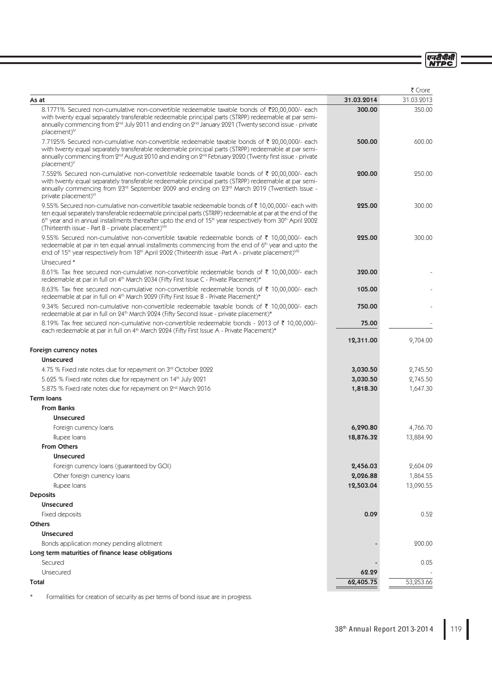एनटीपीसी<br>NTPC

|                                                                                                                                                                                                                                                                                                                                                                                                                                  |                    | ₹ Crore    |
|----------------------------------------------------------------------------------------------------------------------------------------------------------------------------------------------------------------------------------------------------------------------------------------------------------------------------------------------------------------------------------------------------------------------------------|--------------------|------------|
| As at                                                                                                                                                                                                                                                                                                                                                                                                                            | 31.03.2014         | 31.03.2013 |
| 8.1771% Secured non-cumulative non-convertible redeemable taxable bonds of ₹20,00,000/- each<br>with twenty equal separately transferable redeemable principal parts (STRPP) redeemable at par semi-<br>annually commencing from 2 <sup>nd</sup> July 2011 and ending on 2 <sup>nd</sup> January 2021 (Twenty second issue - private<br>$placement)^{V}$                                                                         | 300.00             | 350.00     |
| 7.7125% Secured non-cumulative non-convertible redeemable taxable bonds of ₹ 20,00,000/- each<br>with twenty equal separately transferable redeemable principal parts (STRPP) redeemable at par semi-<br>annually commencing from 2 <sup>nd</sup> August 2010 and ending on 2 <sup>nd</sup> February 2020 (Twenty first issue - private<br>placement) <sup>V</sup>                                                               | 500.00             | 600.00     |
| 7.552% Secured non-cumulative non-convertible redeemable taxable bonds of ₹ 20,00,000/- each<br>with twenty equal separately transferable redeemable principal parts (STRPP) redeemable at par semi-<br>annually commencing from 23rd September 2009 and ending on 23rd March 2019 (Twentieth Issue -<br>private placement) <sup>VI</sup>                                                                                        | 200.00             | 250.00     |
| 9.55% Secured non-cumulative non-convertible taxable redeemable bonds of $\bar{\tau}$ 10,00,000/- each with<br>ten equal separately transferable redeemable principal parts (STRPP) redeemable at par at the end of the<br>6 <sup>th</sup> year and in annual installments thereafter upto the end of 15 <sup>th</sup> year respectively from 30 <sup>th</sup> April 2002<br>(Thirteenth issue - Part B - private placement)VIII | 225.00             | 300.00     |
| 9.55% Secured non-cumulative non-convertible taxable redeemable bonds of ₹ 10,00,000/- each<br>redeemable at par in ten equal annual installments commencing from the end of 6th year and upto the<br>end of 15 <sup>th</sup> year respectively from 18 <sup>th</sup> April 2002 (Thirteenth issue -Part A - private placement) <sup>VIII</sup>                                                                                  | 225.00             | 300.00     |
| Unsecured *<br>8.61% Tax free secured non-cumulative non-convertible redeemable bonds of ₹ 10,00,000/- each                                                                                                                                                                                                                                                                                                                      | 320.00             |            |
| redeemable at par in full on 4 <sup>th</sup> March 2034 (Fifty First Issue C - Private Placement)*                                                                                                                                                                                                                                                                                                                               |                    |            |
| 8.63% Tax free secured non-cumulative non-convertible redeemable bonds of ₹ 10,00,000/- each<br>redeemable at par in full on 4 <sup>th</sup> March 2029 (Fifty First Issue B - Private Placement)*                                                                                                                                                                                                                               | 105.00             |            |
| 9.34% Secured non-cumulative non-convertible redeemable taxable bonds of ₹ 10,00,000/- each<br>redeemable at par in full on 24 <sup>th</sup> March 2024 (Fifty Second Issue - private placement)*                                                                                                                                                                                                                                | 750.00             |            |
| 8.19% Tax free secured non-cumulative non-convertible redeemable bonds - 2013 of ₹ 10,00,000/-<br>each redeemable at par in full on 4th March 2024 (Fifty First Issue A - Private Placement)*                                                                                                                                                                                                                                    | 75.00<br>12,311.00 | 9,704.00   |
| Foreign currency notes                                                                                                                                                                                                                                                                                                                                                                                                           |                    |            |
| <b>Unsecured</b>                                                                                                                                                                                                                                                                                                                                                                                                                 |                    |            |
| 4.75 % Fixed rate notes due for repayment on 3rd October 2022                                                                                                                                                                                                                                                                                                                                                                    | 3,030.50           | 2,745.50   |
| 5.625 % Fixed rate notes due for repayment on 14 <sup>th</sup> July 2021                                                                                                                                                                                                                                                                                                                                                         | 3,030.50           | 2,745.50   |
| 5.875 % Fixed rate notes due for repayment on 2 <sup>nd</sup> March 2016                                                                                                                                                                                                                                                                                                                                                         | 1,818.30           | 1,647.30   |
| <b>Term loans</b>                                                                                                                                                                                                                                                                                                                                                                                                                |                    |            |
| <b>From Banks</b>                                                                                                                                                                                                                                                                                                                                                                                                                |                    |            |
| <b>Unsecured</b>                                                                                                                                                                                                                                                                                                                                                                                                                 |                    |            |
| Foreign currency loans                                                                                                                                                                                                                                                                                                                                                                                                           | 6,290.80           | 4,766.70   |
| Rupee Ioans                                                                                                                                                                                                                                                                                                                                                                                                                      | 18,876.32          | 13,884.90  |
| <b>From Others</b>                                                                                                                                                                                                                                                                                                                                                                                                               |                    |            |
| <b>Unsecured</b>                                                                                                                                                                                                                                                                                                                                                                                                                 |                    |            |
| Foreign currency loans (guaranteed by GOI)                                                                                                                                                                                                                                                                                                                                                                                       | 2,456.03           | 2,604.09   |
| Other foreign currency loans                                                                                                                                                                                                                                                                                                                                                                                                     | 2,026.88           | 1,864.55   |
| Rupee Ioans                                                                                                                                                                                                                                                                                                                                                                                                                      | 12,503.04          | 13,090.55  |
| <b>Deposits</b>                                                                                                                                                                                                                                                                                                                                                                                                                  |                    |            |
| <b>Unsecured</b>                                                                                                                                                                                                                                                                                                                                                                                                                 |                    |            |
| Fixed deposits                                                                                                                                                                                                                                                                                                                                                                                                                   | 0.09               | 0.52       |
| <b>Others</b>                                                                                                                                                                                                                                                                                                                                                                                                                    |                    |            |
| <b>Unsecured</b><br>Bonds application money pending allotment                                                                                                                                                                                                                                                                                                                                                                    |                    | 200.00     |
| Long term maturities of finance lease obligations                                                                                                                                                                                                                                                                                                                                                                                |                    |            |
| Secured                                                                                                                                                                                                                                                                                                                                                                                                                          |                    | 0.05       |
| Unsecured                                                                                                                                                                                                                                                                                                                                                                                                                        | 62.29              |            |
| Total                                                                                                                                                                                                                                                                                                                                                                                                                            | 62,405.75          | 53,253.66  |

\* Formalities for creation of security as per terms of bond issue are in progress.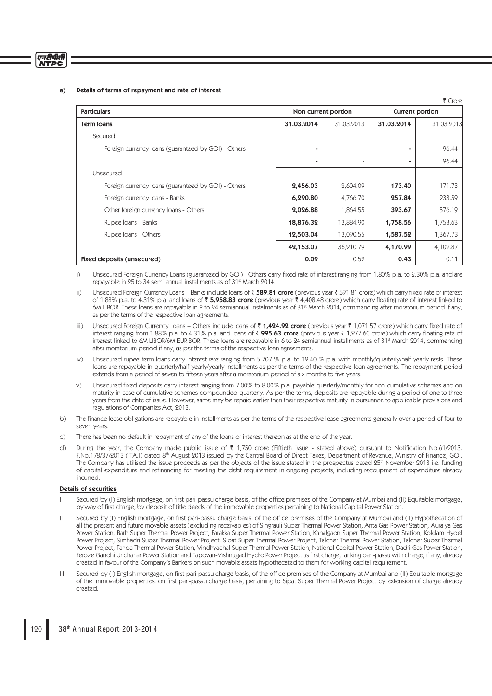## एनटीपीसी **NTDC**

## a) Details of terms of repayment and rate of interest

| <b>Particulars</b><br>Non current portion<br>Current portion |            |            |                |            |
|--------------------------------------------------------------|------------|------------|----------------|------------|
| <b>Term loans</b>                                            | 31.03.2014 | 31.03.2013 | 31.03.2014     | 31.03.2013 |
| Secured                                                      |            |            |                |            |
| Foreign currency loans (guaranteed by GOI) - Others          | ٠          |            | $\blacksquare$ | 96.44      |
|                                                              | ٠          | ٠          | $\blacksquare$ | 96.44      |
| Unsecured                                                    |            |            |                |            |
| Foreign currency loans (guaranteed by GOI) - Others          | 2,456.03   | 2,604.09   | 173.40         | 171.73     |
| Foreign currency loans - Banks                               | 6,290.80   | 4,766.70   | 257.84         | 233.59     |
| Other foreign currency loans - Others                        | 2,026.88   | 1,864.55   | 393.67         | 576.19     |
| Rupee Ioans - Banks                                          | 18,876.32  | 13,884.90  | 1,758.56       | 1,753.63   |
| Rupee Ioans - Others                                         | 12,503.04  | 13,090.55  | 1,587.52       | 1,367.73   |
|                                                              | 42,153.07  | 36,210.79  | 4,170.99       | 4,102.87   |
| Fixed deposits (unsecured)                                   | 0.09       | 0.52       | 0.43           | 0.11       |

 $\sim$  Cross Cross Cross Cross Cross Cross Cross Cross Cross Cross Cross Cross Cross Cross Cross Cross Cross Cross Cross Cross Cross Cross Cross Cross Cross Cross Cross Cross Cross Cross Cross Cross Cross Cross Cross Cross

- i) Unsecured Foreign Currency Loans (guaranteed by GOI) Others carry fixed rate of interest ranging from 1.80% p.a. to 2.30% p.a. and are repayable in 25 to 34 semi annual installments as of 31st March 2014.
- ii) Unsecured Foreign Currency Loans Banks include loans of ₹ 589.81 crore (previous year ₹ 591.81 crore) which carry fixed rate of interest of 1.88% p.a. to 4.31% p.a. and loans of  $\bar{z}$  5,958.83 crore (previous year  $\bar{z}$  4,408.48 crore) which carry floating rate of interest linked to 6M LIBOR. These loans are repayable in 2 to 24 semiannual instalments as of 31st March 2014, commencing after moratorium period if any, as per the terms of the respective loan agreements.
- iii) Unsecured Foreign Currency Loans Others include loans of ₹1,424.92 crore (previous year ₹1,071.57 crore) which carry fixed rate of interest ranging from 1.88% p.a. to 4.31% p.a. and loans of  $\bar{\zeta}$  995.63 crore (previous year  $\bar{\zeta}$  1,277.60 crore) which carry floating rate of interest linked to 6M LIBOR/6M EURIBOR. These loans are repayable in 6 to 24 semiannual installments as of 31<sup>st</sup> March 2014, commencing after moratorium period if any, as per the terms of the respective loan agreements.
- Unsecured rupee term loans carry interest rate ranging from 5.707 % p.a. to 12.40 % p.a. with monthly/quarterly/half-yearly rests. These loans are repayable in quarterly/half-yearly/yearly installments as per the terms of the respective loan agreements. The repayment period extends from a period of seven to fifteen years after a moratorium period of six months to five years.
- v) Unsecured fixed deposits carry interest ranging from 7.00% to 8.00% p.a. payable quarterly/monthly for non-cumulative schemes and on maturity in case of cumulative schemes compounded quarterly. As per the terms, deposits are repayable during a period of one to three years from the date of issue. However, same may be repaid earlier than their respective maturity in pursuance to applicable provisions and regulations of Companies Act, 2013.
- b) The finance lease obligations are repayable in installments as per the terms of the respective lease agreements generally over a period of four to seven years.
- c) There has been no default in repayment of any of the loans or interest thereon as at the end of the year.
- d) During the year, the Company made public issue of  $\bar{\tau}$  1,750 crore (Fiftieth issue stated above) pursuant to Notification No.61/2013. F.No.178/37/2013-(ITA.I) dated 8<sup>th</sup> August 2013 issued by the Central Board of Direct Taxes, Department of Revenue, Ministry of Finance, GOI. The Company has utilised the issue proceeds as per the objects of the issue stated in the prospectus dated 25<sup>th</sup> November 2013 i.e. funding of capital expenditure and refinancing for meeting the debt requirement in ongoing projects, including recoupment of expenditure already incurred.

#### Details of securities

- I Secured by (I) English mortgage, on first pari-passu charge basis, of the office premises of the Company at Mumbai and (II) Equitable mortgage, by way of first charge, by deposit of title deeds of the immovable properties pertaining to National Capital Power Station.
- II Secured by (I) English mortgage, on first pari-passu charge basis, of the office premises of the Company at Mumbai and (II) Hypothecation of all the present and future movable assets (excluding receivables) of Singrauli Super Thermal Power Station, Anta Gas Power Station, Auraiya Gas Power Station, Barh Super Thermal Power Project, Farakka Super Thermal Power Station, Kahalgaon Super Thermal Power Station, Koldam Hydel Power Project, Simhadri Super Thermal Power Project, Sipat Super Thermal Power Project, Talcher Thermal Power Station, Talcher Super Thermal Power Project, Tanda Thermal Power Station, Vindhyachal Super Thermal Power Station, National Capital Power Station, Dadri Gas Power Station, Feroze Gandhi Unchahar Power Station and Tapovan-Vishnugad Hydro Power Project as first charge, ranking pari-passu with charge, if any, already created in favour of the Company's Bankers on such movable assets hypothecated to them for working capital requirement.
- III Secured by (I) English mortgage, on first pari passu charge basis, of the office premises of the Company at Mumbai and (II) Equitable mortgage of the immovable properties, on first pari-passu charge basis, pertaining to Sipat Super Thermal Power Project by extension of charge already created.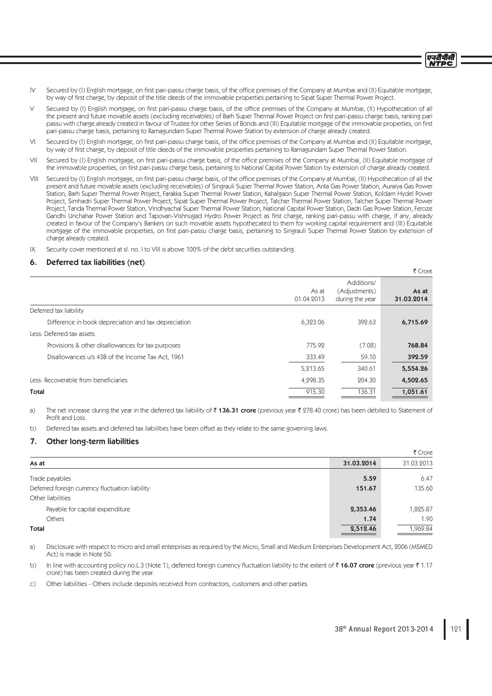- IV Secured by (I) English mortgage, on first pari-passu charge basis, of the office premises of the Company at Mumbai and (II) Equitable mortgage, by way of fi rst charge, by deposit of the title deeds of the immovable properties pertaining to Sipat Super Thermal Power Project.
- Secured by (I) English mortgage, on first pari-passu charge basis, of the office premises of the Company at Mumbai, (II) Hypothecation of all the present and future movable assets (excluding receivables) of Barh Super Thermal Power Project on first pari-passu charge basis, ranking pari passu with charge already created in favour of Trustee for other Series of Bonds and (III) Equitable mortgage of the immovable properties, on fi rst pari-passu charge basis, pertaining to Ramagundam Super Thermal Power Station by extension of charge already created.
- VI Secured by (I) English mortgage, on first pari-passu charge basis, of the office premises of the Company at Mumbai and (II) Equitable mortgage, by way of first charge, by deposit of title deeds of the immovable properties pertaining to Ramagundam Super Thermal Power Station.
- VII Secured by (I) English mortgage, on first pari-passu charge basis, of the office premises of the Company at Mumbai, (II) Equitable mortgage of the immovable properties, on first pari-passu charge basis, pertaining to National Capital Power Station by extension of charge already created.
- VIII Secured by (I) English mortgage, on first pari-passu charge basis, of the office premises of the Company at Mumbai, (II) Hypothecation of all the present and future movable assets (excluding receivables) of Singrauli Super Thermal Power Station, Anta Gas Power Station, Auraiya Gas Power Station, Barh Super Thermal Power Project, Farakka Super Thermal Power Station, Kahalgaon Super Thermal Power Station, Koldam Hydel Power Project, Simhadri Super Thermal Power Project, Sipat Super Thermal Power Project, Talcher Thermal Power Station, Talcher Super Thermal Power Project, Tanda Thermal Power Station, Vindhyachal Super Thermal Power Station, National Capital Power Station, Dadri Gas Power Station, Feroze Gandhi Unchahar Power Station and Tapovan-Vishnugad Hydro Power Project as first charge, ranking pari-passu with charge, if any, already created in favour of the Company's Bankers on such movable assets hypothecated to them for working capital requirement and (III) Equitable mortgage of the immovable properties, on first pari-passu charge basis, pertaining to Singrauli Super Thermal Power Station by extension of charge already created.
- IX Security cover mentioned at sl. no. I to VIII is above 100% of the debt securities outstanding.

# 6. Deferred tax liabilities (net)

|                                                      |                     |                                                | ₹ Crore             |
|------------------------------------------------------|---------------------|------------------------------------------------|---------------------|
|                                                      | As at<br>01.04.2013 | Additions/<br>(Adjustments)<br>during the year | As at<br>31.03.2014 |
| Deferred tax liability                               |                     |                                                |                     |
| Difference in book depreciation and tax depreciation | 6,323.06            | 392.63                                         | 6,715.69            |
| Less: Deferred tax assets                            |                     |                                                |                     |
| Provisions & other disallowances for tax purposes    | 775.92              | (7.08)                                         | 768.84              |
| Disallowances u/s 43B of the Income Tax Act, 1961    | 333.49              | 59.10                                          | 392.59              |
|                                                      | 5,213.65            | 340.61                                         | 5,554.26            |
| Less: Recoverable from beneficiaries                 | 4,298.35            | 204.30                                         | 4,502.65            |
| Total                                                | 915.30              | 136.31                                         | 1,051.61            |

a) The net increase during the year in the deferred tax liability of  $\bar{\tau}$  136.31 crore (previous year  $\bar{\tau}$  278.40 crore) has been debited to Statement of Profit and Loss.

b) Deferred tax assets and deferred tax liabilities have been offset as they relate to the same governing laws.

# 7. Other long-term liabilities

|            | ₹ Crore    |
|------------|------------|
| 31.03.2014 | 31.03.2013 |
| 5.59       | 6.47       |
| 151.67     | 135.60     |
|            |            |
| 2,353.46   | 1,825.87   |
| 1.74       | 1.90       |
| 2,512.46   | 1,969.84   |
|            |            |

a) Disclosure with respect to micro and small enterprises as required by the Micro, Small and Medium Enterprises Development Act, 2006 (MSMED Act) is made in Note 50.

b) In line with accounting policy no.L.3 (Note 1), deferred foreign currency fluctuation liability to the extent of  $\bar{\tau}$  16.07 crore (previous year  $\bar{\tau}$  1.17 crore) has been created during the year.

c) Other liabilities - Others include deposits received from contractors, customers and other parties.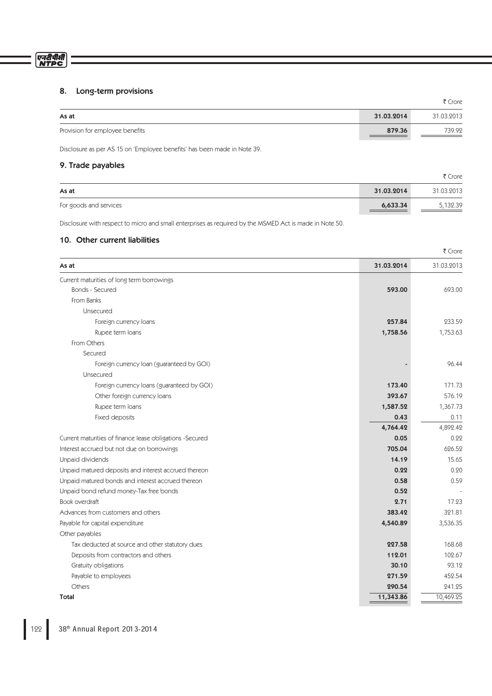# एनदीपीसी<br>NTPC

# 8. Long-term provisions

|                                 |            | ₹ Crore    |
|---------------------------------|------------|------------|
| As at                           | 31.03.2014 | 31.03.2013 |
| Provision for employee benefits | 879.36     | 739.92     |

Disclosure as per AS 15 on 'Employee benefits' has been made in Note 39.

# 9. Trade payables

|                        |            | ₹ Crore    |
|------------------------|------------|------------|
| As at                  | 31.03.2014 | 31.03.2013 |
| For goods and services | 6,633.34   | 5,132.39   |

Disclosure with respect to micro and small enterprises as required by the MSMED Act is made in Note 50.

# 10. Other current liabilities

|                                                          |            | ₹ Crore    |
|----------------------------------------------------------|------------|------------|
| As at                                                    | 31.03.2014 | 31.03.2013 |
| Current maturities of long term borrowings               |            |            |
| <b>Bonds - Secured</b>                                   | 593.00     | 693.00     |
| From Banks                                               |            |            |
| Unsecured                                                |            |            |
| Foreign currency loans                                   | 257.84     | 233.59     |
| Rupee term loans                                         | 1,758.56   | 1,753.63   |
| From Others                                              |            |            |
| Secured                                                  |            |            |
| Foreign currency loan (guaranteed by GOI)                |            | 96.44      |
| Unsecured                                                |            |            |
| Foreign currency loans (guaranteed by GOI)               | 173.40     | 171.73     |
| Other foreign currency loans                             | 393.67     | 576.19     |
| Rupee term loans                                         | 1,587.52   | 1,367.73   |
| Fixed deposits                                           | 0.43       | 0.11       |
|                                                          | 4,764.42   | 4,892.42   |
| Current maturities of finance lease obligations -Secured | 0.05       | 0.22       |
| Interest accrued but not due on borrowings               | 705.04     | 626.52     |
| Unpaid dividends                                         | 14.19      | 15.65      |
| Unpaid matured deposits and interest accrued thereon     | 0.22       | 0.20       |
| Unpaid matured bonds and interest accrued thereon        | 0.58       | 0.59       |
| Unpaid bond refund money-Tax free bonds                  | 0.52       |            |
| Book overdraft                                           | 2.71       | 17.23      |
| Advances from customers and others                       | 383.42     | 321.81     |
| Payable for capital expenditure                          | 4,540.89   | 3,536.35   |
| Other payables                                           |            |            |
| Tax deducted at source and other statutory dues          | 227.58     | 168.68     |
| Deposits from contractors and others                     | 112.01     | 102.67     |
| Gratuity obligations                                     | 30.10      | 93.12      |
| Payable to employees                                     | 271.59     | 452.54     |
| Others                                                   | 290.54     | 241.25     |
| Total                                                    | 11,343.86  | 10,469.25  |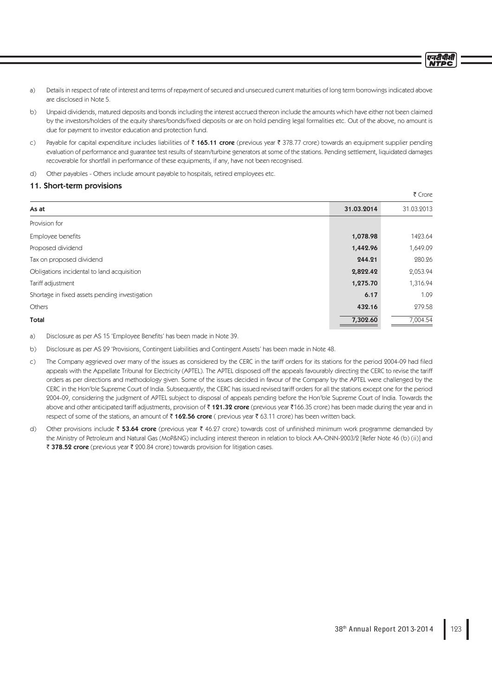एनटीपीसी **NTPC** 

- a) Details in respect of rate of interest and terms of repayment of secured and unsecured current maturities of long term borrowings indicated above are disclosed in Note 5.
- b) Unpaid dividends, matured deposits and bonds including the interest accrued thereon include the amounts which have either not been claimed by the investors/holders of the equity shares/bonds/fixed deposits or are on hold pending legal formalities etc. Out of the above, no amount is due for payment to investor education and protection fund.
- c) Payable for capital expenditure includes liabilities of  $\bar{\tau}$  165.11 crore (previous year  $\bar{\tau}$  378.77 crore) towards an equipment supplier pending evaluation of performance and guarantee test results of steam/turbine generators at some of the stations. Pending settlement, liquidated damages recoverable for shortfall in performance of these equipments, if any, have not been recognised.
- d) Other payables Others include amount payable to hospitals, retired employees etc.

# 11. Short-term provisions

|                                                |            | ₹ Crore    |
|------------------------------------------------|------------|------------|
| As at                                          | 31.03.2014 | 31.03.2013 |
| Provision for                                  |            |            |
| Employee benefits                              | 1,078.98   | 1423.64    |
| Proposed dividend                              | 1,442.96   | 1,649.09   |
| Tax on proposed dividend                       | 244.21     | 280.26     |
| Obligations incidental to land acquisition     | 2,822.42   | 2,053.94   |
| Tariff adjustment                              | 1,275.70   | 1,316.94   |
| Shortage in fixed assets pending investigation | 6.17       | 1.09       |
| Others                                         | 432.16     | 279.58     |
| Total                                          | 7,302.60   | 7,004.54   |

a) Disclosure as per AS 15 'Employee Benefits' has been made in Note 39.

b) Disclosure as per AS 29 'Provisions, Contingent Liabilities and Contingent Assets' has been made in Note 48.

- c) The Company aggrieved over many of the issues as considered by the CERC in the tariff orders for its stations for the period 2004-09 had filed appeals with the Appellate Tribunal for Electricity (APTEL). The APTEL disposed off the appeals favourably directing the CERC to revise the tariff orders as per directions and methodology given. Some of the issues decided in favour of the Company by the APTEL were challenged by the CERC in the Hon'ble Supreme Court of India. Subsequently, the CERC has issued revised tariff orders for all the stations except one for the period 2004-09, considering the judgment of APTEL subject to disposal of appeals pending before the Hon'ble Supreme Court of India. Towards the above and other anticipated tariff adjustments, provision of ₹121.32 crore (previous year ₹166.35 crore) has been made during the year and in respect of some of the stations, an amount of  $\bar{\tau}$  162.56 crore ( previous year  $\bar{\tau}$  63.11 crore) has been written back.
- d) Other provisions include  $\bar{z}$  53.64 crore (previous year  $\bar{\tau}$  46.27 crore) towards cost of unfinished minimum work programme demanded by the Ministry of Petroleum and Natural Gas (MoP&NG) including interest thereon in relation to block AA-ONN-2003/2 [Refer Note 46 (b) (ii)] and ₹ 378.52 crore (previous year ₹ 200.84 crore) towards provision for litigation cases.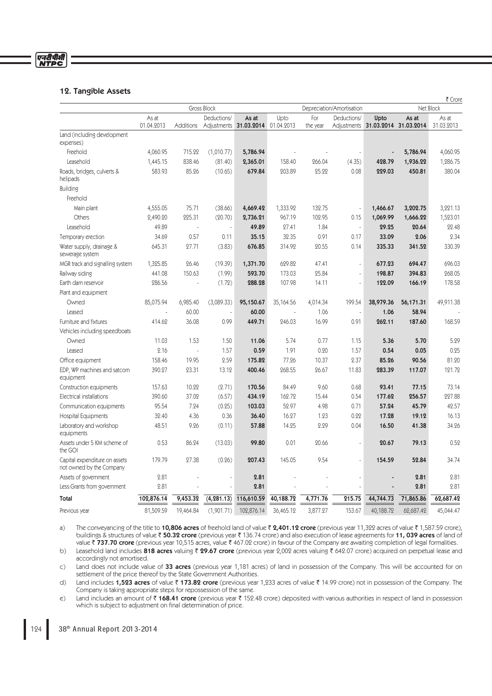# एनरीपीसी<br>NTPC

# 12. Tangible Assets

|                                                           |                     |           |             |                                            |           |                 | ₹ Crore     |           |                                            |                     |
|-----------------------------------------------------------|---------------------|-----------|-------------|--------------------------------------------|-----------|-----------------|-------------|-----------|--------------------------------------------|---------------------|
|                                                           |                     |           | Gross Block | Depreciation/Amortisation                  |           |                 |             | Net Block |                                            |                     |
|                                                           | As at<br>01.04.2013 | Additions | Deductions/ | As at<br>Adjustments 31.03.2014 01.04.2013 | Upto      | For<br>the year | Deductions/ | Upto      | As at<br>Adjustments 31.03.2014 31.03.2014 | As at<br>31.03.2013 |
| Land (including development<br>expenses)                  |                     |           |             |                                            |           |                 |             |           |                                            |                     |
| Freehold                                                  | 4,060.95            | 715.22    | (1,010.77)  | 5,786.94                                   |           |                 |             |           | 5,786.94                                   | 4,060.95            |
| Leasehold                                                 | 1,445.15            | 838.46    | (81.40)     | 2,365.01                                   | 158.40    | 266.04          | (4.35)      | 428.79    | 1,936.22                                   | 1,286.75            |
| Roads, bridges, culverts &<br>helipads                    | 583.93              | 85.26     | (10.65)     | 679.84                                     | 203.89    | 25.22           | 0.08        | 229.03    | 450.81                                     | 380.04              |
| <b>Building</b>                                           |                     |           |             |                                            |           |                 |             |           |                                            |                     |
| Freehold                                                  |                     |           |             |                                            |           |                 |             |           |                                            |                     |
| Main plant                                                | 4,555.05            | 75.71     | (38.66)     | 4,669.42                                   | 1,333.92  | 132.75          |             | 1,466.67  | 3,202.75                                   | 3,221.13            |
| Others                                                    | 2,490.20            | 225.31    | (20.70)     | 2,736.21                                   | 967.19    | 102.95          | 0.15        | 1,069.99  | 1,666.22                                   | 1,523.01            |
| Leasehold                                                 | 49.89               |           |             | 49.89                                      | 27.41     | 1.84            |             | 29.25     | 20.64                                      | 22.48               |
| Temporary erection                                        | 34.69               | 0.57      | 0.11        | 35.15                                      | 32.35     | 0.91            | 0.17        | 33.09     | 2.06                                       | 2.34                |
| Water supply, drainage &<br>sewerage system               | 645.31              | 27.71     | (3.83)      | 676.85                                     | 314.92    | 20.55           | 0.14        | 335.33    | 341.52                                     | 330.39              |
| MGR track and signalling system                           | 1,325.85            | 26.46     | (19.39)     | 1,371.70                                   | 629.82    | 47.41           | L.          | 677.23    | 694.47                                     | 696.03              |
| Railway siding                                            | 441.08              | 150.63    | (1.99)      | 593.70                                     | 173.03    | 25.84           | L.          | 198.87    | 394.83                                     | 268.05              |
| Earth dam reservoir                                       | 286.56              |           | (1.72)      | 288.28                                     | 107.98    | 14.11           | L,          | 122.09    | 166.19                                     | 178.58              |
| Plant and equipment                                       |                     |           |             |                                            |           |                 |             |           |                                            |                     |
| Owned                                                     | 85,075.94           | 6,985.40  | (3,089.33)  | 95,150.67                                  | 35,164.56 | 4,014.34        | 199.54      | 38,979.36 | 56,171.31                                  | 49,911.38           |
| Leased                                                    |                     | 60.00     |             | 60.00                                      |           | 1.06            |             | 1.06      | 58.94                                      |                     |
| Furniture and fixtures                                    | 414.62              | 36.08     | 0.99        | 449.71                                     | 246.03    | 16.99           | 0.91        | 262.11    | 187.60                                     | 168.59              |
| Vehicles including speedboats                             |                     |           |             |                                            |           |                 |             |           |                                            |                     |
| Owned                                                     | 11.03               | 1.53      | 1.50        | 11.06                                      | 5.74      | 0.77            | 1.15        | 5.36      | 5.70                                       | 5.29                |
| Leased                                                    | 2.16                |           | 1.57        | 0.59                                       | 1.91      | 0.20            | 1.57        | 0.54      | 0.05                                       | 0.25                |
| Office equipment                                          | 158.46              | 19.95     | 2.59        | 175.82                                     | 77.26     | 10.37           | 2.37        | 85.26     | 90.56                                      | 81.20               |
| EDP, WP machines and satcom<br>equipment                  | 390.27              | 23.31     | 13.12       | 400.46                                     | 268.55    | 26.67           | 11.83       | 283.39    | 117.07                                     | 121.72              |
| Construction equipments                                   | 157.63              | 10.22     | (2.71)      | 170.56                                     | 84.49     | 9.60            | 0.68        | 93.41     | 77.15                                      | 73.14               |
| Electrical installations                                  | 390.60              | 37.02     | (6.57)      | 434.19                                     | 162.72    | 15.44           | 0.54        | 177.62    | 256.57                                     | 227.88              |
| Communication equipments                                  | 95.54               | 7.24      | (0.25)      | 103.03                                     | 52.97     | 4.98            | 0.71        | 57.24     | 45.79                                      | 42.57               |
| <b>Hospital Equipments</b>                                | 32.40               | 4.36      | 0.36        | 36.40                                      | 16.27     | 1.23            | 0.22        | 17.28     | 19.12                                      | 16.13               |
| Laboratory and workshop<br>equipments                     | 48.51               | 9.26      | (0.11)      | 57.88                                      | 14.25     | 2.29            | 0.04        | 16.50     | 41.38                                      | 34.26               |
| Assets under 5 KM scheme of<br>the GOI                    | 0.53                | 86.24     | (13.03)     | 99.80                                      | 0.01      | 20.66           |             | 20.67     | 79.13                                      | 0.52                |
| Capital expenditure on assets<br>not owned by the Company | 179.79              | 27.38     | (0.26)      | 207.43                                     | 145.05    | 9.54            |             | 154.59    | 52.84                                      | 34.74               |
| Assets of government                                      | 2.81                |           |             | 2.81                                       |           |                 |             |           | 2.81                                       | 2.81                |
| Less: Grants from government                              | 2.81                |           |             | 2.81                                       |           |                 |             |           | 2.81                                       | 2.81                |
| Total                                                     | 102,876.14          | 9,453.32  | (4, 281.13) | 116,610.59                                 | 40,188.72 | 4,771.76        | 215.75      | 44,744.73 | 71,865.86                                  | 62,687.42           |
| Previous year                                             | 81,509.59           | 19,464.84 | (1,901.71)  | 102,876.14                                 | 36,465.12 | 3,877.27        | 153.67      | 40,188.72 | 62,687.42                                  | 45,044.47           |

a) The conveyancing of the title to 10,806 acres of freehold land of value ₹ 2,401.12 crore (previous year 11,322 acres of value ₹ 1,587.59 crore), buildings & structures of value ₹ 50.32 crore (previous year ₹ 136.74 crore) and also execution of lease agreements for 11, 039 acres of land of value  $\overline{\tau}$  737.70 crore (previous year 10,515 acres, value  $\overline{\tau}$  467.02 crore) in favour of the Company are awaiting completion of legal formalities.

b) Leasehold land includes 818 acres valuing ₹ 29.67 crore (previous year 2,002 acres valuing ₹ 642.07 crore) acquired on perpetual lease and accordingly not amortised.

c) Land does not include value of 33 acres (previous year 1,181 acres) of land in possession of the Company. This will be accounted for on settlement of the price thereof by the State Government Authorities.

d) Land includes 1,523 acres of value ₹173.82 crore (previous year 1,233 acres of value ₹14.99 crore) not in possession of the Company. The Company is taking appropriate steps for repossession of the same.

e) Land includes an amount of  $\bar{z}$  168.41 crore (previous year  $\bar{z}$  152.48 crore) deposited with various authorities in respect of land in possession which is subject to adjustment on final determination of price.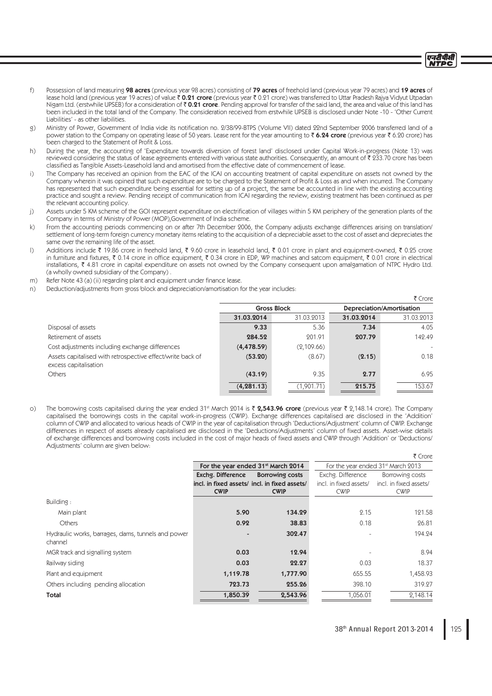- f) Possession of land measuring 98 acres (previous year 98 acres) consisting of 79 acres of freehold land (previous year 79 acres) and 19 acres of lease hold land (previous year 19 acres) of value ₹ 0.21 crore (previous year ₹ 0.21 crore) was transferred to Uttar Pradesh Rajya Vidyut Utpadan Nigam Ltd. (erstwhile UPSEB) for a consideration of  $\bar{\tau}$  0.21 crore. Pending approval for transfer of the said land, the area and value of this land has been included in the total land of the Company. The consideration received from erstwhile UPSEB is disclosed under Note -10 - 'Other Current Liabilities' - as other liabilities.
- g) Ministry of Power, Government of India vide its notification no. 2/38/99-BTPS (Volume VII) dated 22nd September 2006 transferred land of a power station to the Company on operating lease of 50 years. Lease rent for the year amounting to  $\bar{\tau}$  6.24 crore (previous year  $\bar{\tau}$  6.20 crore) has been charged to the Statement of Profit & Loss.
- h) During the year, the accounting of 'Expenditure towards diversion of forest land' disclosed under Capital Work-in-progress (Note 13) was reviewed considering the status of lease agreements entered with various state authorities. Consequently, an amount of ₹ 233.70 crore has been classified as Tangible Assets-Leasehold land and amortised from the effective date of commencement of lease.
- i) The Company has received an opinion from the EAC of the ICAI on accounting treatment of capital expenditure on assets not owned by the Company wherein it was opined that such expenditure are to be charged to the Statement of Profit & Loss as and when incurred. The Company has represented that such expenditure being essential for setting up of a project, the same be accounted in line with the existing accounting practice and sought a review. Pending receipt of communication from ICAI regarding the review, existing treatment has been continued as per the relevant accounting policy.
- j) Assets under 5 KM scheme of the GOI represent expenditure on electrification of villages within 5 KM periphery of the generation plants of the Company in terms of Ministry of Power (MOP),Government of India scheme.
- k) From the accounting periods commencing on or after 7th December 2006, the Company adjusts exchange differences arising on translation/ settlement of long-term foreign currency monetary items relating to the acquisition of a depreciable asset to the cost of asset and depreciates the same over the remaining life of the asset.
- l) Additions include  $\bar{\tau}$  19.86 crore in freehold land,  $\bar{\tau}$  9.60 crore in leasehold land,  $\bar{\tau}$  0.01 crore in plant and equipment-owned,  $\bar{\tau}$  0.25 crore in furniture and fixtures, ₹ 0.14 crore in office equipment, ₹ 0.34 crore in EDP, WP machines and satcom equipment, ₹ 0.01 crore in electrical installations, ` 4.81 crore in capital expenditure on assets not owned by the Company consequent upon amalgamation of NTPC Hydro Ltd. (a wholly owned subsidiary of the Company) .
- m) Refer Note 43 (a) (ii) regarding plant and equipment under finance lease.
- n) Deduction/adjustments from gross block and depreciation/amortisation for the year includes:

|                                                                                     |             |                    |            | ₹ Crore                          |
|-------------------------------------------------------------------------------------|-------------|--------------------|------------|----------------------------------|
|                                                                                     |             | <b>Gross Block</b> |            | <b>Depreciation/Amortisation</b> |
|                                                                                     | 31.03.2014  | 31.03.2013         | 31.03.2014 | 31.03.2013                       |
| Disposal of assets                                                                  | 9.33        | 5.36               | 7.34       | 4.05                             |
| Retirement of assets                                                                | 284.52      | 201.91             | 207.79     | 142.49                           |
| Cost adjustments including exchange differences                                     | (4, 478.59) | (2,109.66)         |            |                                  |
| Assets capitalised with retrospective effect/write back of<br>excess capitalisation | (53.20)     | (8.67)             | (2.15)     | 0.18                             |
| Others                                                                              | (43.19)     | 9.35               | 2.77       | 6.95                             |
|                                                                                     | (4, 281.13) | (1,901.71)         | 215.75     | 153.67                           |

o) The borrowing costs capitalised during the year ended 31<sup>st</sup> March 2014 is  $\bar{\zeta}$  2,543.96 crore (previous year  $\bar{\zeta}$  2,148.14 crore). The Company capitalised the borrowings costs in the capital work-in-progress (CWIP). Exchange differences capitalised are disclosed in the 'Addition' column of CWIP and allocated to various heads of CWIP in the year of capitalisation through 'Deductions/Adjustment' column of CWIP. Exchange differences in respect of assets already capitalised are disclosed in the 'Deductions/Adjustments' column of fixed assets. Asset-wise details of exchange differences and borrowing costs included in the cost of major heads of fixed assets and CWIP through 'Addition' or 'Deductions/ Adjustments' column are given below:

|                                                    |                        |                                                                                                                                                                   | For the year ended 31 <sup>st</sup> March 2013 |
|----------------------------------------------------|------------------------|-------------------------------------------------------------------------------------------------------------------------------------------------------------------|------------------------------------------------|
| Exchg. Difference                                  | <b>Borrowing costs</b> | Exchg. Difference                                                                                                                                                 | Borrowing costs                                |
|                                                    |                        | incl. in fixed assets/                                                                                                                                            | incl. in fixed assets/                         |
| <b>CWIP</b>                                        | <b>CWIP</b>            | <b>CWIP</b>                                                                                                                                                       | <b>CWIP</b>                                    |
|                                                    |                        |                                                                                                                                                                   |                                                |
|                                                    | 134.29                 | 2.15                                                                                                                                                              | 121.58                                         |
|                                                    | 38.83                  | 0.18                                                                                                                                                              | 26.81                                          |
|                                                    | 302.47                 |                                                                                                                                                                   | 194.24                                         |
|                                                    | 12.94                  |                                                                                                                                                                   | 8.94                                           |
|                                                    | 22.27                  | 0.03                                                                                                                                                              | 18.37                                          |
|                                                    | 1,777.90               | 655.55                                                                                                                                                            | 1,458.93                                       |
|                                                    | 255.26                 | 398.10                                                                                                                                                            | 319.27                                         |
|                                                    | 2,543.96               | 1,056.01                                                                                                                                                          | 2,148.14                                       |
| Hydraulic works, barrages, dams, tunnels and power |                        | For the year ended 31 <sup>st</sup> March 2014<br>incl. in fixed assets/ incl. in fixed assets/<br>5.90<br>0.92<br>0.03<br>0.03<br>1,119.78<br>723.73<br>1,850.39 |                                                |

 $\bar{\tau}$  Crore

एनटीपीसी **NTDC**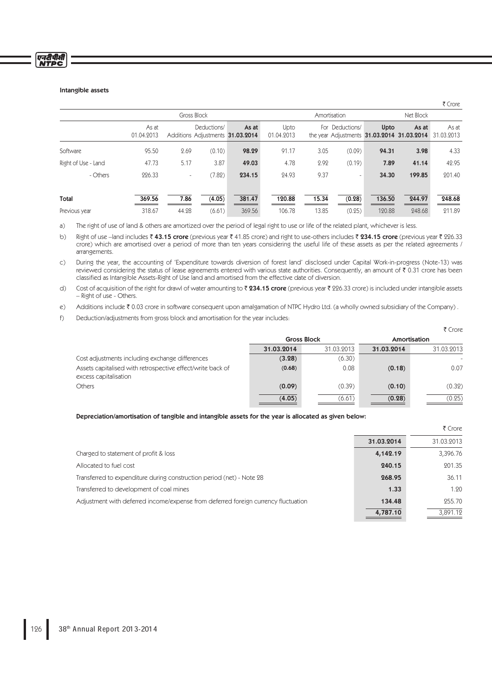#### Intangible assets

एनरीपीर्स<br>NTPC

|                     |                     |                          |                                                 |        |                    |              |                          |           |                                                     | $\sim$              |
|---------------------|---------------------|--------------------------|-------------------------------------------------|--------|--------------------|--------------|--------------------------|-----------|-----------------------------------------------------|---------------------|
|                     | Gross Block         |                          |                                                 |        |                    | Amortisation |                          | Net Block |                                                     |                     |
|                     | As at<br>01.04.2013 |                          | Deductions/<br>Additions Adjustments 31.03.2014 | As at  | Upto<br>01.04.2013 |              | For Deductions/          | Upto      | As at<br>the year Adjustments 31.03.2014 31.03.2014 | As at<br>31.03.2013 |
| Software            | 95.50               | 2.69                     | (0.10)                                          | 98.29  | 91.17              | 3.05         | (0.09)                   | 94.31     | 3.98                                                | 4.33                |
| Right of Use - Land | 47.73               | 5.17                     | 3.87                                            | 49.03  | 4.78               | 2.92         | (0.19)                   | 7.89      | 41.14                                               | 42.95               |
| - Others            | 226.33              | $\overline{\phantom{a}}$ | (7.82)                                          | 234.15 | 24.93              | 9.37         | $\overline{\phantom{0}}$ | 34.30     | 199.85                                              | 201.40              |
| Total               | 369.56              | 7.86                     | (4.05)                                          | 381.47 | 120.88             | 15.34        | (0.28)                   | 136.50    | 244.97                                              | 248.68              |
| Previous year       | 318.67              | 44.28                    | (6.61)                                          | 369.56 | 106.78             | 13.85        | (0.25)                   | 120.88    | 248.68                                              | 211.89              |

 $\bar{\tau}$  Crore

a) The right of use of land & others are amortized over the period of legal right to use or life of the related plant, whichever is less.

b) Right of use –land includes ₹ 43.15 crore (previous year ₹ 41.85 crore) and right to use-others includes ₹ 234.15 crore (previous year ₹ 226.33 crore) which are amortised over a period of more than ten years considering the useful life of these assets as per the related agreements / arrangements.

c) During the year, the accounting of 'Expenditure towards diversion of forest land' disclosed under Capital Work-in-progress (Note-13) was reviewed considering the status of lease agreements entered with various state authorities. Consequently, an amount of  $\bar{\tau}$  0.31 crore has been classified as Intangible Assets-Right of Use land and amortised from the effective date of diversion.

d) Cost of acquisition of the right for drawl of water amounting to  $\bar{\tau}$  234.15 crore (previous year  $\bar{\tau}$  226.33 crore) is included under intangible assets – Right of use - Others.

e) Additions include ₹ 0.03 crore in software consequent upon amalgamation of NTPC Hydro Ltd. (a wholly owned subsidiary of the Company).

f) Deduction/adjustments from gross block and amortisation for the year includes:

|                                                                                     |            |                    |            | ₹ Crore      |
|-------------------------------------------------------------------------------------|------------|--------------------|------------|--------------|
|                                                                                     |            | <b>Gross Block</b> |            | Amortisation |
|                                                                                     | 31.03.2014 | 31.03.2013         | 31.03.2014 | 31.03.2013   |
| Cost adjustments including exchange differences                                     | (3.28)     | (6.30)             |            |              |
| Assets capitalised with retrospective effect/write back of<br>excess capitalisation | (0.68)     | 0.08               | (0.18)     | 0.07         |
| <b>Others</b>                                                                       | (0.09)     | (0.39)             | (0.10)     | (0.32)       |
|                                                                                     | (4.05)     | (6.61)             | (0.28)     | (0.25)       |

## Depreciation/amortisation of tangible and intangible assets for the year is allocated as given below:

|                                                                                    |            | ₹ Crore    |
|------------------------------------------------------------------------------------|------------|------------|
|                                                                                    | 31.03.2014 | 31.03.2013 |
| Charged to statement of profit & loss                                              | 4,142.19   | 3,396.76   |
| Allocated to fuel cost                                                             | 240.15     | 201.35     |
| Transferred to expenditure during construction period (net) - Note 28              | 268.95     | 36.11      |
| Transferred to development of coal mines                                           | 1.33       | 1.20       |
| Adjustment with deferred income/expense from deferred foreign currency fluctuation | 134.48     | 255.70     |
|                                                                                    | 4,787.10   | 3.891.12   |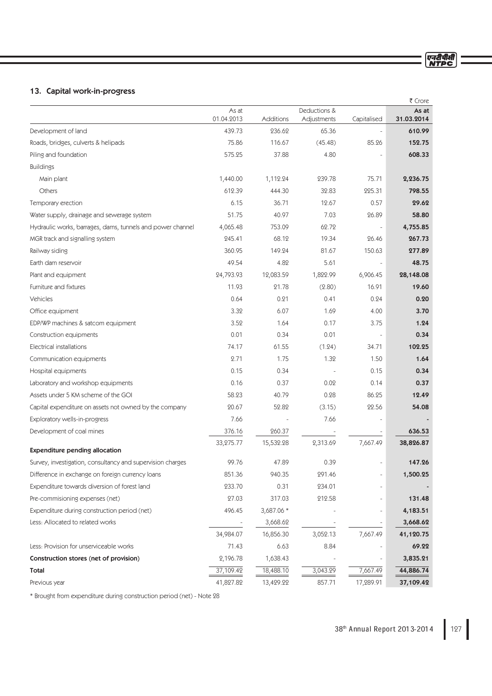# 13. Capital work-in-progress

|                                                            |                     |            |                             |                          | ₹ Crore             |
|------------------------------------------------------------|---------------------|------------|-----------------------------|--------------------------|---------------------|
|                                                            | As at<br>01.04.2013 | Additions  | Deductions &<br>Adjustments | Capitalised              | As at<br>31.03.2014 |
| Development of land                                        | 439.73              | 236.62     | 65.36                       |                          | 610.99              |
| Roads, bridges, culverts & helipads                        | 75.86               | 116.67     | (45.48)                     | 85.26                    | 152.75              |
| Piling and foundation                                      | 575.25              | 37.88      | 4.80                        |                          | 608.33              |
| <b>Buildings</b>                                           |                     |            |                             |                          |                     |
| Main plant                                                 | 1,440.00            | 1,112.24   | 239.78                      | 75.71                    | 2,236.75            |
| Others                                                     | 612.39              | 444.30     | 32.83                       | 225.31                   | 798.55              |
| Temporary erection                                         | 6.15                | 36.71      | 12.67                       | 0.57                     | 29.62               |
| Water supply, drainage and sewerage system                 | 51.75               | 40.97      | 7.03                        | 26.89                    | 58.80               |
| Hydraulic works, barrages, dams, tunnels and power channel | 4,065.48            | 753.09     | 62.72                       |                          | 4,755.85            |
| MGR track and signalling system                            | 245.41              | 68.12      | 19.34                       | 26.46                    | 267.73              |
| Railway siding                                             | 360.95              | 149.24     | 81.67                       | 150.63                   | 277.89              |
| Earth dam reservoir                                        | 49.54               | 4.82       | 5.61                        |                          | 48.75               |
| Plant and equipment                                        | 24,793.93           | 12,083.59  | 1,822.99                    | 6,906.45                 | 28,148.08           |
| Furniture and fixtures                                     | 11.93               | 21.78      | (2.80)                      | 16.91                    | 19.60               |
| Vehicles                                                   | 0.64                | 0.21       | 0.41                        | 0.24                     | 0.20                |
| Office equipment                                           | 3.32                | 6.07       | 1.69                        | 4.00                     | 3.70                |
| EDP/WP machines & satcom equipment                         | 3.52                | 1.64       | 0.17                        | 3.75                     | 1.24                |
| Construction equipments                                    | 0.01                | 0.34       | 0.01                        | $\overline{\phantom{m}}$ | 0.34                |
| Electrical installations                                   | 74.17               | 61.55      | (1.24)                      | 34.71                    | 102.25              |
| Communication equipments                                   | 2.71                | 1.75       | 1.32                        | 1.50                     | 1.64                |
| Hospital equipments                                        | 0.15                | 0.34       |                             | 0.15                     | 0.34                |
| Laboratory and workshop equipments                         | 0.16                | 0.37       | 0.02                        | 0.14                     | 0.37                |
| Assets under 5 KM scheme of the GOI                        | 58.23               | 40.79      | 0.28                        | 86.25                    | 12.49               |
| Capital expenditure on assets not owned by the company     | 20.67               | 52.82      | (3.15)                      | 22.56                    | 54.08               |
| Exploratory wells-in-progress                              | 7.66                |            | 7.66                        |                          |                     |
| Development of coal mines                                  | 376.16              | 260.37     |                             |                          | 636.53              |
|                                                            | 33,275.77           | 15,532.28  | 2,313.69                    | 7,667.49                 | 38,826.87           |
| <b>Expenditure pending allocation</b>                      |                     |            |                             |                          |                     |
| Survey, investigation, consultancy and supervision charges | 99.76               | 47.89      | 0.39                        |                          | 147.26              |
| Difference in exchange on foreign currency loans           | 851.36              | 940.35     | 291.46                      |                          | 1,500.25            |
| Expenditure towards diversion of forest land               | 233.70              | 0.31       | 234.01                      |                          |                     |
| Pre-commisioning expenses (net)                            | 27.03               | 317.03     | 212.58                      |                          | 131.48              |
| Expenditure during construction period (net)               | 496.45              | 3,687.06 * |                             |                          | 4,183.51            |
| Less: Allocated to related works                           |                     | 3,668.62   |                             |                          | 3,668.62            |
|                                                            | 34,984.07           | 16,856.30  | 3,052.13                    | 7,667.49                 | 41,120.75           |
| Less: Provision for unserviceable works                    | 71.43               | 6.63       | 8.84                        |                          | 69.22               |
| Construction stores (net of provision)                     | 2,196.78            | 1,638.43   |                             |                          | 3,835.21            |
| Total                                                      | 37,109.42           | 18,488.10  | 3,043.29                    | 7,667.49                 | 44,886.74           |
| Previous year                                              | 41,827.82           | 13,429.22  | 857.71                      | 17,289.91                | 37,109.42           |

\* Brought from expenditure during construction period (net) - Note 28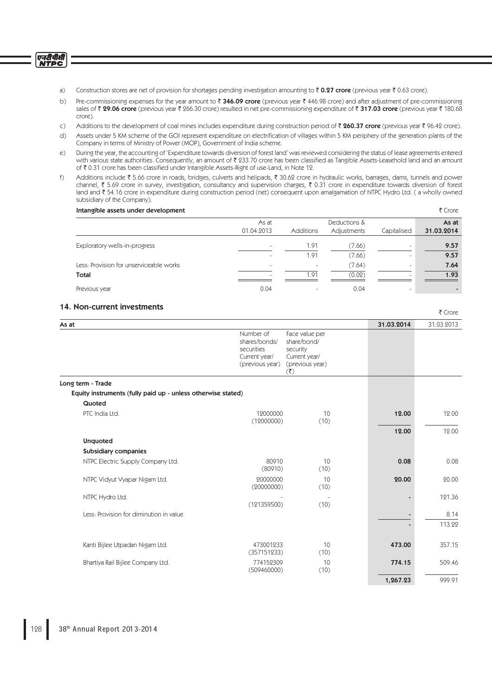एनरीपीसी<br>NTPC

- a) Construction stores are net of provision for shortages pending investigation amounting to  $\bar{\tau}$  0.27 crore (previous year  $\bar{\tau}$  0.63 crore).
- b) Pre-commissioning expenses for the year amount to ₹ 346.09 crore (previous year ₹ 446.98 crore) and after adjustment of pre-commissioning sales of ₹ 29.06 crore (previous year ₹ 266.30 crore) resulted in net pre-commissioning expenditure of ₹ 317.03 crore (previous year ₹ 180.68 crore).
- c) Additions to the development of coal mines includes expenditure during construction period of  $\bar{\tau}$  260.37 crore (previous year  $\bar{\tau}$  96.42 crore).
- d) Assets under 5 KM scheme of the GOI represent expenditure on electrification of villages within 5 KM periphery of the generation plants of the Company in terms of Ministry of Power (MOP), Government of India scheme.
- e) During the year, the accounting of 'Expenditure towards diversion of forest land' was reviewed considering the status of lease agreements entered with various state authorities. Consequently, an amount of ₹ 233.70 crore has been classified as Tangible Assets-Leasehold land and an amount of ₹ 0.31 crore has been classified under Intangible Assets-Right of use-Land, in Note 12.
- f) Additions include ` 5.66 crore in roads, bridges, culverts and helipads, ` 30.62 crore in hydraulic works, barrages, dams, tunnels and power channel, ₹ 5.69 crore in survey, investigation, consultancy and supervision charges, ₹ 0.31 crore in expenditure towards diversion of forest land and ₹ 54.16 crore in expenditure during construction period (net) consequent upon amalgamation of NTPC Hydro Ltd. ( a wholly owned subsidiary of the Company).

| Intangible assets under development     |                          |                          |              |                          | ₹ Crore    |
|-----------------------------------------|--------------------------|--------------------------|--------------|--------------------------|------------|
|                                         | As at                    |                          | Deductions & |                          | As at      |
|                                         | 01.04.2013               | <b>Additions</b>         | Adjustments  | Capitalised              | 31.03.2014 |
| Exploratory wells-in-progress           |                          | 1.91                     | (7.66)       | ۰                        | 9.57       |
|                                         |                          | 1.91                     | (7.66)       | -                        | 9.57       |
| Less: Provision for unserviceable works | $\overline{\phantom{0}}$ | $\overline{\phantom{a}}$ | (7.64)       | -                        | 7.64       |
| Total                                   |                          | 1.91                     | (0.02)       |                          | 1.93       |
| Previous year                           | 0.04                     |                          | 0.04         | $\overline{\phantom{a}}$ |            |

₹ Crore

# 14. Non-current investments

| As at                                                        |                                                                              |                                                                                                              | 31.03.2014 | 31.03.2013 |
|--------------------------------------------------------------|------------------------------------------------------------------------------|--------------------------------------------------------------------------------------------------------------|------------|------------|
|                                                              | Number of<br>shares/bonds/<br>securities<br>Current year/<br>(previous year) | Face value per<br>share/bond/<br>security<br>Current year/<br>(previous year)<br>$(\overline{\mathfrak{F}})$ |            |            |
| Long term - Trade                                            |                                                                              |                                                                                                              |            |            |
| Equity instruments (fully paid up - unless otherwise stated) |                                                                              |                                                                                                              |            |            |
| Quoted                                                       |                                                                              |                                                                                                              |            |            |
| PTC India Ltd.                                               | 12000000<br>(12000000)                                                       | 10<br>(10)                                                                                                   | 12.00      | 12.00      |
|                                                              |                                                                              |                                                                                                              | 12.00      | 12.00      |
| <b>Unquoted</b>                                              |                                                                              |                                                                                                              |            |            |
| <b>Subsidiary companies</b>                                  |                                                                              |                                                                                                              |            |            |
| NTPC Electric Supply Company Ltd.                            | 80910<br>(80910)                                                             | 10<br>(10)                                                                                                   | 0.08       | 0.08       |
| NTPC Vidyut Vyapar Nigam Ltd.                                | 20000000<br>(20000000)                                                       | 10<br>(10)                                                                                                   | 20.00      | 20.00      |
| NTPC Hydro Ltd.                                              | (121359500)                                                                  | ÷,<br>(10)                                                                                                   |            | 121.36     |
| Less: Provision for diminution in value                      |                                                                              |                                                                                                              |            | 8.14       |
|                                                              |                                                                              |                                                                                                              |            | 113.22     |
| Kanti Bijlee Utpadan Nigam Ltd.                              | 473001233<br>(357151233)                                                     | 10<br>(10)                                                                                                   | 473.00     | 357.15     |
| Bhartiya Rail Bijlee Company Ltd.                            | 774152309<br>(509460000)                                                     | 10<br>(10)                                                                                                   | 774.15     | 509.46     |
|                                                              |                                                                              |                                                                                                              | 1,267.23   | 999.91     |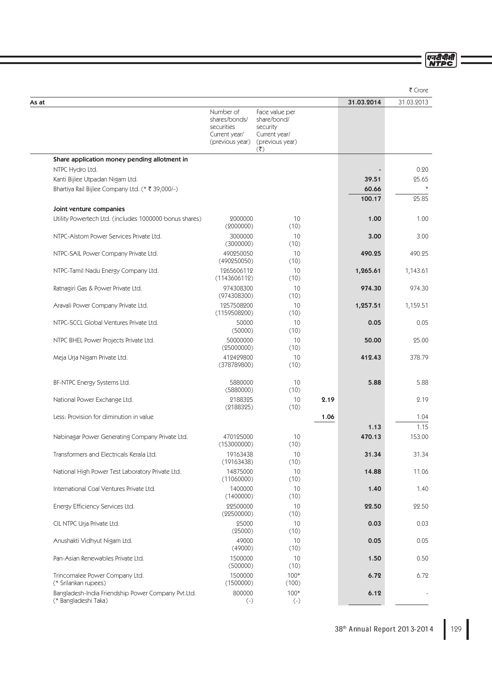एनरीपीसी<br>NTPC

|                                                                            |                                                                              |                                                                                                              |      |                 | ₹ Crore         |
|----------------------------------------------------------------------------|------------------------------------------------------------------------------|--------------------------------------------------------------------------------------------------------------|------|-----------------|-----------------|
| As at                                                                      |                                                                              |                                                                                                              |      | 31.03.2014      | 31.03.2013      |
|                                                                            | Number of<br>shares/bonds/<br>securities<br>Current year/<br>(previous year) | Face value per<br>share/bond/<br>security<br>Current year/<br>(previous year)<br>$(\overline{\mathfrak{F}})$ |      |                 |                 |
| Share application money pending allotment in                               |                                                                              |                                                                                                              |      |                 |                 |
| NTPC Hydro Ltd.                                                            |                                                                              |                                                                                                              |      |                 | 0.20            |
| Kanti Bijlee Utpadan Nigam Ltd.                                            |                                                                              |                                                                                                              |      | 39.51           | 25.65<br>$\ast$ |
| Bhartiya Rail Bijlee Company Ltd. (* ₹ 39,000/-)                           |                                                                              |                                                                                                              |      | 60.66<br>100.17 | 25.85           |
| Joint venture companies                                                    |                                                                              |                                                                                                              |      |                 |                 |
| Utility Powertech Ltd. (includes 1000000 bonus shares)                     | 2000000<br>(2000000)                                                         | 10<br>(10)                                                                                                   |      | 1.00            | 1.00            |
| NTPC-Alstom Power Services Private Ltd.                                    | 3000000<br>(3000000)                                                         | 10<br>(10)                                                                                                   |      | 3.00            | 3.00            |
| NTPC-SAIL Power Company Private Ltd.                                       | 490250050<br>(490250050)                                                     | 10<br>(10)                                                                                                   |      | 490.25          | 490.25          |
| NTPC-Tamil Nadu Energy Company Ltd.                                        | 1265606112<br>(1143606112)                                                   | 10<br>(10)                                                                                                   |      | 1,265.61        | 1,143.61        |
| Ratnagiri Gas & Power Private Ltd.                                         | 974308300<br>(974308300)                                                     | 10<br>(10)                                                                                                   |      | 974.30          | 974.30          |
| Aravali Power Company Private Ltd.                                         | 1257508200<br>(1159508200)                                                   | 10<br>(10)                                                                                                   |      | 1,257.51        | 1,159.51        |
| NTPC-SCCL Global Ventures Private Ltd.                                     | 50000<br>(50000)                                                             | 10<br>(10)                                                                                                   |      | 0.05            | 0.05            |
| NTPC BHEL Power Projects Private Ltd.                                      | 50000000<br>(25000000)                                                       | 10<br>(10)                                                                                                   |      | 50.00           | 25.00           |
| Meja Urja Nigam Private Ltd.                                               | 412429800<br>(378789800)                                                     | 10<br>(10)                                                                                                   |      | 412.43          | 378.79          |
| BF-NTPC Energy Systems Ltd.                                                | 5880000<br>(5880000)                                                         | 10<br>(10)                                                                                                   |      | 5.88            | 5.88            |
| National Power Exchange Ltd.                                               | 2188325<br>(2188325)                                                         | 10<br>(10)                                                                                                   | 2.19 |                 | 2.19            |
| Less: Provision for diminution in value                                    |                                                                              |                                                                                                              | 1.06 |                 | 1.04            |
|                                                                            |                                                                              |                                                                                                              |      | 1.13            | 1.15            |
| Nabinagar Power Generating Company Private Ltd.                            | 470125000<br>(153000000)                                                     | 10<br>(10)                                                                                                   |      | 470.13          | 153.00          |
| Transformers and Electricals Kerala Ltd.                                   | 19163438<br>(19163438)                                                       | 10<br>(10)                                                                                                   |      | 31.34           | 31.34           |
| National High Power Test Laboratory Private Ltd.                           | 14875000<br>(11060000)                                                       | 10<br>(10)                                                                                                   |      | 14.88           | 11.06           |
| International Coal Ventures Private Ltd.                                   | 1400000<br>(1400000)                                                         | 10<br>(10)                                                                                                   |      | 1.40            | 1.40            |
| Energy Efficiency Services Ltd.                                            | 22500000<br>(22500000)                                                       | 10<br>(10)                                                                                                   |      | 22.50           | 22.50           |
| CIL NTPC Urja Private Ltd.                                                 | 25000<br>(25000)                                                             | 10<br>(10)                                                                                                   |      | 0.03            | 0.03            |
| Anushakti Vidhyut Nigam Ltd.                                               | 49000<br>(49000)                                                             | 10<br>(10)                                                                                                   |      | 0.05            | 0.05            |
| Pan-Asian Renewables Private Ltd.                                          | 1500000<br>(500000)                                                          | 10<br>(10)                                                                                                   |      | 1.50            | 0.50            |
| Trincomalee Power Company Ltd.<br>(* Srilankan rupees)                     | 1500000<br>(1500000)                                                         | $100*$<br>(100)                                                                                              |      | 6.72            | 6.72            |
| Bangladesh-India Friendship Power Company Pvt.Ltd.<br>(* Bangladeshi Taka) | 800000<br>$(-)$                                                              | $100*$<br>$(-)$                                                                                              |      | 6.12            |                 |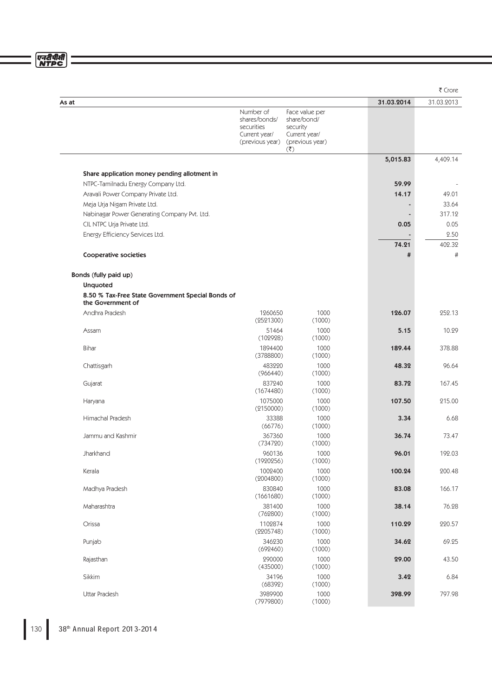एनदीपीसी<br>NTPC

|                                                                        |                                          |                                                                 |            | ₹ Crore      |
|------------------------------------------------------------------------|------------------------------------------|-----------------------------------------------------------------|------------|--------------|
| As at                                                                  |                                          |                                                                 | 31.03.2014 | 31.03.2013   |
|                                                                        | Number of<br>shares/bonds/<br>securities | Face value per<br>share/bond/<br>security                       |            |              |
|                                                                        | Current year/<br>(previous year)         | Current year/<br>(previous year)<br>$(\overline{\mathfrak{c}})$ |            |              |
|                                                                        |                                          |                                                                 | 5,015.83   | 4,409.14     |
| Share application money pending allotment in                           |                                          |                                                                 |            |              |
| NTPC-Tamilnadu Energy Company Ltd.                                     |                                          |                                                                 | 59.99      |              |
| Aravali Power Company Private Ltd.                                     |                                          |                                                                 | 14.17      | 49.01        |
| Meja Urja Nigam Private Ltd.                                           |                                          |                                                                 |            | 33.64        |
| Nabinagar Power Generating Company Pvt. Ltd.                           |                                          |                                                                 |            | 317.12       |
| CIL NTPC Urja Private Ltd.                                             |                                          |                                                                 | 0.05       | 0.05<br>2.50 |
| Energy Efficiency Services Ltd.                                        |                                          |                                                                 | 74.21      | 402.32       |
| Cooperative societies                                                  |                                          |                                                                 | #          | #            |
| Bonds (fully paid up)                                                  |                                          |                                                                 |            |              |
| <b>Unquoted</b>                                                        |                                          |                                                                 |            |              |
| 8.50 % Tax-Free State Government Special Bonds of<br>the Government of |                                          |                                                                 |            |              |
| Andhra Pradesh                                                         | 1260650                                  | 1000                                                            | 126.07     | 252.13       |
|                                                                        | (2521300)                                | (1000)                                                          |            |              |
| Assam                                                                  | 51464<br>(102928)                        | 1000<br>(1000)                                                  | 5.15       | 10.29        |
| Bihar                                                                  | 1894400<br>(3788800)                     | 1000<br>(1000)                                                  | 189.44     | 378.88       |
| Chattisgarh                                                            | 483220<br>(966440)                       | 1000<br>(1000)                                                  | 48.32      | 96.64        |
| Gujarat                                                                | 837240<br>(1674480)                      | 1000<br>(1000)                                                  | 83.72      | 167.45       |
| Haryana                                                                | 1075000<br>(2150000)                     | 1000<br>(1000)                                                  | 107.50     | 215.00       |
| Himachal Pradesh                                                       | 33388<br>(66776)                         | 1000<br>(1000)                                                  | 3.34       | 6.68         |
| Jammu and Kashmir                                                      | 367360<br>(734720)                       | 1000<br>(1000)                                                  | 36.74      | 73.47        |
| Jharkhand                                                              | 960136<br>(1920256)                      | 1000<br>(1000)                                                  | 96.01      | 192.03       |
| Kerala                                                                 | 1002400<br>(2004800)                     | 1000<br>(1000)                                                  | 100.24     | 200.48       |
| Madhya Pradesh                                                         | 830840<br>(1661680)                      | 1000<br>(1000)                                                  | 83.08      | 166.17       |
| Maharashtra                                                            | 381400<br>(762800)                       | 1000<br>(1000)                                                  | 38.14      | 76.28        |
| Orissa                                                                 | 1102874<br>(2205748)                     | 1000<br>(1000)                                                  | 110.29     | 220.57       |
| Punjab                                                                 | 346230<br>(692460)                       | 1000<br>(1000)                                                  | 34.62      | 69.25        |
| Rajasthan                                                              | 290000<br>(435000)                       | 1000<br>(1000)                                                  | 29.00      | 43.50        |
| Sikkim                                                                 | 34196<br>(68392)                         | 1000<br>(1000)                                                  | 3.42       | 6.84         |
| Uttar Pradesh                                                          | 3989900<br>(7979800)                     | 1000<br>(1000)                                                  | 398.99     | 797.98       |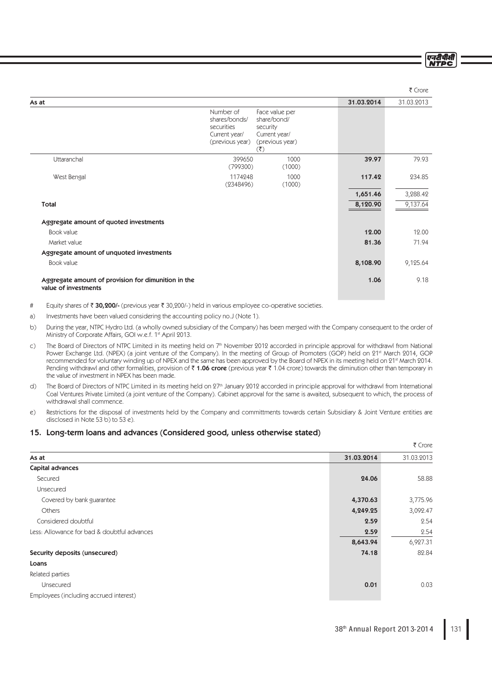एनदीपीसी **NTDC** 

|                                                                              |                                                                                                              |            | ₹ Crore    |
|------------------------------------------------------------------------------|--------------------------------------------------------------------------------------------------------------|------------|------------|
| As at                                                                        |                                                                                                              | 31.03.2014 | 31.03.2013 |
| Number of<br>shares/bonds/<br>securities<br>Current year/<br>(previous year) | Face value per<br>share/bond/<br>security<br>Current year/<br>(previous year)<br>$(\overline{\mathfrak{r}})$ |            |            |
| Uttaranchal<br>399650<br>(799300)                                            | 1000<br>(1000)                                                                                               | 39.97      | 79.93      |
| West Bengal<br>1174248<br>(2348496)                                          | 1000<br>(1000)                                                                                               | 117.42     | 234.85     |
|                                                                              |                                                                                                              | 1,651.46   | 3,288.42   |
| Total                                                                        |                                                                                                              | 8,120.90   | 9,137.64   |
| Aggregate amount of quoted investments                                       |                                                                                                              |            |            |
| Book value                                                                   |                                                                                                              | 12.00      | 12.00      |
| Market value                                                                 |                                                                                                              | 81.36      | 71.94      |
| Aggregate amount of unquoted investments                                     |                                                                                                              |            |            |
| Book value                                                                   |                                                                                                              | 8,108.90   | 9,125.64   |
| Aggregate amount of provision for dimunition in the<br>value of investments  |                                                                                                              | 1.06       | 9.18       |

# Equity shares of  $\bar{z}$  30,200/- (previous year  $\bar{z}$  30,200/-) held in various employee co-operative societies.

- a) Investments have been valued considering the accounting policy no.J (Note 1).
- b) During the year, NTPC Hydro Ltd. (a wholly owned subsidiary of the Company) has been merged with the Company consequent to the order of Ministry of Corporate Affairs, GOI w.e.f. 1st April 2013.
- c) The Board of Directors of NTPC Limited in its meeting held on 7th November 2012 accorded in principle approval for withdrawl from National Power Exchange Ltd. (NPEX) (a joint venture of the Company). In the meeting of Group of Promoters (GOP) held on 21st March 2014, GOP recommended for voluntary winding up of NPEX and the same has been approved by the Board of NPEX in its meeting held on 21st March 2014. Pending withdrawl and other formalities, provision of  $\bar{\tau}$  1.06 crore (previous year  $\bar{\tau}$  1.04 crore) towards the diminution other than temporary in the value of investment in NPEX has been made.
- d) The Board of Directors of NTPC Limited in its meeting held on 27<sup>th</sup> January 2012 accorded in principle approval for withdrawl from International Coal Ventures Private Limited (a joint venture of the Company). Cabinet approval for the same is awaited, subsequent to which, the process of withdrawal shall commence.
- e) Restrictions for the disposal of investments held by the Company and committments towards certain Subsidiary & Joint Venture entities are disclosed in Note 53 b) to 53 e).

# 15. Long-term loans and advances (Considered good, unless otherwise stated)

|                                             |            | ₹ Crore    |
|---------------------------------------------|------------|------------|
| As at                                       | 31.03.2014 | 31.03.2013 |
| Capital advances                            |            |            |
| Secured                                     | 24.06      | 58.88      |
| Unsecured                                   |            |            |
| Covered by bank guarantee                   | 4,370.63   | 3,775.96   |
| Others                                      | 4,249.25   | 3,092.47   |
| Considered doubtful                         | 2.59       | 2.54       |
| Less: Allowance for bad & doubtful advances | 2.59       | 2.54       |
|                                             | 8,643.94   | 6,927.31   |
| Security deposits (unsecured)               | 74.18      | 82.84      |
| Loans                                       |            |            |
| Related parties                             |            |            |
| Unsecured                                   | 0.01       | 0.03       |
| Employees (including accrued interest)      |            |            |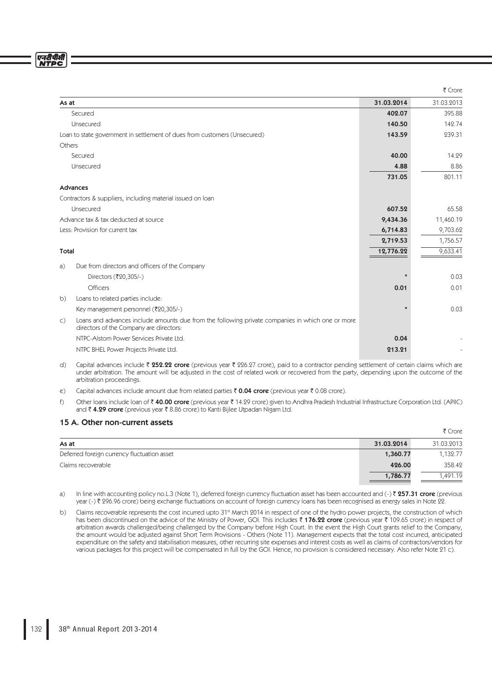एनटीपीसी **NTDC** 

|                                                                                                                                                               |            | ₹ Crore    |
|---------------------------------------------------------------------------------------------------------------------------------------------------------------|------------|------------|
| As at                                                                                                                                                         | 31.03.2014 | 31.03.2013 |
| Secured                                                                                                                                                       | 402.07     | 395.88     |
| Unsecured                                                                                                                                                     | 140.50     | 142.74     |
| Loan to state government in settlement of dues from customers (Unsecured)                                                                                     | 143.59     | 239.31     |
| Others                                                                                                                                                        |            |            |
| Secured                                                                                                                                                       | 40.00      | 14.29      |
| Unsecured                                                                                                                                                     | 4.88       | 8.86       |
|                                                                                                                                                               | 731.05     | 801.11     |
| Advances                                                                                                                                                      |            |            |
| Contractors & suppliers, including material issued on loan                                                                                                    |            |            |
| Unsecured                                                                                                                                                     | 607.52     | 65.58      |
| Advance tax & tax deducted at source                                                                                                                          | 9,434.36   | 11,460.19  |
| Less: Provision for current tax                                                                                                                               | 6,714.83   | 9,703.62   |
|                                                                                                                                                               | 2,719.53   | 1,756.57   |
| <b>Total</b>                                                                                                                                                  | 12,776.22  | 9,633.41   |
| Due from directors and officers of the Company<br>a)                                                                                                          |            |            |
| Directors (₹20,305/-)                                                                                                                                         |            | 0.03       |
| <b>Officers</b>                                                                                                                                               | 0.01       | 0.01       |
| Loans to related parties include:<br>b)                                                                                                                       |            |            |
| Key management personnel (₹20,305/-)                                                                                                                          |            | 0.03       |
| Loans and advances include amounts due from the following private companies in which one or more<br>$\mathsf{C}$ )<br>directors of the Company are directors: |            |            |
| NTPC-Alstom Power Services Private Ltd.                                                                                                                       | 0.04       |            |
| NTPC BHEL Power Projects Private Ltd.                                                                                                                         | 213.21     |            |

d) Capital advances include ₹ 252.22 crore (previous year ₹ 226.27 crore), paid to a contractor pending settlement of certain claims which are under arbitration. The amount will be adjusted in the cost of related work or recovered from the party, depending upon the outcome of the arbitration proceedings.

- e) Capital advances include amount due from related parties  $\bar{\tau}$  0.04 crore (previous year  $\bar{\tau}$  0.08 crore).
- f) Other loans include loan of  $\bar{\tau}$  40.00 crore (previous year  $\bar{\tau}$  14.29 crore) given to Andhra Pradesh Industrial Infrastructure Corporation Ltd. (APIIC) and ₹ 4.29 crore (previous year ₹ 8.86 crore) to Kanti Bijlee Utpadan Nigam Ltd.

# 15 A. Other non-current assets

|                                             |            | ₹ Crore    |
|---------------------------------------------|------------|------------|
| As at                                       | 31.03.2014 | 31.03.2013 |
| Deferred foreign currency fluctuation asset | 1,360.77   | 1,132.77   |
| Claims recoverable                          | 426.00     | 358.42     |
|                                             | 1,786.77   | .491.19    |

- a) In line with accounting policy no.L.3 (Note 1), deferred foreign currency fluctuation asset has been accounted and (-)  $\bar{z}$  257.31 crore (previous year (-)  $\bar{\tau}$  296.96 crore) being exchange fluctuations on account of foreign currency loans has been recognised as energy sales in Note 22.
- b) Claims recoverable represents the cost incurred upto 31<sup>st</sup> March 2014 in respect of one of the hydro power projects, the construction of which has been discontinued on the advice of the Ministry of Power, GOI. This includes  $\bar{\tau}$  176.22 crore (previous year  $\bar{\tau}$  109.65 crore) in respect of arbitration awards challenged/being challenged by the Company before High Court. In the event the High Court grants relief to the Company, the amount would be adjusted against Short Term Provisions - Others (Note 11). Management expects that the total cost incurred, anticipated expenditure on the safety and stabilisation measures, other recurring site expenses and interest costs as well as claims of contractors/vendors for various packages for this project will be compensated in full by the GOI. Hence, no provision is considered necessary. Also refer Note 21 c).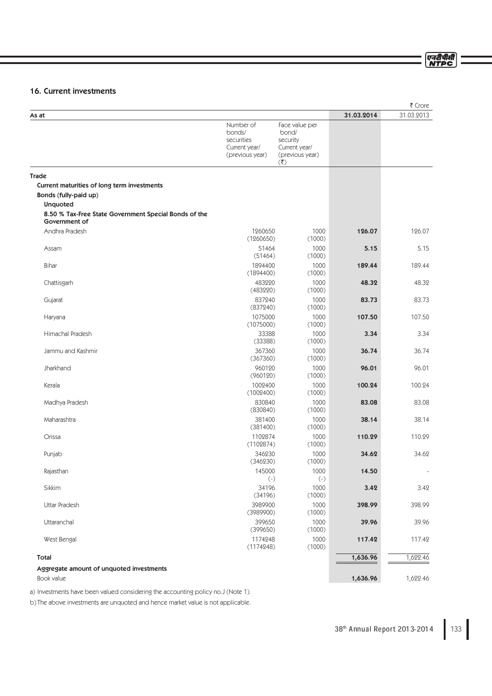# एनटीपीसी<br>NTPC

# 16. Current investments

|                                                                        |                                                                       |                                                                                                        |            | ₹ Crore    |
|------------------------------------------------------------------------|-----------------------------------------------------------------------|--------------------------------------------------------------------------------------------------------|------------|------------|
| As at                                                                  |                                                                       |                                                                                                        | 31.03.2014 | 31.03.2013 |
|                                                                        | Number of<br>bonds/<br>securities<br>Current year/<br>(previous year) | Face value per<br>bond/<br>security<br>Current year/<br>(previous year)<br>$(\overline{\mathfrak{F}})$ |            |            |
| <b>Trade</b>                                                           |                                                                       |                                                                                                        |            |            |
| Current maturities of long term investments                            |                                                                       |                                                                                                        |            |            |
| Bonds (fully-paid up)                                                  |                                                                       |                                                                                                        |            |            |
| <b>Unquoted</b>                                                        |                                                                       |                                                                                                        |            |            |
| 8.50 % Tax-Free State Government Special Bonds of the<br>Government of |                                                                       |                                                                                                        |            |            |
| Andhra Pradesh                                                         | 1260650<br>(1260650)                                                  | 1000<br>(1000)                                                                                         | 126.07     | 126.07     |
| Assam                                                                  | 51464<br>(51464)                                                      | 1000<br>(1000)                                                                                         | 5.15       | 5.15       |
| <b>Bihar</b>                                                           | 1894400<br>(1894400)                                                  | 1000<br>(1000)                                                                                         | 189.44     | 189.44     |
| Chattisgarh                                                            | 483220<br>(483220)                                                    | 1000<br>(1000)                                                                                         | 48.32      | 48.32      |
| Gujarat                                                                | 837240<br>(837240)                                                    | 1000<br>(1000)                                                                                         | 83.73      | 83.73      |
| Haryana                                                                | 1075000<br>(1075000)                                                  | 1000<br>(1000)                                                                                         | 107.50     | 107.50     |
| Himachal Pradesh                                                       | 33388<br>(33388)                                                      | 1000<br>(1000)                                                                                         | 3.34       | 3.34       |
| Jammu and Kashmir                                                      | 367360<br>(367360)                                                    | 1000<br>(1000)                                                                                         | 36.74      | 36.74      |
| Jharkhand                                                              | 960120<br>(960120)                                                    | 1000<br>(1000)                                                                                         | 96.01      | 96.01      |
| Kerala                                                                 | 1002400<br>(1002400)                                                  | 1000<br>(1000)                                                                                         | 100.24     | 100.24     |
| Madhya Pradesh                                                         | 830840<br>(830840)                                                    | 1000<br>(1000)                                                                                         | 83.08      | 83.08      |
| Maharashtra                                                            | 381400<br>(381400)                                                    | 1000<br>(1000)                                                                                         | 38.14      | 38.14      |
| Orissa                                                                 | 1102874<br>(1102874)                                                  | 1000<br>(1000)                                                                                         | 110.29     | 110.29     |
| Punjab                                                                 | 346230<br>(346230)                                                    | 1000<br>(1000)                                                                                         | 34.62      | 34.62      |
| Rajasthan                                                              | 145000<br>$(\text{-})$                                                | 1000<br>$(-)$                                                                                          | 14.50      |            |
| Sikkim                                                                 | 34196<br>(34196)                                                      | 1000<br>(1000)                                                                                         | 3.42       | 3.42       |
| Uttar Pradesh                                                          | 3989900<br>(3989900)                                                  | 1000<br>(1000)                                                                                         | 398.99     | 398.99     |
| Uttaranchal                                                            | 399650<br>(399650)                                                    | 1000<br>(1000)                                                                                         | 39.96      | 39.96      |
| West Bengal                                                            | 1174248<br>(1174248)                                                  | 1000<br>(1000)                                                                                         | 117.42     | 117.42     |
| Total<br>Aggregate amount of unquoted investments                      |                                                                       |                                                                                                        | 1,636.96   | 1,622.46   |
| Book value                                                             |                                                                       |                                                                                                        | 1,636.96   | 1,622.46   |

a) Investments have been valued considering the accounting policy no.J (Note 1).

b) The above investments are unquoted and hence market value is not applicable.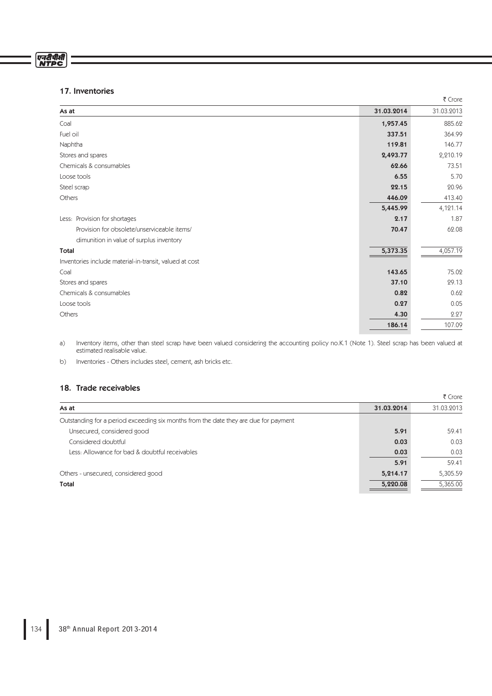# एनरीपीसी<br>NTPC

# 17. Inventories

|                                                         |            | ₹ Crore    |
|---------------------------------------------------------|------------|------------|
| As at                                                   | 31.03.2014 | 31.03.2013 |
| Coal                                                    | 1,957.45   | 885.62     |
| Fuel oil                                                | 337.51     | 364.99     |
| Naphtha                                                 | 119.81     | 146.77     |
| Stores and spares                                       | 2,493.77   | 2,210.19   |
| Chemicals & consumables                                 | 62.66      | 73.51      |
| Loose tools                                             | 6.55       | 5.70       |
| Steel scrap                                             | 22.15      | 20.96      |
| Others                                                  | 446.09     | 413.40     |
|                                                         | 5,445.99   | 4,121.14   |
| Less: Provision for shortages                           | 2.17       | 1.87       |
| Provision for obsolete/unserviceable items/             | 70.47      | 62.08      |
| dimunition in value of surplus inventory                |            |            |
| <b>Total</b>                                            | 5,373.35   | 4,057.19   |
| Inventories include material-in-transit, valued at cost |            |            |
| Coal                                                    | 143.65     | 75.02      |
| Stores and spares                                       | 37.10      | 29.13      |
| Chemicals & consumables                                 | 0.82       | 0.62       |
| Loose tools                                             | 0.27       | 0.05       |
| Others                                                  | 4.30       | 2.27       |
|                                                         | 186.14     | 107.09     |

a) Inventory items, other than steel scrap have been valued considering the accounting policy no.K.1 (Note 1). Steel scrap has been valued at estimated realisable value.

b) Inventories - Others includes steel, cement, ash bricks etc.

# 18. Trade receivables

|                                                                                      |            | ₹ Crore    |
|--------------------------------------------------------------------------------------|------------|------------|
| As at                                                                                | 31.03.2014 | 31.03.2013 |
| Outstanding for a period exceeding six months from the date they are due for payment |            |            |
| Unsecured, considered good                                                           | 5.91       | 59.41      |
| Considered doubtful                                                                  | 0.03       | 0.03       |
| Less: Allowance for bad & doubtful receivables                                       | 0.03       | 0.03       |
|                                                                                      | 5.91       | 59.41      |
| Others - unsecured, considered good                                                  | 5,214.17   | 5,305.59   |
| Total                                                                                | 5,220.08   | 5,365.00   |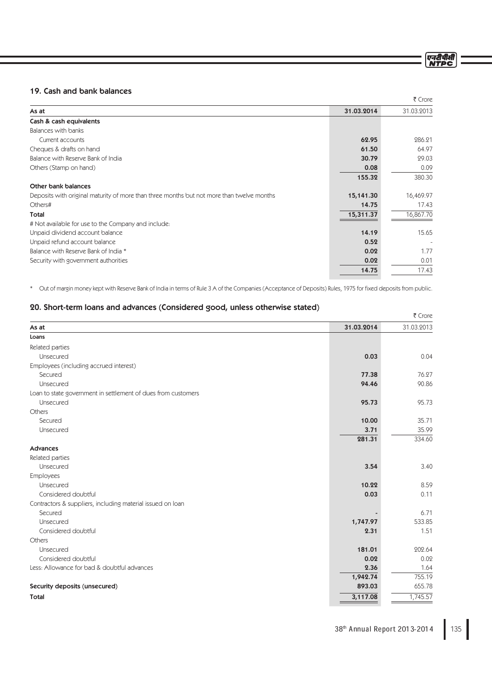एनटीपीसी<br>NTDC

# 19. Cash and bank balances

|                                                                                           |            | ₹ Crore    |
|-------------------------------------------------------------------------------------------|------------|------------|
| As at                                                                                     | 31.03.2014 | 31.03.2013 |
| Cash & cash equivalents                                                                   |            |            |
| Balances with banks                                                                       |            |            |
| Current accounts                                                                          | 62.95      | 286.21     |
| Cheques & drafts on hand                                                                  | 61.50      | 64.97      |
| Balance with Reserve Bank of India                                                        | 30.79      | 29.03      |
| Others (Stamp on hand)                                                                    | 0.08       | 0.09       |
|                                                                                           | 155.32     | 380.30     |
| Other bank balances                                                                       |            |            |
| Deposits with original maturity of more than three months but not more than twelve months | 15,141.30  | 16,469.97  |
| Others#                                                                                   | 14.75      | 17.43      |
| Total                                                                                     | 15,311.37  | 16,867.70  |
| # Not available for use to the Company and include:                                       |            |            |
| Unpaid dividend account balance                                                           | 14.19      | 15.65      |
| Unpaid refund account balance                                                             | 0.52       |            |
| Balance with Reserve Bank of India *                                                      | 0.02       | 1.77       |
| Security with government authorities                                                      | 0.02       | 0.01       |
|                                                                                           | 14.75      | 17.43      |
|                                                                                           |            |            |

\* Out of margin money kept with Reserve Bank of India in terms of Rule 3 A of the Companies (Acceptance of Deposits) Rules, 1975 for fixed deposits from public.

# 20. Short-term loans and advances (Considered good, unless otherwise stated)

|                                                               |            | ₹ Crore    |
|---------------------------------------------------------------|------------|------------|
| As at                                                         | 31.03.2014 | 31.03.2013 |
| Loans                                                         |            |            |
| Related parties                                               |            |            |
| Unsecured                                                     | 0.03       | 0.04       |
| Employees (including accrued interest)                        |            |            |
| Secured                                                       | 77.38      | 76.27      |
| Unsecured                                                     | 94.46      | 90.86      |
| Loan to state government in settlement of dues from customers |            |            |
| Unsecured                                                     | 95.73      | 95.73      |
| Others                                                        |            |            |
| Secured                                                       | 10.00      | 35.71      |
| Unsecured                                                     | 3.71       | 35.99      |
|                                                               | 281.31     | 334.60     |
| Advances                                                      |            |            |
| Related parties                                               |            |            |
| Unsecured                                                     | 3.54       | 3.40       |
| <b>Employees</b>                                              |            |            |
| Unsecured                                                     | 10.22      | 8.59       |
| Considered doubtful                                           | 0.03       | 0.11       |
| Contractors & suppliers, including material issued on loan    |            |            |
| Secured                                                       |            | 6.71       |
| Unsecured                                                     | 1,747.97   | 533.85     |
| Considered doubtful                                           | 2.31       | 1.51       |
| Others                                                        |            |            |
| Unsecured                                                     | 181.01     | 202.64     |
| Considered doubtful                                           | 0.02       | 0.02       |
| Less: Allowance for bad & doubtful advances                   | 2.36       | 1.64       |
|                                                               | 1,942.74   | 755.19     |
| Security deposits (unsecured)                                 | 893.03     | 655.78     |
| <b>Total</b>                                                  | 3,117.08   | 1,745.57   |
|                                                               |            |            |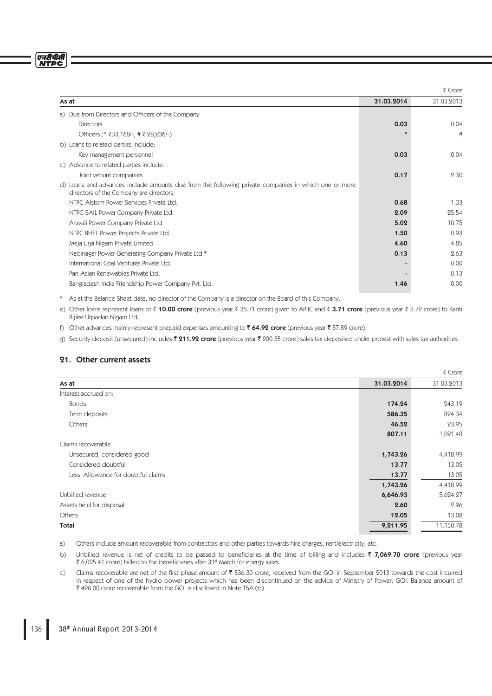# एनरीपीसी<br>NTPC

|                                                                                                                                                |            | ₹ Crore    |
|------------------------------------------------------------------------------------------------------------------------------------------------|------------|------------|
| As at                                                                                                                                          | 31.03.2014 | 31.03.2013 |
| a) Due from Directors and Officers of the Company                                                                                              |            |            |
| <b>Directors</b>                                                                                                                               | 0.03       | 0.04       |
| Officers (* ₹33,168/-, # ₹ 28,236/-)                                                                                                           |            | #          |
| b) Loans to related parties include:                                                                                                           |            |            |
| Key management personnel                                                                                                                       | 0.03       | 0.04       |
| c) Advance to related parties include:                                                                                                         |            |            |
| Joint venure companies                                                                                                                         | 0.17       | 2.30       |
| d) Loans and advances include amounts due from the following private companies in which one or more<br>directors of the Company are directors: |            |            |
| NTPC-Alstom Power Services Private Ltd.                                                                                                        | 0.68       | 1.33       |
| NTPC-SAIL Power Company Private Ltd.                                                                                                           | 2.09       | 25.54      |
| Aravali Power Company Private Ltd.                                                                                                             | 5.02       | 10.75      |
| NTPC BHEL Power Projects Private Ltd.                                                                                                          | 1.50       | 0.93       |
| Meja Urja Nigam Private Limited                                                                                                                | 4.60       | 4.85       |
| Nabinagar Power Generating Company Private Ltd.*                                                                                               | 0.13       | 2.63       |
| International Coal Ventures Private Ltd.                                                                                                       |            | 0.00       |
| Pan-Asian Renewables Private Ltd.                                                                                                              |            | 0.13       |
| Bangladesh India Friendship Power Company Pvt. Ltd.                                                                                            | 1.46       | 0.00       |

\* As at the Balance Sheet date, no director of the Company is a director on the Board of this Company.

e) Other loans represent loans of  $\bar{\tau}$  10.00 crore (previous year  $\bar{\tau}$  35.71 crore) given to APIIC and  $\bar{\tau}$  3.71 crore (previous year  $\bar{\tau}$  3.72 crore) to Kanti Bijlee Utpadan Nigam Ltd..

f) Other advances mainly represent prepaid expenses amounting to  $\bar{\tau}$  64.92 crore (previous year  $\bar{\tau}$  57.89 crore).

g) Security deposit (unsecured) includes ₹ 211.92 crore (previous year ₹ 200.35 crore) sales tax deposited under protest with sales tax authorities.

 $\overline{z}$   $\overline{c}$ 

# 21. Other current assets

|                                     |            | R CIOIR    |
|-------------------------------------|------------|------------|
| As at                               | 31.03.2014 | 31.03.2013 |
| Interest accrued on:                |            |            |
| <b>Bonds</b>                        | 174.24     | 243.19     |
| Term deposits                       | 586.35     | 824.34     |
| Others                              | 46.52      | 23.95      |
|                                     | 807.11     | 1,091.48   |
| Claims recoverable                  |            |            |
| Unsecured, considered good          | 1,743.26   | 4,418.99   |
| Considered doubtful                 | 13.77      | 13.05      |
| Less: Allowance for doubtful claims | 13.77      | 13.05      |
|                                     | 1,743.26   | 4,418.99   |
| Unbilled revenue                    | 6,646.93   | 5,624.27   |
| Assets held for disposal            | 2.60       | 2.96       |
| Others                              | 12.05      | 13.08      |
| Total                               | 9,211.95   | 11,150.78  |
|                                     |            |            |

a) Others include amount recoverable from contractors and other parties towards hire charges, rent/electricity, etc.

b) Unbilled revenue is net of credits to be passed to beneficiaries at the time of billing and includes  $\bar{\tau}$  7,069.70 crore (previous year  $\bar{\tau}$  6,005.41 crore) billed to the beneficiaries after 31st March for energy sales.

c) Claims recoverable are net of the first phase amount of  $\bar{z}$  536.30 crore, received from the GOI in September 2013 towards the cost incurred in respect of one of the hydro power projects which has been discontinued on the advice of Ministry of Power, GOI. Balance amount of ` 426.00 crore recoverable from the GOI is disclosed in Note 15A (b).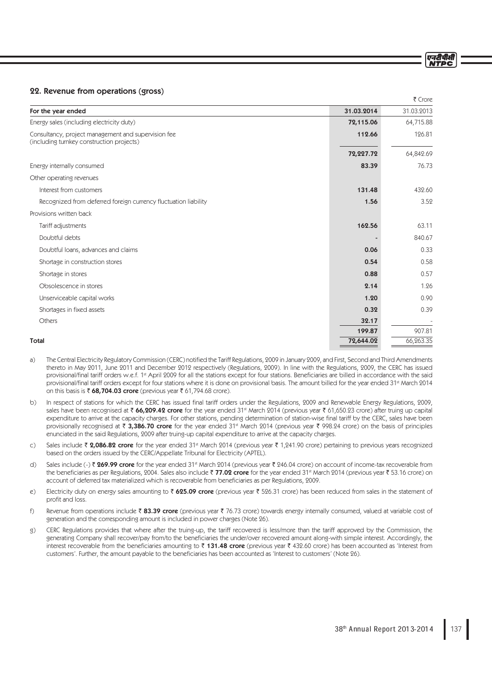# 22. Revenue from operations (gross)

|                                                                                                  |            | $\sim$     |
|--------------------------------------------------------------------------------------------------|------------|------------|
| For the year ended                                                                               | 31.03.2014 | 31.03.2013 |
| Energy sales (including electricity duty)                                                        | 72,115.06  | 64,715.88  |
| Consultancy, project management and supervision fee<br>(including turnkey construction projects) | 112.66     | 126.81     |
|                                                                                                  | 72,227.72  | 64,842.69  |
| Energy internally consumed                                                                       | 83.39      | 76.73      |
| Other operating revenues                                                                         |            |            |
| Interest from customers                                                                          | 131.48     | 432.60     |
| Recognized from deferred foreign currency fluctuation liability                                  | 1.56       | 3.52       |
| Provisions written back                                                                          |            |            |
| Tariff adjustments                                                                               | 162.56     | 63.11      |
| Doubtful debts                                                                                   |            | 840.67     |
| Doubtful loans, advances and claims                                                              | 0.06       | 0.33       |
| Shortage in construction stores                                                                  | 0.54       | 0.58       |
| Shortage in stores                                                                               | 0.88       | 0.57       |
| Obsolescence in stores                                                                           | 2.14       | 1.26       |
| Unserviceable capital works                                                                      | 1.20       | 0.90       |
| Shortages in fixed assets                                                                        | 0.32       | 0.39       |
| Others                                                                                           | 32.17      |            |
|                                                                                                  | 199.87     | 907.81     |
| <b>Total</b>                                                                                     | 72,644.02  | 66,263.35  |

- a) The Central Electricity Regulatory Commission (CERC) notified the Tariff Regulations, 2009 in January 2009, and First, Second and Third Amendments thereto in May 2011, June 2011 and December 2012 respectively (Regulations, 2009). In line with the Regulations, 2009, the CERC has issued provisional/final tariff orders w.e.f. 1<sup>st</sup> April 2009 for all the stations except for four stations. Beneficiaries are billed in accordance with the said provisional/final tariff orders except for four stations where it is done on provisional basis. The amount billed for the year ended 31<sup>st</sup> March 2014 on this basis is  $\bar{\tau}$  68,704.03 crore (previous year  $\bar{\tau}$  61,794.68 crore).
- b) In respect of stations for which the CERC has issued final tariff orders under the Regulations, 2009 and Renewable Energy Regulations, 2009, sales have been recognised at ₹66,209.42 crore for the year ended 31st March 2014 (previous year ₹ 61,650.23 crore) after truing up capital expenditure to arrive at the capacity charges. For other stations, pending determination of station-wise final tariff by the CERC, sales have been provisionally recognised at  $\bar{\tau}$  3,386.70 crore for the year ended 31<sup>st</sup> March 2014 (previous year  $\bar{\tau}$  998.24 crore) on the basis of principles enunciated in the said Regulations, 2009 after truing-up capital expenditure to arrive at the capacity charges.
- c) Sales include  $\bar{\tau}$  2,086.82 crore for the year ended 31<sup>st</sup> March 2014 (previous year  $\bar{\tau}$  1,241.90 crore) pertaining to previous years recognized based on the orders issued by the CERC/Appellate Tribunal for Electricity (APTEL).
- d) Sales include (-)  $\bar{\zeta}$  269.99 crore for the year ended 31<sup>st</sup> March 2014 (previous year  $\bar{\zeta}$  246.04 crore) on account of income-tax recoverable from the beneficiaries as per Regulations, 2004. Sales also include  $\bar{\zeta}$  77.02 crore for the year ended 31<sup>st</sup> March 2014 (previous year  $\bar{\zeta}$  53.16 crore) on account of deferred tax materialized which is recoverable from beneficiaries as per Regulations, 2009.
- e) Electricity duty on energy sales amounting to  $\bar{\tau}$  625.09 crore (previous year  $\bar{\tau}$  526.31 crore) has been reduced from sales in the statement of profit and loss.
- f) Revenue from operations include  $\bar{\epsilon}$  83.39 crore (previous year  $\bar{\epsilon}$  76.73 crore) towards energy internally consumed, valued at variable cost of generation and the corresponding amount is included in power charges (Note 26).
- g) CERC Regulations provides that where after the truing-up, the tariff recovered is less/more than the tariff approved by the Commission, the generating Company shall recover/pay from/to the beneficiaries the under/over recovered amount along-with simple interest. Accordingly, the interest recoverable from the beneficiaries amounting to  $\bar{\tau}$  131.48 crore (previous year  $\bar{\tau}$  432.60 crore) has been accounted as 'Interest from customers'. Further, the amount payable to the beneficiaries has been accounted as 'Interest to customers' (Note 26).

 $F$  Crore

एनटीपीसी **NTDC**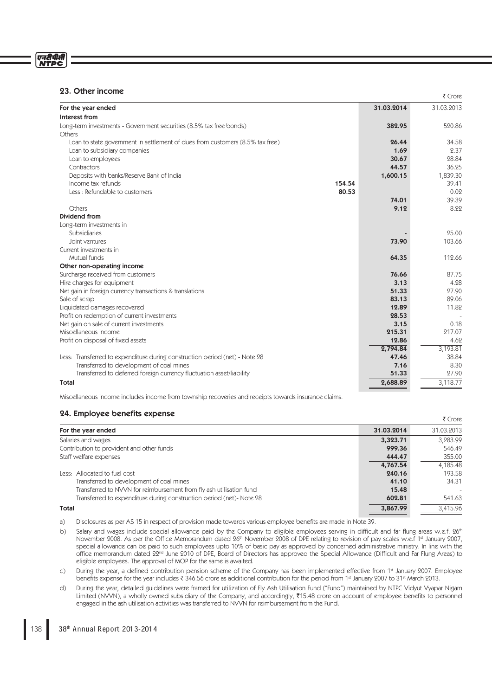# एनरीपीर्स<br>NTPC

# 23. Other income

| סטופו וויכטוונ                                                                |        |            | ₹ Crore    |
|-------------------------------------------------------------------------------|--------|------------|------------|
| For the year ended                                                            |        | 31.03.2014 | 31.03.2013 |
| Interest from                                                                 |        |            |            |
| Long-term investments - Government securities (8.5% tax free bonds)           |        | 382.95     | 520.86     |
| Others                                                                        |        |            |            |
| Loan to state government in settlement of dues from customers (8.5% tax free) |        | 26.44      | 34.58      |
| Loan to subsidiary companies                                                  |        | 1.69       | 2.37       |
| Loan to employees                                                             |        | 30.67      | 28.84      |
| Contractors                                                                   |        | 44.57      | 36.25      |
| Deposits with banks/Reserve Bank of India                                     |        | 1,600.15   | 1,839.30   |
| Income tax refunds                                                            | 154.54 |            | 39.41      |
| Less: Refundable to customers                                                 | 80.53  |            | 0.02       |
|                                                                               |        | 74.01      | 39.39      |
| Others                                                                        |        | 9.12       | 8.22       |
| Dividend from                                                                 |        |            |            |
| Long-term investments in                                                      |        |            |            |
| Subsidiaries                                                                  |        |            | 25.00      |
| Joint ventures                                                                |        | 73.90      | 103.66     |
| Current investments in                                                        |        |            |            |
| Mutual funds                                                                  |        | 64.35      | 112.66     |
| Other non-operating income                                                    |        |            |            |
| Surcharge received from customers                                             |        | 76.66      | 87.75      |
| Hire charges for equipment                                                    |        | 3.13       | 4.28       |
| Net gain in foreign currency transactions & translations                      |        | 51.33      | 27.90      |
| Sale of scrap                                                                 |        | 83.13      | 89.06      |
| Liquidated damages recovered                                                  |        | 12.89      | 11.82      |
| Profit on redemption of current investments                                   |        | 28.53      |            |
| Net gain on sale of current investments                                       |        | 3.15       | 0.18       |
| Miscellaneous income                                                          |        | 215.31     | 217.07     |
| Profit on disposal of fixed assets                                            |        | 12.86      | 4.62       |
|                                                                               |        | 2,794.84   | 3,193.81   |
| Less: Transferred to expenditure during construction period (net) - Note 28   |        | 47.46      | 38.84      |
| Transferred to development of coal mines                                      |        | 7.16       | 8.30       |
| Transferred to deferred foreign currency fluctuation asset/liability          |        | 51.33      | 27.90      |
| <b>Total</b>                                                                  |        | 2,688.89   | 3.118.77   |

Miscellaneous income includes income from township recoveries and receipts towards insurance claims.

# 24. Employee benefits expense

| $27.$ Employee ocherts expense                                      |            | ₹ Crore                  |
|---------------------------------------------------------------------|------------|--------------------------|
| For the year ended                                                  | 31.03.2014 | 31.03.2013               |
| Salaries and wages                                                  | 3,323.71   | 3,283.99                 |
| Contribution to provident and other funds                           | 999.36     | 546.49                   |
| Staff welfare expenses                                              | 444.47     | 355.00                   |
|                                                                     | 4,767.54   | 4,185.48                 |
| Less: Allocated to fuel cost                                        | 240.16     | 193.58                   |
| Transferred to development of coal mines                            | 41.10      | 34.31                    |
| Transferred to NVVN for reimbursement from fly ash utilisation fund | 15.48      | $\overline{\phantom{a}}$ |
| Transferred to expenditure during construction period (net)-Note 28 | 602.81     | 541.63                   |
| Total                                                               | 3,867.99   | 3,415.96                 |

a) Disclosures as per AS 15 in respect of provision made towards various employee benefits are made in Note 39.

- b) Salary and wages include special allowance paid by the Company to eligible employees serving in difficult and far flung areas w.e.f.  $26<sup>th</sup>$ Example 2008. As per the Office Memorandum dated 26<sup>th</sup> November 2008 of DPE relating to revision of pay scales w.e.f 1st January 2007, special allowance can be paid to such employees upto 10% of basic pay as approved by concerned administrative ministry. In line with the office memorandum dated 22<sup>nd</sup> June 2010 of DPE, Board of Directors has approved the Special Allowance (Difficult and Far Flung Areas) to eligible employees. The approval of MOP for the same is awaited.
- c) During the year, a defined contribution pension scheme of the Company has been implemented effective from 1st January 2007. Employee benefits expense for the year includes ₹ 346.56 crore as additional contribution for the period from 1<sup>st</sup> January 2007 to 31<sup>st</sup> March 2013.
- d) During the year, detailed guidelines were framed for utilization of Fly Ash Utilisation Fund ("Fund") maintained by NTPC Vidyut Vyapar Nigam Limited (NVVN), a wholly owned subsidiary of the Company, and accordingly, ₹15.48 crore on account of employee benefits to personnel engaged in the ash utilisation activities was transferred to NVVN for reimbursement from the Fund.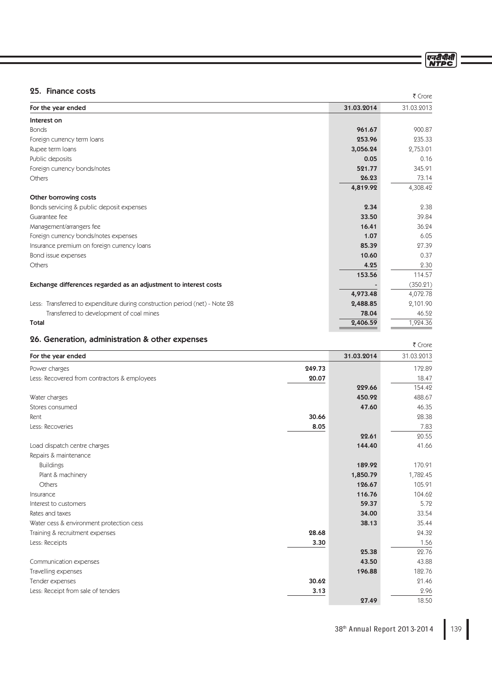एनदीपीसी<br>NTPC

# 25. Finance costs

| 25. Finance costs                                                           |            | ₹ Crore    |
|-----------------------------------------------------------------------------|------------|------------|
| For the year ended                                                          | 31.03.2014 | 31.03.2013 |
| Interest on                                                                 |            |            |
| <b>Bonds</b>                                                                | 961.67     | 900.87     |
| Foreign currency term loans                                                 | 253.96     | 235.33     |
| Rupee term loans                                                            | 3,056.24   | 2,753.01   |
| Public deposits                                                             | 0.05       | 0.16       |
| Foreign currency bonds/notes                                                | 521.77     | 345.91     |
| Others                                                                      | 26.23      | 73.14      |
|                                                                             | 4,819.92   | 4,308.42   |
| Other borrowing costs                                                       |            |            |
| Bonds servicing & public deposit expenses                                   | 2.34       | 2.38       |
| Guarantee fee                                                               | 33.50      | 39.84      |
| Management/arrangers fee                                                    | 16.41      | 36.24      |
| Foreign currency bonds/notes expenses                                       | 1.07       | 6.05       |
| Insurance premium on foreign currency loans                                 | 85.39      | 27.39      |
| Bond issue expenses                                                         | 10.60      | 0.37       |
| Others                                                                      | 4.25       | 2.30       |
|                                                                             | 153.56     | 114.57     |
| Exchange differences regarded as an adjustment to interest costs            |            | (350.21)   |
|                                                                             | 4,973.48   | 4,072.78   |
| Less: Transferred to expenditure during construction period (net) - Note 28 | 2,488.85   | 2,101.90   |
| Transferred to development of coal mines                                    | 78.04      | 46.52      |
| Total                                                                       | 2,406.59   | 1,924.36   |

# 26. Generation, administration & other expenses

| zo. Generation, administration & Other experises |        |            | ₹ Crore    |
|--------------------------------------------------|--------|------------|------------|
| For the year ended                               |        | 31.03.2014 | 31.03.2013 |
| Power charges                                    | 249.73 |            | 172.89     |
| Less: Recovered from contractors & employees     | 20.07  |            | 18.47      |
|                                                  |        | 229.66     | 154.42     |
| Water charges                                    |        | 450.92     | 488.67     |
| Stores consumed                                  |        | 47.60      | 46.35      |
| Rent                                             | 30.66  |            | 28.38      |
| Less: Recoveries                                 | 8.05   |            | 7.83       |
|                                                  |        | 22.61      | 20.55      |
| Load dispatch centre charges                     |        | 144.40     | 41.66      |
| Repairs & maintenance                            |        |            |            |
| <b>Buildings</b>                                 |        | 189.92     | 170.91     |
| Plant & machinery                                |        | 1,850.79   | 1,782.45   |
| Others                                           |        | 126.67     | 105.91     |
| Insurance                                        |        | 116.76     | 104.62     |
| Interest to customers                            |        | 59.37      | 5.72       |
| Rates and taxes                                  |        | 34.00      | 33.54      |
| Water cess & environment protection cess         |        | 38.13      | 35.44      |
| Training & recruitment expenses                  | 28.68  |            | 24.32      |
| Less: Receipts                                   | 3.30   |            | 1.56       |
|                                                  |        | 25.38      | 22.76      |
| Communication expenses                           |        | 43.50      | 43.88      |
| Travelling expenses                              |        | 196.88     | 182.76     |
| Tender expenses                                  | 30.62  |            | 21.46      |
| Less: Receipt from sale of tenders               | 3.13   |            | 2.96       |
|                                                  |        | 27.49      | 18.50      |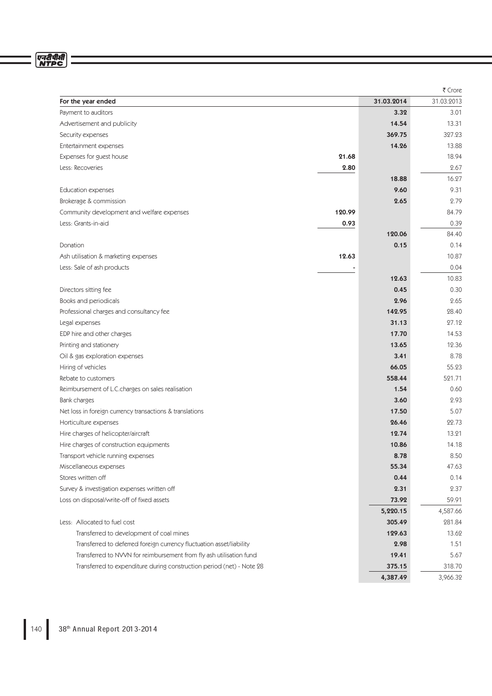# एनदीपीसी<br>NTPC

|                                                                       |        |            | ₹ Crore    |
|-----------------------------------------------------------------------|--------|------------|------------|
| For the year ended                                                    |        | 31.03.2014 | 31.03.2013 |
| Payment to auditors                                                   |        | 3.32       | 3.01       |
| Advertisement and publicity                                           |        | 14.54      | 13.31      |
| Security expenses                                                     |        | 369.75     | 327.23     |
| Entertainment expenses                                                |        | 14.26      | 13.88      |
| Expenses for guest house                                              | 21.68  |            | 18.94      |
| Less: Recoveries                                                      | 2.80   |            | 2.67       |
|                                                                       |        | 18.88      | 16.27      |
| <b>Education expenses</b>                                             |        | 9.60       | 9.31       |
| Brokerage & commission                                                |        | 2.65       | 2.79       |
| Community development and welfare expenses                            | 120.99 |            | 84.79      |
| Less: Grants-in-aid                                                   | 0.93   |            | 0.39       |
|                                                                       |        | 120.06     | 84.40      |
| Donation                                                              |        | 0.15       | 0.14       |
| Ash utilisation & marketing expenses                                  | 12.63  |            | 10.87      |
| Less: Sale of ash products                                            |        |            | 0.04       |
|                                                                       |        | 12.63      | 10.83      |
| Directors sitting fee                                                 |        | 0.45       | 0.30       |
| Books and periodicals                                                 |        | 2.96       | 2.65       |
| Professional charges and consultancy fee                              |        | 142.95     | 28.40      |
| Legal expenses                                                        |        | 31.13      | 27.12      |
| EDP hire and other charges                                            |        | 17.70      | 14.53      |
| Printing and stationery                                               |        | 13.65      | 12.36      |
| Oil & gas exploration expenses                                        |        | 3.41       | 8.78       |
| Hiring of vehicles                                                    |        | 66.05      | 55.23      |
| Rebate to customers                                                   |        | 558.44     | 521.71     |
| Reimbursement of L.C.charges on sales realisation                     |        | 1.54       | 0.60       |
| Bank charges                                                          |        | 3.60       | 2.93       |
| Net loss in foreign currency transactions & translations              |        | 17.50      | 5.07       |
| Horticulture expenses                                                 |        | 26.46      | 22.73      |
| Hire charges of helicopter/aircraft                                   |        | 12.74      | 13.21      |
| Hire charges of construction equipments                               |        | 10.86      | 14.18      |
| Transport vehicle running expenses                                    |        | 8.78       | 8.50       |
| Miscellaneous expenses                                                |        | 55.34      | 47.63      |
| Stores written off                                                    |        | 0.44       | 0.14       |
| Survey & investigation expenses written off                           |        | 2.31       | 2.37       |
| Loss on disposal/write-off of fixed assets                            |        | 73.92      | 59.91      |
|                                                                       |        | 5,220.15   | 4,587.66   |
| Less: Allocated to fuel cost                                          |        | 305.49     | 281.84     |
| Transferred to development of coal mines                              |        | 129.63     | 13.62      |
| Transferred to deferred foreign currency fluctuation asset/liability  |        | 2.98       | 1.51       |
| Transferred to NVVN for reimbursement from fly ash utilisation fund   |        | 19.41      | 5.67       |
| Transferred to expenditure during construction period (net) - Note 28 |        | 375.15     | 318.70     |
|                                                                       |        | 4,387.49   | 3,966.32   |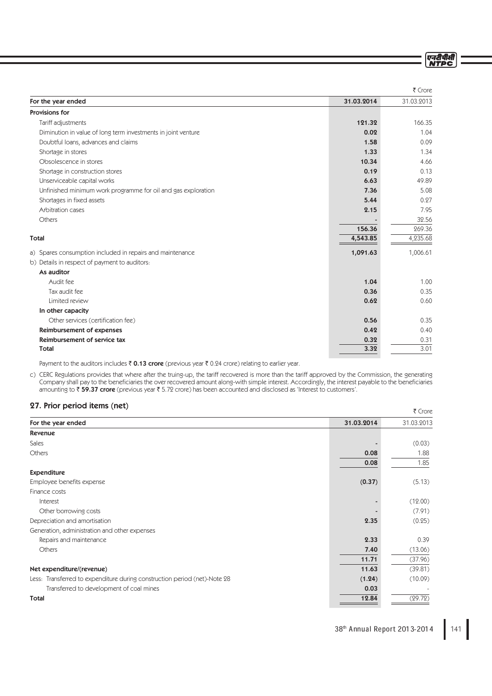ण्नदीपीसी<br>NTPC

|                                                               |            | ₹ Crore    |
|---------------------------------------------------------------|------------|------------|
| For the year ended                                            | 31.03.2014 | 31.03.2013 |
| Provisions for                                                |            |            |
| Tariff adjustments                                            | 121.32     | 166.35     |
| Diminution in value of long term investments in joint venture | 0.02       | 1.04       |
| Doubtful loans, advances and claims                           | 1.58       | 0.09       |
| Shortage in stores                                            | 1.33       | 1.34       |
| Obsolescence in stores                                        | 10.34      | 4.66       |
| Shortage in construction stores                               | 0.19       | 0.13       |
| Unserviceable capital works                                   | 6.63       | 49.89      |
| Unfinished minimum work programme for oil and gas exploration | 7.36       | 5.08       |
| Shortages in fixed assets                                     | 5.44       | 0.97       |
| Arbitration cases                                             | 2.15       | 7.95       |
| Others                                                        |            | 32.56      |
|                                                               | 156.36     | 269.36     |
| <b>Total</b>                                                  | 4,543.85   | 4,235.68   |
| a) Spares consumption included in repairs and maintenance     | 1,091.63   | 1,006.61   |
| b) Details in respect of payment to auditors:                 |            |            |
| As auditor                                                    |            |            |
| Audit fee                                                     | 1.04       | 1.00       |
| Tax audit fee                                                 | 0.36       | 0.35       |
| Limited review                                                | 0.62       | 0.60       |
| In other capacity                                             |            |            |
| Other services (certification fee)                            | 0.56       | 0.35       |
| Reimbursement of expenses                                     | 0.42       | 0.40       |
| Reimbursement of service tax                                  | 0.32       | 0.31       |
| <b>Total</b>                                                  | 3.32       | 3.01       |

Payment to the auditors includes  $\bar{\tau}$  0.13 crore (previous year  $\bar{\tau}$  0.24 crore) relating to earlier year.

c) CERC Regulations provides that where after the truing-up, the tariff recovered is more than the tariff approved by the Commission, the generating Company shall pay to the beneficiaries the over recovered amount along-with simple interest. Accordingly, the interest payable to the beneficiaries amounting to  $\bar{\tau}$  59.37 crore (previous year  $\bar{\tau}$  5.72 crore) has been accounted and disclosed as 'Interest to customers'.

# 27. Prior period items (net)

| $21.$ FIIUI DEIIUU ILEIIIS (IIEL)                                         |            | ₹ Crore    |
|---------------------------------------------------------------------------|------------|------------|
| For the year ended                                                        | 31.03.2014 | 31.03.2013 |
| Revenue                                                                   |            |            |
| Sales                                                                     |            | (0.03)     |
| Others                                                                    | 0.08       | 1.88       |
|                                                                           | 0.08       | 1.85       |
| <b>Expenditure</b>                                                        |            |            |
| Employee benefits expense                                                 | (0.37)     | (5.13)     |
| Finance costs                                                             |            |            |
| Interest                                                                  |            | (12.00)    |
| Other borrowing costs                                                     |            | (7.91)     |
| Depreciation and amortisation                                             | 2.35       | (0.25)     |
| Generation, administration and other expenses                             |            |            |
| Repairs and maintenance                                                   | 2.33       | 0.39       |
| Others                                                                    | 7.40       | (13.06)    |
|                                                                           | 11.71      | (37.96)    |
| Net expenditure/(revenue)                                                 | 11.63      | (39.81)    |
| Less: Transferred to expenditure during construction period (net)-Note 28 | (1.24)     | (10.09)    |
| Transferred to development of coal mines                                  | 0.03       |            |
| Total                                                                     | 12.84      | (29.72)    |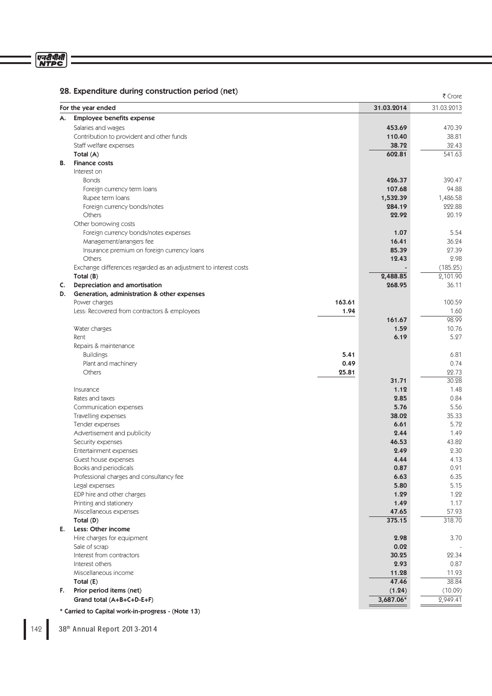# 28. Expenditure during construction period (net)

|    | For the year ended                                               |        | 31.03.2014 | 31.03.2013 |
|----|------------------------------------------------------------------|--------|------------|------------|
| А. | <b>Employee benefits expense</b>                                 |        |            |            |
|    | Salaries and wages                                               |        | 453.69     | 470.39     |
|    | Contribution to provident and other funds                        |        | 110.40     | 38.81      |
|    | Staff welfare expenses                                           |        | 38.72      | 32.43      |
|    | Total (A)                                                        |        | 602.81     | 541.63     |
| В. | <b>Finance costs</b>                                             |        |            |            |
|    | Interest on                                                      |        |            |            |
|    | <b>Bonds</b>                                                     |        | 426.37     | 390.47     |
|    | Foreign currency term loans                                      |        | 107.68     | 94.88      |
|    | Rupee term loans                                                 |        | 1,532.39   | 1,486.58   |
|    | Foreign currency bonds/notes                                     |        | 284.19     | 222.88     |
|    | Others                                                           |        | 22.92      | 20.19      |
|    | Other borrowing costs                                            |        |            |            |
|    | Foreign currency bonds/notes expenses                            |        | 1.07       | 5.54       |
|    | Management/arrangers fee                                         |        | 16.41      | 36.24      |
|    | Insurance premium on foreign currency loans                      |        | 85.39      | 27.39      |
|    | Others                                                           |        | 12.43      | 2.98       |
|    | Exchange differences regarded as an adjustment to interest costs |        |            | (185.25)   |
|    | Total $(B)$                                                      |        | 2,488.85   | 2,101.90   |
| C. | Depreciation and amortisation                                    |        | 268.95     | 36.11      |
| D. | Generation, administration & other expenses                      |        |            |            |
|    | Power charges                                                    | 163.61 |            | 100.59     |
|    | Less: Recovered from contractors & employees                     | 1.94   |            | 1.60       |
|    |                                                                  |        | 161.67     | 98.99      |
|    | Water charges                                                    |        | 1.59       | 10.76      |
|    | Rent                                                             |        | 6.19       | 5.27       |
|    | Repairs & maintenance                                            |        |            |            |
|    | <b>Buildings</b>                                                 | 5.41   |            | 6.81       |
|    | Plant and machinery                                              | 0.49   |            | 0.74       |
|    | Others                                                           | 25.81  |            | 22.73      |
|    |                                                                  |        | 31.71      | 30.28      |
|    | Insurance                                                        |        | 1.12       | 1.48       |
|    | Rates and taxes                                                  |        | 2.85       | 0.84       |
|    | Communication expenses                                           |        | 5.76       | 5.56       |
|    | Travelling expenses                                              |        | 38.02      | 35.33      |
|    | Tender expenses                                                  |        | 6.61       | 5.72       |
|    | Advertisement and publicity                                      |        | 2.44       | 1.49       |
|    | Security expenses                                                |        | 46.53      | 43.82      |
|    | Entertainment expenses                                           |        | 2.49       | 2.30       |
|    | Guest house expenses                                             |        | 4.44       | 4.13       |
|    | Books and periodicals                                            |        | 0.87       | 0.91       |
|    | Professional charges and consultancy fee                         |        | 6.63       | 6.35       |
|    | Legal expenses                                                   |        | 5.80       | 5.15       |
|    | EDP hire and other charges                                       |        | 1.29       | 1.22       |
|    | Printing and stationery                                          |        | 1.49       | 1.17       |
|    | Miscellaneous expenses                                           |        | 47.65      | 57.93      |
|    | Total (D)                                                        |        | 375.15     | 318.70     |
| Е. | Less: Other income                                               |        |            |            |
|    | Hire charges for equipment                                       |        | 2.98       | 3.70       |
|    | Sale of scrap                                                    |        | 0.02       |            |
|    | Interest from contractors                                        |        | 30.25      | 22.34      |
|    | Interest others                                                  |        | 2.93       | 0.87       |
|    | Miscellaneous income                                             |        | 11.28      | 11.93      |
|    | Total (E)                                                        |        | 47.46      | 38.84      |
|    | Prior period items (net)                                         |        | (1.24)     | (10.09)    |
| F. | Grand total (A+B+C+D-E+F)                                        |        | 3,687.06*  | 2,949.41   |

142 38<sup>th</sup> Annual Report 2013-2014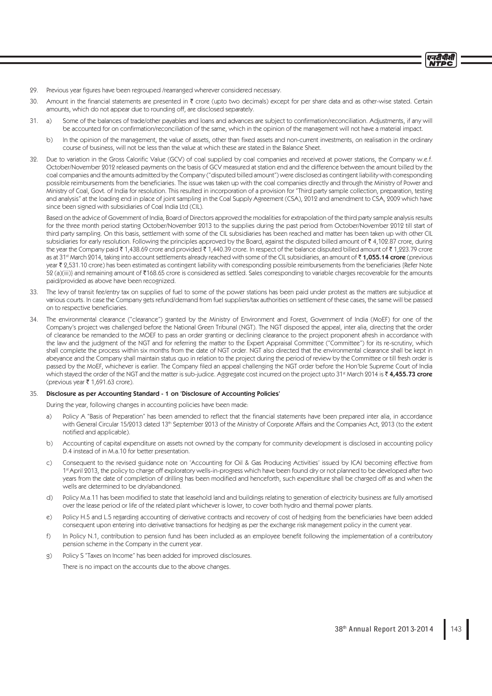एनटीपीसी

- 29. Previous year figures have been regrouped /rearranged wherever considered necessary.
- 30. Amount in the financial statements are presented in  $\bar{\tau}$  crore (upto two decimals) except for per share data and as other-wise stated. Certain amounts, which do not appear due to rounding off, are disclosed separately.
- 31. a) Some of the balances of trade/other payables and loans and advances are subject to confirmation/reconciliation. Adjustments, if any will be accounted for on confirmation/reconciliation of the same, which in the opinion of the management will not have a material impact.
	- b) In the opinion of the management, the value of assets, other than fixed assets and non-current investments, on realisation in the ordinary course of business, will not be less than the value at which these are stated in the Balance Sheet.
- 32. Due to variation in the Gross Calorific Value (GCV) of coal supplied by coal companies and received at power stations, the Company w.e.f. October/November 2012 released payments on the basis of GCV measured at station end and the difference between the amount billed by the coal companies and the amounts admitted by the Company ("disputed billed amount") were disclosed as contingent liability with corresponding possible reimbursements from the beneficiaries. The issue was taken up with the coal companies directly and through the Ministry of Power and Ministry of Coal, Govt. of India for resolution. This resulted in incorporation of a provision for "Third party sample collection, preparation, testing and analysis" at the loading end in place of joint sampling in the Coal Supply Agreement (CSA), 2012 and amendment to CSA, 2009 which have since been signed with subsidiaries of Coal India Ltd (CIL).

 Based on the advice of Government of India, Board of Directors approved the modalities for extrapolation of the third party sample analysis results for the three month period starting October/November 2013 to the supplies during the past period from October/November 2012 till start of third party sampling. On this basis, settlement with some of the CIL subsidiaries has been reached and matter has been taken up with other CIL subsidiaries for early resolution. Following the principles approved by the Board, against the disputed billed amount of  $\bar{\tau}$  4,102.87 crore, during the year the Company paid ₹1,438.69 crore and provided ₹1,440.39 crore. In respect of the balance disputed billed amount of ₹1,223.79 crore as at 31<sup>st</sup> March 2014, taking into account settlements already reached with some of the CIL subsidiaries, an amount of  $\bar{z}$  1,055.14 crore (previous year ₹ 2,531.10 crore) has been estimated as contingent liability with corresponding possible reimbursements from the beneficiaries {Refer Note 52 (a)(iii)} and remaining amount of ₹168.65 crore is considered as settled. Sales corresponding to variable charges recoverable for the amounts paid/provided as above have been recognized.

- 33. The levy of transit fee/entry tax on supplies of fuel to some of the power stations has been paid under protest as the matters are subjudice at various courts. In case the Company gets refund/demand from fuel suppliers/tax authorities on settlement of these cases, the same will be passed on to respective beneficiaries.
- 34. The environmental clearance ("clearance") granted by the Ministry of Environment and Forest, Government of India (MoEF) for one of the Company's project was challenged before the National Green Tribunal (NGT). The NGT disposed the appeal, inter alia, directing that the order of clearance be remanded to the MOEF to pass an order granting or declining clearance to the project proponent afresh in accordance with the law and the judgment of the NGT and for referring the matter to the Expert Appraisal Committee ("Committee") for its re-scrutiny, which shall complete the process within six months from the date of NGT order. NGT also directed that the environmental clearance shall be kept in abeyance and the Company shall maintain status quo in relation to the project during the period of review by the Committee or till fresh order is passed by the MoEF, whichever is earlier. The Company filed an appeal challenging the NGT order before the Hon'ble Supreme Court of India which stayed the order of the NGT and the matter is sub-judice. Aggregate cost incurred on the project upto 31<sup>st</sup> March 2014 is  $\bar{\tau}$  4,455.73 crore (previous year  $\bar{\bar{\xi}}$  1,691.63 crore).

## 35. Disclosure as per Accounting Standard - 1 on 'Disclosure of Accounting Policies'

During the year, following changes in accounting policies have been made:

- Policy A "Basis of Preparation" has been amended to reflect that the financial statements have been prepared inter alia, in accordance with General Circular 15/2013 dated 13<sup>th</sup> September 2013 of the Ministry of Corporate Affairs and the Companies Act, 2013 (to the extent notified and applicable).
- b) Accounting of capital expenditure on assets not owned by the company for community development is disclosed in accounting policy D.4 instead of in M.a.10 for better presentation.
- c) Consequent to the revised guidance note on 'Accounting for Oil & Gas Producing Activities' issued by ICAI becoming effective from 1 st April 2013, the policy to charge off exploratory wells-in-progress which have been found dry or not planned to be developed after two years from the date of completion of drilling has been modified and henceforth, such expenditure shall be charged off as and when the wells are determined to be dry/abandoned.
- d) Policy M.a.11 has been modified to state that leasehold land and buildings relating to generation of electricity business are fully amortised over the lease period or life of the related plant whichever is lower, to cover both hydro and thermal power plants.
- e) Policy H.5 and L.5 regarding accounting of derivative contracts and recovery of cost of hedging from the beneficiaries have been added consequent upon entering into derivative transactions for hedging as per the exchange risk management policy in the current year.
- f) In Policy N.1, contribution to pension fund has been included as an employee benefit following the implementation of a contributory pension scheme in the Company in the current year.
- g) Policy S "Taxes on Income" has been added for improved disclosures.

There is no impact on the accounts due to the above changes.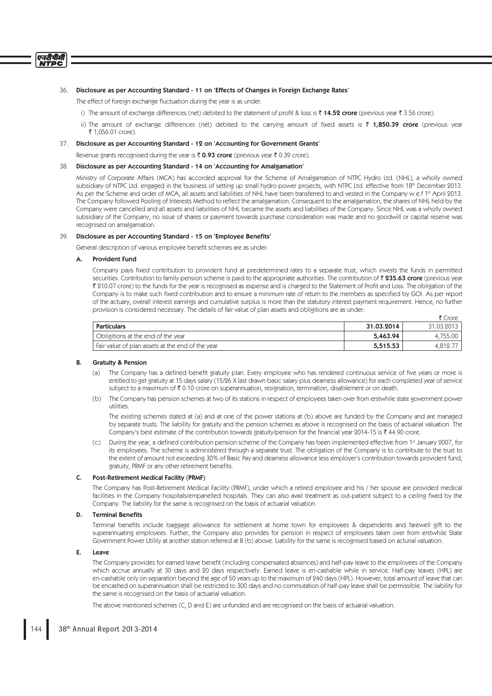#### एनदीपीसी **NTDC**

### 36. Disclosure as per Accounting Standard - 11 on 'Effects of Changes in Foreign Exchange Rates'

The effect of foreign exchange fluctuation during the year is as under:

- i) The amount of exchange differences (net) debited to the statement of profit & loss is  $\bar{z}$  14.52 crore (previous year  $\bar{z}$  3.56 crore).
- ii) The amount of exchange differences (net) debited to the carrying amount of fixed assets is  $\bar{\tau}$  1.850.39 crore (previous year ₹ 1,056.01 crore).

## 37. Disclosure as per Accounting Standard - 12 on 'Accounting for Government Grants'

Revenue grants recognised during the year is  $\bar{\tau}$  0.93 crore (previous year  $\bar{\tau}$  0.39 crore).

## 38. Disclosure as per Accounting Standard - 14 on 'Accounting for Amalgamation'

 Ministry of Corporate Affairs (MCA) has accorded approval for the Scheme of Amalgamation of NTPC Hydro Ltd. (NHL), a wholly owned subsidiary of NTPC Ltd. engaged in the business of setting up small hydro power projects, with NTPC Ltd. effective from 18th December 2013. As per the Scheme and order of MCA, all assets and liabilities of NHL have been transferred to and vested in the Company w.e.f 1<sup>st</sup> April 2013. The Company followed Pooling of Interests Method to reflect the amalgamation. Consequent to the amalgamation, the shares of NHL held by the Company were cancelled and all assets and liabilities of NHL became the assets and liabilities of the Company. Since NHL was a wholly owned subsidiary of the Company, no issue of shares or payment towards purchase consideration was made and no goodwill or capital reserve was recognised on amalgamation.

## 39. Disclosure as per Accounting Standard - 15 on 'Employee Benefits'

General description of various employee benefit schemes are as under:

#### **Provident Fund**

Company pays fixed contribution to provident fund at predetermined rates to a separate trust, which invests the funds in permitted securities. Contribution to family pension scheme is paid to the appropriate authorities. The contribution of  $\bar{z}$  235.63 crore (previous year ₹ 210.07 crore) to the funds for the year is recognised as expense and is charged to the Statement of Profit and Loss. The obligation of the Company is to make such fixed contribution and to ensure a minimum rate of return to the members as specified by GOI. As per report of the actuary, overall interest earnings and cumulative surplus is more than the statutory interest payment requirement. Hence, no further provision is considered necessary. The details of fair value of plan assets and obligitions are as under:  $\overline{F}$  Cross

|                                                  |            | . JUL      |
|--------------------------------------------------|------------|------------|
| <b>Particulars</b>                               | 31.03.2014 | 31.03.2013 |
| Obligitions at the end of the year               | 5,463.94   | 4,755.00   |
| Fair value of plan assets at the end of the year | 5,515.53   | 4.812.7    |

#### B. Gratuity & Pension

- (a) The Company has a defined benefit gratuity plan. Every employee who has rendered continuous service of five years or more is entitled to get gratuity at 15 days salary (15/26 X last drawn basic salary plus dearness allowance) for each completed year of service subject to a maximum of  $\bar{\tau}$  0.10 crore on superannuation, resignation, termination, disablement or on death.
- (b) The Company has pension schemes at two of its stations in respect of employees taken over from erstwhile state government power utilities.

 The existing schemes stated at (a) and at one of the power stations at (b) above are funded by the Company and are managed by separate trusts. The liability for gratuity and the pension schemes as above is recognised on the basis of actuarial valuation. The Company's best estimate of the contribution towards gratuity/pension for the financial year 2014-15 is  $\bar{\tau}$  44.90 crore.

During the year, a defined contribution pension scheme of the Company has been implemented effective from 1st January 2007, for its employees. The scheme is administered through a separate trust. The obligation of the Company is to contribute to the trust to the extent of amount not exceeding 30% of Basic Pay and dearness allowance less employer's contribution towards provident fund, gratuity, PRMF or any other retirement benefits.

## C. Post-Retirement Medical Facility (PRMF)

 The Company has Post-Retirement Medical Facility (PRMF), under which a retired employee and his / her spouse are provided medical facilities in the Company hospitals/empanelled hospitals. They can also avail treatment as out-patient subject to a ceiling fixed by the Company. The liability for the same is recognised on the basis of actuarial valuation.

# D. Terminal Benefits

Terminal benefits include baggage allowance for settlement at home town for employees & dependents and farewell gift to the superannuating employees. Further, the Company also provides for pension in respect of employees taken over from erstwhile State Government Power Utility at another station referred at B (b) above. Liability for the same is recognised based on acturial valuation.

## E. Leave

The Company provides for earned leave benefit (including compensated absences) and half-pay leave to the employees of the Company which accrue annually at 30 days and 20 days respectively. Earned leave is en-cashable while in service. Half-pay leaves (HPL) are en-cashable only on separation beyond the age of 50 years up to the maximum of 240 days (HPL). However, total amount of leave that can be encashed on superannuation shall be restricted to 300 days and no commutation of half-pay leave shall be permissible. The liability for the same is recognised on the basis of actuarial valuation.

The above mentioned schemes (C, D and E) are unfunded and are recognised on the basis of actuarial valuation.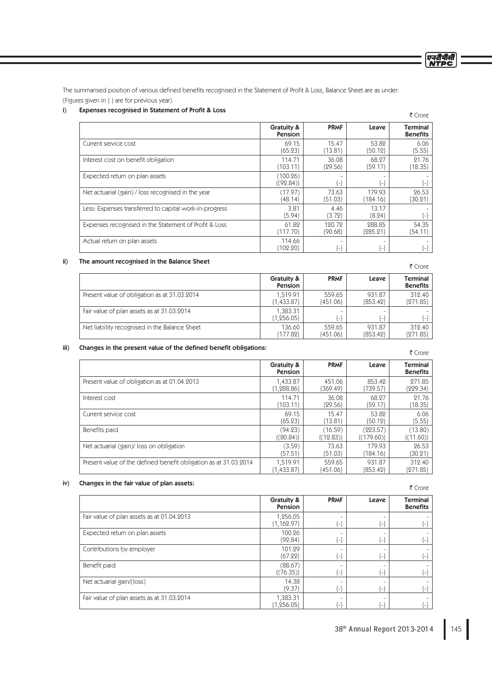एनरीपीसी<br>NTPC

The summarised position of various defined benefits recognised in the Statement of Profit & Loss, Balance Sheet are as under: (Figures given in { } are for previous year)

# i) Expenses recognised in Statement of Profit & Loss

| expenses recognised in statement or Profit & Loss      |                            |                     |                      | ₹ Crore                            |
|--------------------------------------------------------|----------------------------|---------------------|----------------------|------------------------------------|
|                                                        | Gratuity &<br>Pension      | <b>PRMF</b>         | Leave                | <b>Terminal</b><br><b>Benefits</b> |
| Current service cost                                   | 69.15<br>${65.23}$         | 15.47<br>${13.81}$  | 53.82<br>${50.12}$   | 6.06<br>${5.55}$                   |
| Interest cost on benefit obligation                    | 114.71<br>${103.11}$       | 36.08<br>${29.56}$  | 68.27<br>${59.17}$   | 21.76<br>${18.35}$                 |
| Expected return on plan assets                         | (100.26)<br>$\{(92.84)\}\$ | $\{\text{-}\}$      | {-}                  |                                    |
| Net actuarial (gain) / loss recognised in the year     | (17.97)<br>${48.14}$       | 73.63<br>${51.03}$  | 179.93<br>{184.16}   | 26.53<br>${30.21}$                 |
| Less: Expenses transferred to capital work-in-progress | 3.81<br>${5.94}$           | 4.46<br>${3.72}$    | 13.17<br>${8.24}$    |                                    |
| Expenses recognised in the Statement of Profit & Loss  | 61.82<br>${117.70}$        | 120.72<br>${90.68}$ | 288.85<br>${285.21}$ | 54.35<br>${54.11}$                 |
| Actual return on plan assets                           | 114.66<br>${102.20}$       | $\left\{ -\right\}$ | ۳                    |                                    |

### ii) The amount recognised in the Balance Sheet

| THE QUIDENT FECOSITISED IN THE DOMING SIRE.   |                          |                      |                      | ₹ Crore                            |
|-----------------------------------------------|--------------------------|----------------------|----------------------|------------------------------------|
|                                               | Gratuity &<br>Pension    | <b>PRMF</b>          | Leave                | <b>Terminal</b><br><b>Benefits</b> |
| Present value of obligation as at 31.03.2014  | 1.519.91<br>${1,433.87}$ | 559.65<br>${451.06}$ | 931.87<br>{853.42}   | 312.40<br>${271.85}$               |
| Fair value of plan assets as at 31.03.2014    | 1,383.31<br>${1,256.05}$ | [_]                  | r_}                  | ${-}$                              |
| Net liability recognised in the Balance Sheet | 136.60<br>${177.82}$     | 559.65<br>{451.06}   | 931.87<br>${853.42}$ | 312.40<br>${271.85}$               |

# iii) Changes in the present value of the defined benefit obligations:

| Changes in the present value of the defined benefit congations.  |                       |                |                 | ₹ Crore                            |
|------------------------------------------------------------------|-----------------------|----------------|-----------------|------------------------------------|
|                                                                  | Gratuity &<br>Pension | <b>PRMF</b>    | Leave           | <b>Terminal</b><br><b>Benefits</b> |
| Present value of obligation as at 01.04.2013                     | 1,433.87              | 451.06         | 853.42          | 271.85                             |
|                                                                  | ${1,288.86}$          | ${369.49}$     | ${739.57}$      | {229.34}                           |
| Interest cost                                                    | 114.71                | 36.08          | 68.27           | 21.76                              |
|                                                                  | ${103.11}$            | ${29.56}$      | ${59.17}$       | ${18.35}$                          |
| Current service cost                                             | 69.15                 | 15.47          | 53.82           | 6.06                               |
|                                                                  | ${65.23}$             | ${13.81}$      | ${50.12}$       | ${5.55}$                           |
| Benefits paid                                                    | (94.23)               | (16.59)        | (223.57)        | (13.80)                            |
|                                                                  | $\{(80.84)\}$         | $\{(12.83)\}\$ | $\{(179.60)\}\$ | $\{(11.60)\}\$                     |
| Net actuarial (gain)/ loss on obligation                         | (3.59)                | 73.63          | 179.93          | 26.53                              |
|                                                                  | ${57.51}$             | ${51.03}$      | ${184.16}$      | ${30.21}$                          |
| Present value of the defined benefit obligation as at 31.03.2014 | 1,519.91              | 559.65         | 931.87          | 312.40                             |
|                                                                  | ${1,433.87}$          | ${451.06}$     | ${853.42}$      | {271.85}                           |

# iv) Changes in the fair value of plan assets:

₹ Crore Gratuity & Pension PRMF Leave Terminal **Benefits** Fair value of plan assets as at 01.04.2013 1,256.05 {1,162.97} - {-} - {-} - {-} Expected return on plan assets 100.26 {92.84} - {-} - {-} - {-} Contributions by employer 101.29 {67.22} - {-} - {-} - {-} Benefit paid (88.67)  $\{(76.35)\}$ - {-} - {-} - {-} Net actuarial gain/(loss) 14.38 {9.37} - {-} - {-} - {-} Fair value of plan assets as at 31.03.2014  $\frac{1}{1,383.31}$ <br>{1,256.05} - {-} - {-} - {-}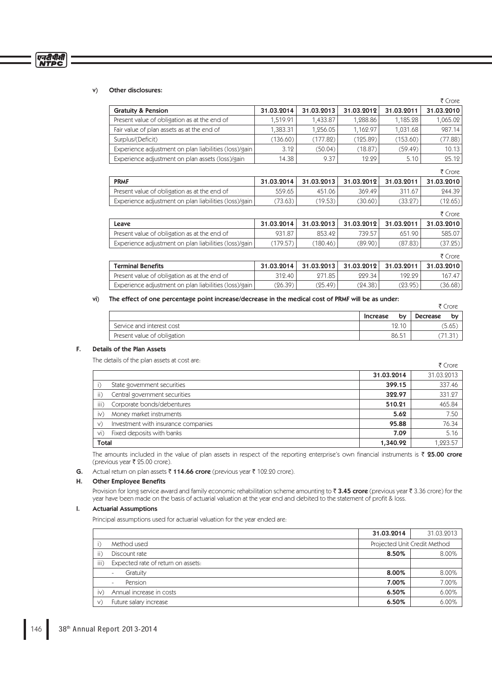# v) Other disclosures:

एनदीपीसी<br>NTPC

|                                                       |            |            |            |            | ₹ Crore    |
|-------------------------------------------------------|------------|------------|------------|------------|------------|
| <b>Gratuity &amp; Pension</b>                         | 31.03.2014 | 31.03.2013 | 31.03.2012 | 31.03.2011 | 31.03.2010 |
| Present value of obligation as at the end of          | 1,519.91   | 1,433.87   | 1,288.86   | 1,185.28   | 1,065.02   |
| Fair value of plan assets as at the end of            | 1,383.31   | 1,256.05   | 1,162.97   | 1,031.68   | 987.14     |
| Surplus/(Deficit)                                     | (136.60)   | (177.82)   | (125.89)   | (153.60)   | (77.88)    |
| Experience adjustment on plan liabilities (loss)/gain | 3.12       | (50.04)    | (18.87)    | (59.49)    | 10.13      |
| Experience adjustment on plan assets (loss)/gain      | 14.38      | 9.37       | 12.29      | 5.10       | 25.12      |
|                                                       |            |            |            |            | ₹ Crore    |
| <b>PRMF</b>                                           | 31.03.2014 | 31.03.2013 | 31.03.2012 | 31.03.2011 | 31.03.2010 |
| Present value of obligation as at the end of          | 559.65     | 451.06     | 369.49     | 311.67     | 244.39     |
| Experience adjustment on plan liabilities (loss)/gain | (73.63)    | (19.53)    | (30.60)    | (33.27)    | (12.65)    |
|                                                       |            |            |            |            | ₹ Crore    |
| Leave                                                 | 31.03.2014 | 31.03.2013 | 31.03.2012 | 31.03.2011 | 31.03.2010 |
| Present value of obligation as at the end of          | 931.87     | 853.42     | 739.57     | 651.90     | 585.07     |
| Experience adjustment on plan liabilities (loss)/gain | (179.57)   | (180.46)   | (89.90)    | (87.83)    | (37.25)    |
|                                                       |            |            |            |            | ₹ Crore    |
| <b>Terminal Benefits</b>                              | 31.03.2014 | 31.03.2013 | 31.03.2012 | 31.03.2011 | 31.03.2010 |
| Present value of obligation as at the end of          | 312.40     | 271.85     | 229.34     | 192.29     | 167.47     |
| Experience adjustment on plan liabilities (loss)/gain | (26.39)    | (25.49)    | (24.38)    | (23.95)    | (36.68)    |

#### vi) The effect of one percentage point increase/decrease in the medical cost of PRMF will be as under:

|                             |          |    |          | ₹ Crore |
|-----------------------------|----------|----|----------|---------|
|                             | Increase | by | Decrease | by      |
| Service and interest cost   | 12.10    |    |          | (5.65)  |
| Present value of obligation | 86.51    |    |          | 71.31.  |

# F. Details of the Plan Assets

The details of the plan assets at cost are:

|               | THE ORIGIIS OF LITE DIGIT ASSELS AL COSL ATE: |            | ₹ Crore    |
|---------------|-----------------------------------------------|------------|------------|
|               |                                               | 31.03.2014 | 31.03.2013 |
|               | State government securities                   | 399.15     | 337.46     |
| ii)           | Central government securities                 | 322.97     | 331.27     |
| iii)          | Corporate bonds/debentures                    | 510.21     | 465.84     |
| $\mathsf{iv}$ | Money market instruments                      | 5.62       | 7.50       |
| V)            | Investment with insurance companies           | 95.88      | 76.34      |
| vi)           | Fixed deposits with banks                     | 7.09       | 5.16       |
| <b>Total</b>  |                                               | 1,340.92   | 1,223.57   |

The amounts included in the value of plan assets in respect of the reporting enterprise's own financial instruments is  $\bar{z}$  25.00 crore (previous year  $\bar{\tau}$  25.00 crore).

**G.** Actual return on plan assets  $\bar{\tau}$  114.66 crore (previous year  $\bar{\tau}$  102.20 crore).

# H. Other Employee Benefits

Provision for long service award and family economic rehabilitation scheme amounting to  $\bar{z}$  3.45 crore (previous year  $\bar{z}$  3.36 crore) for the year have been made on the basis of actuarial valuation at the year end and debited to the statement of profit & loss.

# I. Actuarial Assumptions

Principal assumptions used for actuarial valuation for the year ended are:

|               |                                     | 31.03.2014 | 31.03.2013                   |
|---------------|-------------------------------------|------------|------------------------------|
|               | Method used                         |            | Projected Unit Credit Method |
| $\ $ )        | Discount rate                       | 8.50%      | 8.00%                        |
| iii)          | Expected rate of return on assets:  |            |                              |
|               | Gratuity                            | 8.00%      | 8.00%                        |
|               | Pension<br>$\overline{\phantom{0}}$ | 7.00%      | 7.00%                        |
| $\mathsf{iv}$ | Annual increase in costs            | 6.50%      | 6.00%                        |
| V)            | Future salary increase              | 6.50%      | 6.00%                        |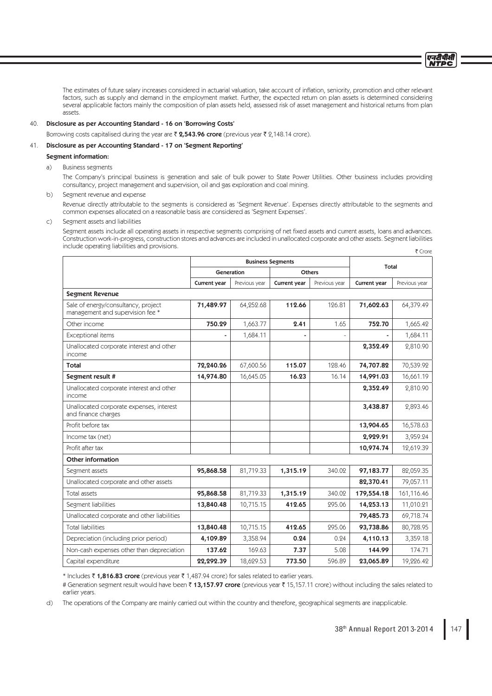The estimates of future salary increases considered in actuarial valuation, take account of inflation, seniority, promotion and other relevant factors, such as supply and demand in the employment market. Further, the expected return on plan assets is determined considering several applicable factors mainly the composition of plan assets held, assessed risk of asset management and historical returns from plan assets.

# 40. Disclosure as per Accounting Standard - 16 on 'Borrowing Costs'

Borrowing costs capitalised during the year are  $\bar{\zeta}$  2,543.96 crore (previous year  $\bar{\zeta}$  2,148.14 crore).

# 41. Disclosure as per Accounting Standard - 17 on 'Segment Reporting'

#### Segment information:

a) Business segments

 The Company's principal business is generation and sale of bulk power to State Power Utilities. Other business includes providing consultancy, project management and supervision, oil and gas exploration and coal mining.

b) Segment revenue and expense

 Revenue directly attributable to the segments is considered as 'Segment Revenue'. Expenses directly attributable to the segments and common expenses allocated on a reasonable basis are considered as 'Segment Expenses'.

#### c) Segment assets and liabilities

Segment assets include all operating assets in respective segments comprising of net fixed assets and current assets, loans and advances. Construction work-in-progress, construction stores and advances are included in unallocated corporate and other assets. Segment liabilities include operating liabilities and provisions.  $\overline{\tau}$  Crore

|                                                                         | <b>Business Segments</b> |               |                     | Total         |              |               |
|-------------------------------------------------------------------------|--------------------------|---------------|---------------------|---------------|--------------|---------------|
|                                                                         | Generation               |               | <b>Others</b>       |               |              |               |
|                                                                         | Current year             | Previous year | <b>Current year</b> | Previous year | Current year | Previous year |
| <b>Segment Revenue</b>                                                  |                          |               |                     |               |              |               |
| Sale of energy/consultancy, project<br>management and supervision fee * | 71,489.97                | 64,252.68     | 112.66              | 126.81        | 71,602.63    | 64,379.49     |
| Other income                                                            | 750.29                   | 1.663.77      | 2.41                | 1.65          | 752.70       | 1,665.42      |
| Exceptional items                                                       |                          | 1,684.11      |                     |               |              | 1,684.11      |
| Unallocated corporate interest and other<br><i>income</i>               |                          |               |                     |               | 2,352.49     | 2,810.90      |
| Total                                                                   | 72,240.26                | 67,600.56     | 115.07              | 128.46        | 74,707.82    | 70,539.92     |
| Segment result #                                                        | 14,974.80                | 16,645.05     | 16.23               | 16.14         | 14,991.03    | 16,661.19     |
| Unallocated corporate interest and other<br>income                      |                          |               |                     |               | 2,352.49     | 2,810.90      |
| Unallocated corporate expenses, interest<br>and finance charges         |                          |               |                     |               | 3,438.87     | 2,893.46      |
| Profit before tax                                                       |                          |               |                     |               | 13,904.65    | 16,578.63     |
| Income tax (net)                                                        |                          |               |                     |               | 2,929.91     | 3,959.24      |
| Profit after tax                                                        |                          |               |                     |               | 10,974.74    | 12,619.39     |
| <b>Other information</b>                                                |                          |               |                     |               |              |               |
| Segment assets                                                          | 95,868.58                | 81,719.33     | 1,315.19            | 340.02        | 97,183.77    | 82,059.35     |
| Unallocated corporate and other assets                                  |                          |               |                     |               | 82,370.41    | 79,057.11     |
| Total assets                                                            | 95,868.58                | 81,719.33     | 1,315.19            | 340.02        | 179,554.18   | 161,116.46    |
| Segment liabilities                                                     | 13,840.48                | 10,715.15     | 412.65              | 295.06        | 14,253.13    | 11,010.21     |
| Unallocated corporate and other liabilities                             |                          |               |                     |               | 79,485.73    | 69,718.74     |
| <b>Total liabilities</b>                                                | 13,840.48                | 10,715.15     | 412.65              | 295.06        | 93,738.86    | 80,728.95     |
| Depreciation (including prior period)                                   | 4,109.89                 | 3,358.94      | 0.24                | 0.24          | 4,110.13     | 3,359.18      |
| Non-cash expenses other than depreciation                               | 137.62                   | 169.63        | 7.37                | 5.08          | 144.99       | 174.71        |
| Capital expenditure                                                     | 22,292.39                | 18,629.53     | 773.50              | 596.89        | 23,065.89    | 19,226.42     |

\* Includes  $\bar{\tau}$  1,816.83 crore (previous year  $\bar{\tau}$  1,487.94 crore) for sales related to earlier years.

# Generation segment result would have been  $\bar{\zeta}$  13,157.97 crore (previous year  $\bar{\zeta}$  15,157.11 crore) without including the sales related to earlier years.

d) The operations of the Company are mainly carried out within the country and therefore, geographical segments are inapplicable.

एनटीपीसी **NTDC**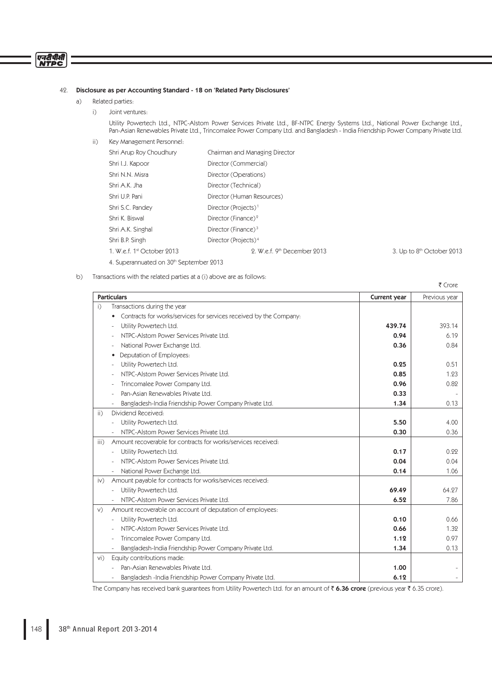# एनदीपीसी<br>NTPC

# 42. Disclosure as per Accounting Standard - 18 on 'Related Party Disclosures'

- a) Related parties:
	- i) Joint ventures:

 Utility Powertech Ltd., NTPC-Alstom Power Services Private Ltd., BF-NTPC Energy Systems Ltd., National Power Exchange Ltd., Pan-Asian Renewables Private Ltd., Trincomalee Power Company Ltd. and Bangladesh - India Friendship Power Company Private Ltd.

ii) Key Management Personnel:

| Shri Arup Roy Choudhury    | Chairman and Managing Director   |                                         |
|----------------------------|----------------------------------|-----------------------------------------|
| Shri I.J. Kapoor           | Director (Commercial)            |                                         |
| Shri N.N. Misra            | Director (Operations)            |                                         |
| Shri A.K. Jha              | Director (Technical)             |                                         |
| Shri U.P. Pani             | Director (Human Resources)       |                                         |
| Shri S.C. Pandey           | Director (Projects) <sup>1</sup> |                                         |
| Shri K. Biswal             | Director (Finance) <sup>2</sup>  |                                         |
| Shri A.K. Singhal          | Director (Finance) $3$           |                                         |
| Shri B.P. Singh            | Director (Projects) <sup>4</sup> |                                         |
| 1. W.e.f. 1st October 2013 | 2. W.e.f. 9th December 2013      | 3. Up to 8 <sup>th</sup> October 2013   |
|                            |                                  |                                         |
|                            |                                  | 4. Superannuated on 30th September 2013 |

b) Transactions with the related parties at a (i) above are as follows:

| ₹ Crore            |                                                                    |              |               |
|--------------------|--------------------------------------------------------------------|--------------|---------------|
| <b>Particulars</b> |                                                                    | Current year | Previous year |
| i)                 | Transactions during the year                                       |              |               |
| $\bullet$          | Contracts for works/services for services received by the Company: |              |               |
|                    | Utility Powertech Ltd.                                             | 439.74       | 393.14        |
|                    | NTPC-Alstom Power Services Private Ltd.                            | 0.94         | 6.19          |
|                    | National Power Exchange Ltd.                                       | 0.36         | 0.84          |
|                    | Deputation of Employees:                                           |              |               |
|                    | Utility Powertech Ltd.                                             | 0.25         | 0.51          |
|                    | NTPC-Alstom Power Services Private Ltd.                            | 0.85         | 1.23          |
|                    | Trincomalee Power Company Ltd.                                     | 0.96         | 0.82          |
|                    | Pan-Asian Renewables Private Ltd.                                  | 0.33         |               |
|                    | Bangladesh-India Friendship Power Company Private Ltd.             | 1.34         | 0.13          |
| $\overline{ii}$ )  | Dividend Received:                                                 |              |               |
|                    | Utility Powertech Ltd.                                             | 5.50         | 4.00          |
|                    | NTPC-Alstom Power Services Private Ltd.                            | 0.30         | 0.36          |
| iii)               | Amount recoverable for contracts for works/services received:      |              |               |
|                    | Utility Powertech Ltd.                                             | 0.17         | 0.22          |
|                    | NTPC-Alstom Power Services Private Ltd.                            | 0.04         | 0.04          |
|                    | National Power Exchange Ltd.                                       | 0.14         | 1.06          |
| $\mathsf{iv}$      | Amount payable for contracts for works/services received:          |              |               |
|                    | Utility Powertech Ltd.                                             | 69.49        | 64.27         |
|                    | NTPC-Alstom Power Services Private Ltd.                            | 6.52         | 7.86          |
| V)                 | Amount recoverable on account of deputation of employees:          |              |               |
|                    | Utility Powertech Ltd.                                             | 0.10         | 0.66          |
|                    | NTPC-Alstom Power Services Private Ltd.                            | 0.66         | 1.32          |
|                    | Trincomalee Power Company Ltd.                                     | 1.12         | 0.97          |
|                    | Bangladesh-India Friendship Power Company Private Ltd.             | 1.34         | 0.13          |
| $Vi$ )             | Equity contributions made:                                         |              |               |
|                    | Pan-Asian Renewables Private Ltd.                                  | 1.00         |               |
|                    | Bangladesh -India Friendship Power Company Private Ltd.            | 6.19         |               |

The Company has received bank guarantees from Utility Powertech Ltd. for an amount of  $\bar{\tau}$  6.36 crore (previous year  $\bar{\tau}$  6.35 crore).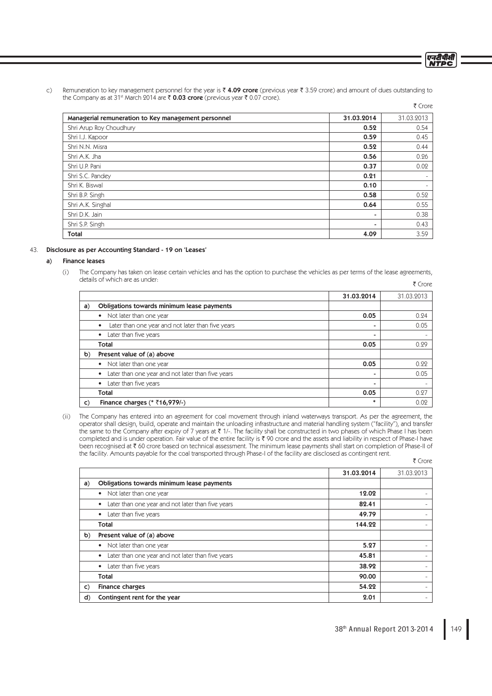- एनदीपीसी **NTDC**
- c) Remuneration to key management personnel for the year is  $\bar{\tau}$  4.09 crore (previous year  $\bar{\tau}$  3.59 crore) and amount of dues outstanding to the Company as at 31<sup>st</sup> March 2014 are  $\bar{\tau}$  0.03 crore (previous year  $\bar{\tau}$  0.07 crore).

|                                                     |            | ₹ Crore                  |
|-----------------------------------------------------|------------|--------------------------|
| Managerial remuneration to Key management personnel | 31.03.2014 | 31.03.2013               |
| Shri Arup Roy Choudhury                             | 0.52       | 0.54                     |
| Shri I.J. Kapoor                                    | 0.59       | 0.45                     |
| Shri N.N. Misra                                     | 0.52       | 0.44                     |
| Shri A.K. Jha                                       | 0.56       | 0.26                     |
| Shri U.P. Pani                                      | 0.37       | 0.02                     |
| Shri S.C. Pandey                                    | 0.21       | $\overline{\phantom{m}}$ |
| Shri K. Biswal                                      | 0.10       | ۰                        |
| Shri B.P. Singh                                     | 0.58       | 0.52                     |
| Shri A.K. Singhal                                   | 0.64       | 0.55                     |
| Shri D.K. Jain                                      |            | 0.38                     |
| Shri S.P. Singh                                     |            | 0.43                     |
| <b>Total</b>                                        | 4.09       | 3.59                     |

## 43. Disclosure as per Accounting Standard - 19 on 'Leases'

## a) Finance leases

 (i) The Company has taken on lease certain vehicles and has the option to purchase the vehicles as per terms of the lease agreements, details of which are as under: ₹ Crore

|    |                                                                | 31.03.2014 | 31.03.2013 |
|----|----------------------------------------------------------------|------------|------------|
| a) | Obligations towards minimum lease payments                     |            |            |
|    | Not later than one year<br>$\bullet$                           | 0.05       | 0.24       |
|    | Later than one year and not later than five years<br>$\bullet$ | ۰          | 0.05       |
|    | Later than five years<br>$\bullet$                             | ۰          |            |
|    | <b>Total</b>                                                   | 0.05       | 0.29       |
| b) | Present value of (a) above                                     |            |            |
|    | Not later than one year<br>$\bullet$                           | 0.05       | 0.22       |
|    | Later than one year and not later than five years<br>$\bullet$ | ۰          | 0.05       |
|    | Later than five years<br>$\bullet$                             |            |            |
|    | <b>Total</b>                                                   | 0.05       | 0.27       |
| C) | Finance charges (* ₹16,979/-)                                  | $\ast$     | 0.02       |

 (ii) The Company has entered into an agreement for coal movement through inland waterways transport. As per the agreement, the operator shall design, build, operate and maintain the unloading infrastructure and material handling system ("facility"), and transfer the same to the Company after expiry of 7 years at ₹ 1/-. The facility shall be constructed in two phases of which Phase I has been completed and is under operation. Fair value of the entire facility is  $\bar{\tau}$  90 crore and the assets and liability in respect of Phase-I have been recognised at  $\bar{\tau}$  60 crore based on technical assessment. The minimum lease payments shall start on completion of Phase-II of the facility. Amounts payable for the coal transported through Phase-I of the facility are disclosed as contingent rent.  $\bar{\tau}$  Crore

|              |                                                                | 31.03.2014 | 31.03.2013 |
|--------------|----------------------------------------------------------------|------------|------------|
| a)           | Obligations towards minimum lease payments                     |            |            |
|              | Not later than one year<br>$\bullet$                           | 12.02      |            |
|              | Later than one year and not later than five years<br>$\bullet$ | 82.41      |            |
|              | Later than five years<br>$\bullet$                             | 49.79      |            |
|              | Total                                                          | 144.22     |            |
| $\mathbf{b}$ | Present value of (a) above                                     |            |            |
|              | Not later than one year<br>$\bullet$                           | 5.27       |            |
|              | Later than one year and not later than five years<br>$\bullet$ | 45.81      |            |
|              | Later than five years<br>$\bullet$                             | 38.92      |            |
|              | Total                                                          | 90.00      |            |
| $\mathsf{C}$ | <b>Finance charges</b>                                         | 54.22      |            |
| d)           | Contingent rent for the year                                   | 2.01       |            |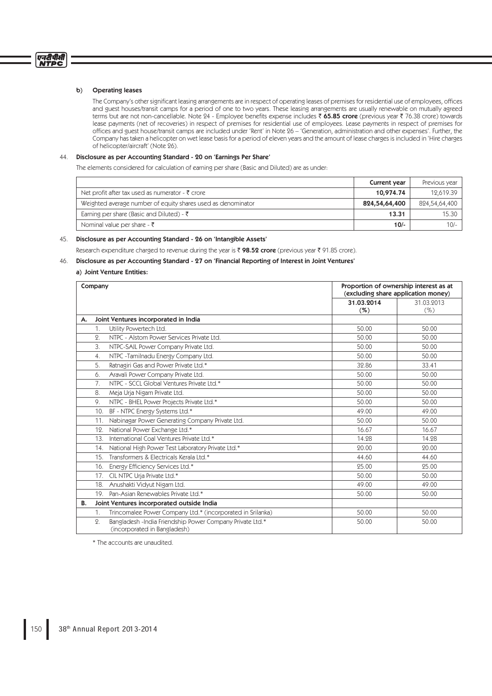# b) Operating leases

The Company's other significant leasing arrangements are in respect of operating leases of premises for residential use of employees, offices and guest houses/transit camps for a period of one to two years. These leasing arrangements are usually renewable on mutually agreed terms but are not non-cancellable. Note 24 - Employee benefits expense includes  $\bar{\zeta}$  65.85 crore (previous year  $\bar{\zeta}$  76.38 crore) towards lease payments (net of recoveries) in respect of premises for residential use of employees. Lease payments in respect of premises for offices and guest house/transit camps are included under 'Rent' in Note 26 – 'Generation, administration and other expenses'. Further, the Company has taken a helicopter on wet lease basis for a period of eleven years and the amount of lease charges is included in 'Hire charges of helicopter/aircraft' (Note 26).

# 44. Disclosure as per Accounting Standard - 20 on 'Earnings Per Share'

The elements considered for calculation of earning per share (Basic and Diluted) are as under:

|                                                              | Current year  | Previous year |
|--------------------------------------------------------------|---------------|---------------|
| Net profit after tax used as numerator - ₹ crore             | 10,974.74     | 12.619.39     |
| Weighted average number of equity shares used as denominator | 824,54,64,400 | 824,54,64,400 |
| Earning per share (Basic and Diluted) - $\bar{\tau}$         | 13.31         | 15.30         |
| Nominal value per share - $\bar{\tau}$                       | $10/-$        | $10/-$        |

# 45. Disclosure as per Accounting Standard - 26 on 'Intangible Assets'

Research expenditure charged to revenue during the year is  $\bar{\tau}$  98.52 crore (previous year  $\bar{\tau}$  91.85 crore).

# 46. Disclosure as per Accounting Standard - 27 on 'Financial Reporting of Interest in Joint Ventures'

# a) Joint Venture Entities:

| Proportion of ownership interest as at<br>Company<br>(excluding share application money) |                                                                                                              |                   |                       |
|------------------------------------------------------------------------------------------|--------------------------------------------------------------------------------------------------------------|-------------------|-----------------------|
|                                                                                          |                                                                                                              | 31.03.2014<br>(%) | 31.03.2013<br>$(\% )$ |
| А.                                                                                       | Joint Ventures incorporated in India                                                                         |                   |                       |
|                                                                                          | Utility Powertech Ltd.<br>1.                                                                                 | 50.00             | 50.00                 |
|                                                                                          | NTPC - Alstom Power Services Private Ltd.<br>$\Omega$ .                                                      | 50.00             | 50.00                 |
|                                                                                          | 3.<br>NTPC-SAIL Power Company Private Ltd.                                                                   | 50.00             | 50.00                 |
|                                                                                          | NTPC - Tamilnadu Energy Company Ltd.<br>4.                                                                   | 50.00             | 50.00                 |
|                                                                                          | Ratnagiri Gas and Power Private Ltd.*<br>5.                                                                  | 32.86             | 33.41                 |
|                                                                                          | Aravali Power Company Private Ltd.<br>6.                                                                     | 50.00             | 50.00                 |
|                                                                                          | 7.<br>NTPC - SCCL Global Ventures Private Ltd.*                                                              | 50.00             | 50.00                 |
|                                                                                          | 8.<br>Meja Urja Nigam Private Ltd.                                                                           | 50.00             | 50.00                 |
|                                                                                          | NTPC - BHEL Power Projects Private Ltd.*<br>9.                                                               | 50.00             | 50.00                 |
|                                                                                          | BF - NTPC Energy Systems Ltd.*<br>10.                                                                        | 49.00             | 49.00                 |
|                                                                                          | Nabinagar Power Generating Company Private Ltd.<br>11.                                                       | 50.00             | 50.00                 |
|                                                                                          | National Power Exchange Ltd.*<br>12.                                                                         | 16.67             | 16.67                 |
|                                                                                          | International Coal Ventures Private Ltd.*<br>13.                                                             | 14.28             | 14.28                 |
|                                                                                          | National High Power Test Laboratory Private Ltd.*<br>14.                                                     | 20.00             | 20.00                 |
|                                                                                          | Transformers & Electricals Kerala Ltd.*<br>15.                                                               | 44.60             | 44.60                 |
|                                                                                          | Energy Efficiency Services Ltd.*<br>16.                                                                      | 25.00             | 25.00                 |
|                                                                                          | CIL NTPC Urja Private Ltd.*<br>17.                                                                           | 50.00             | 50.00                 |
|                                                                                          | Anushakti Vidyut Nigam Ltd.<br>18.                                                                           | 49.00             | 49.00                 |
|                                                                                          | Pan-Asian Renewables Private Ltd.*<br>19.                                                                    | 50.00             | 50.00                 |
| <b>B.</b>                                                                                | Joint Ventures incorporated outside India                                                                    |                   |                       |
|                                                                                          | Trincomalee Power Company Ltd.* (incorporated in Srilanka)<br>1.                                             | 50.00             | 50.00                 |
|                                                                                          | Bangladesh -India Friendship Power Company Private Ltd.*<br>$\overline{2}$ .<br>(incorporated in Bangladesh) | 50.00             | 50.00                 |

\* The accounts are unaudited.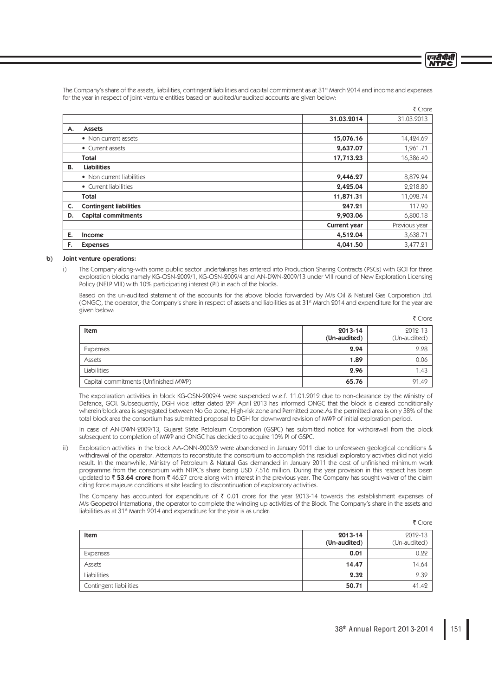एनटीपीसी **NTDC** 

 $\sim$  Cross  $\sim$ 

The Company's share of the assets, liabilities, contingent liabilities and capital commitment as at 31<sup>st</sup> March 2014 and income and expenses for the year in respect of joint venture entities based on audited/unaudited accounts are given below:

|                               |              | LUNG          |
|-------------------------------|--------------|---------------|
|                               | 31.03.2014   | 31.03.2013    |
| <b>Assets</b>                 |              |               |
| • Non current assets          | 15,076.16    | 14,424.69     |
| • Current assets              | 2,637.07     | 1,961.71      |
| Total                         | 17,713.23    | 16,386.40     |
| <b>Liabilities</b>            |              |               |
| • Non current liabilities     | 9,446.27     | 8,879.94      |
| • Current liabilities         | 2,425.04     | 2,218.80      |
| Total                         | 11,871.31    | 11,098.74     |
| <b>Contingent liabilities</b> | 247.21       | 117.90        |
| <b>Capital commitments</b>    | 9,903.06     | 6,800.18      |
|                               | Current year | Previous year |
| <b>Income</b>                 | 4,512.04     | 3,638.71      |
| <b>Expenses</b>               | 4,041.50     | 3,477.21      |
|                               |              |               |

#### b) Joint venture operations:

 i) The Company along-with some public sector undertakings has entered into Production Sharing Contracts (PSCs) with GOI for three exploration blocks namely KG-OSN-2009/1, KG-OSN-2009/4 and AN-DWN-2009/13 under VIII round of New Exploration Licensing Policy (NELP VIII) with 10% participating interest (PI) in each of the blocks.

 Based on the un-audited statement of the accounts for the above blocks forwarded by M/s Oil & Natural Gas Corporation Ltd. (ONGC), the operator, the Company's share in respect of assets and liabilities as at 31<sup>st</sup> March 2014 and expenditure for the year are given below:

|                                      |                         | ₹ Crore                 |
|--------------------------------------|-------------------------|-------------------------|
| <b>Item</b>                          | 2013-14<br>(Un-audited) | 2012-13<br>(Un-audited) |
| Expenses                             | 2.94                    | 2.28                    |
| Assets                               | 1.89                    | 0.06                    |
| Liabilities                          | 2.96                    | 1.43                    |
| Capital commitments (Unfinished MWP) | 65.76                   | 91.49                   |

 The expolaration activities in block KG-OSN-2009/4 were suspended w.e.f. 11.01.2012 due to non-clearance by the Ministry of Defence, GOI. Subsequently, DGH vide letter dated 29<sup>th</sup> April 2013 has informed ONGC that the block is cleared conditionally wherein block area is segregated between No Go zone, High-risk zone and Permitted zone.As the permitted area is only 38% of the total block area the consortium has submitted proposal to DGH for downward revision of MWP of initial exploration period.

 In case of AN-DWN-2009/13, Gujarat State Petoleum Corporation (GSPC) has submitted notice for withdrawal from the block subsequent to completion of MWP and ONGC has decided to acquire 10% PI of GSPC.

 ii) Exploration activities in the block AA-ONN-2003/2 were abandoned in January 2011 due to unforeseen geological conditions & withdrawal of the operator. Attempts to reconstitute the consortium to accomplish the residual exploratory activities did not yield result. In the meanwhile, Ministry of Petroleum & Natural Gas demanded in January 2011 the cost of unfinished minimum work programme from the consortium with NTPC's share being USD 7.516 million. During the year provision in this respect has been updated to  $\bar{\tau}$  53.64 crore from  $\bar{\tau}$  46.27 crore along with interest in the previous year. The Company has sought waiver of the claim citing force majeure conditions at site leading to discontinuation of exploratory activities.

The Company has accounted for expenditure of  $\bar{\tau}$  0.01 crore for the year 2013-14 towards the establishment expenses of M/s Geopetrol International, the operator to complete the winding up activities of the Block. The Company's share in the assets and liabilities as at 31<sup>st</sup> March 2014 and expenditure for the year is as under:

|                        |                         | いしいし                    |
|------------------------|-------------------------|-------------------------|
| Item                   | 2013-14<br>(Un-audited) | 2012-13<br>(Un-audited) |
| Expenses               | 0.01                    | 0.22                    |
| Assets                 | 14.47                   | 14.64                   |
| Liabilities            | 2.32                    | 2.32                    |
| Contingent liabilities | 50.71                   | 41.42                   |

 $F$  Crore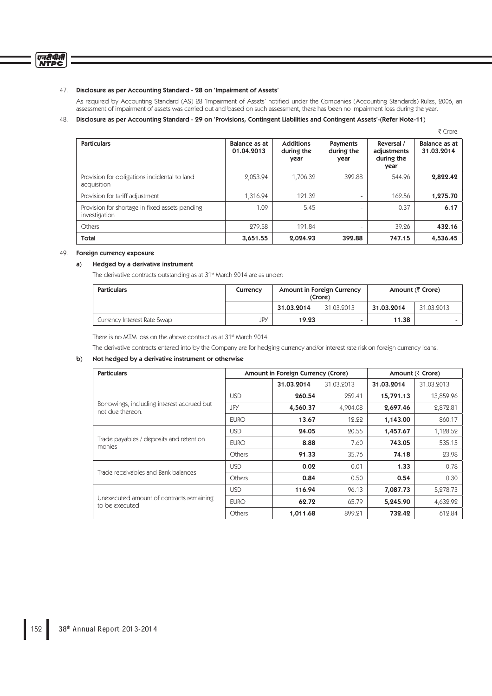## 47. Disclosure as per Accounting Standard - 28 on 'Impairment of Assets'

As required by Accounting Standard (AS) 28 'Impairment of Assets' notified under the Companies (Accounting Standards) Rules, 2006, an assessment of impairment of assets was carried out and based on such assessment, there has been no impairment loss during the year.

 $\overline{\tau}$  Crore

# 48. Disclosure as per Accounting Standard - 29 on 'Provisions, Contingent Liabilities and Contingent Assets'-(Refer Note-11)

| <b>Particulars</b>                                              | Balance as at<br>01.04.2013 | <b>Additions</b><br>during the<br>year | Payments<br>during the<br>year | Reversal /<br>adjustments<br>during the<br>year | Balance as at<br>31.03.2014 |
|-----------------------------------------------------------------|-----------------------------|----------------------------------------|--------------------------------|-------------------------------------------------|-----------------------------|
| Provision for obligations incidental to land<br>acquisition     | 2,053.94                    | 1,706.32                               | 392.88                         | 544.96                                          | 2,822.42                    |
| Provision for tariff adjustment                                 | 1,316.94                    | 121.32                                 | $\sim$                         | 162.56                                          | 1,275.70                    |
| Provision for shortage in fixed assets pending<br>investigation | 1.09                        | 5.45                                   | $\equiv$                       | 0.37                                            | 6.17                        |
| Others                                                          | 279.58                      | 191.84                                 | $\equiv$                       | 39.26                                           | 432.16                      |
| Total                                                           | 3,651.55                    | 2,024.93                               | 392.88                         | 747.15                                          | 4,536.45                    |

# 49. Foreign currency exposure

## a) Hedged by a derivative instrument

The derivative contracts outstanding as at 31<sup>st</sup> March 2014 are as under:

| <b>Particulars</b>          | Currency | Amount in Foreign Currency<br>(Crore) |            | Amount (₹ Crore) |            |
|-----------------------------|----------|---------------------------------------|------------|------------------|------------|
|                             |          | 31.03.2014                            | 31.03.2013 | 31.03.2014       | 31.03.2013 |
| Currency Interest Rate Swap | JPY      | 19.23                                 | -          | 11.38            |            |

There is no MTM loss on the above contract as at 31<sup>st</sup> March 2014.

The derivative contracts entered into by the Company are for hedging currency and/or interest rate risk on foreign currency loans.

# b) Not hedged by a derivative instrument or otherwise

| <b>Particulars</b>                                             | Amount in Foreign Currency (Crore) |            |            |            | Amount (₹ Crore) |
|----------------------------------------------------------------|------------------------------------|------------|------------|------------|------------------|
|                                                                |                                    | 31.03.2014 | 31.03.2013 | 31.03.2014 | 31.03.2013       |
|                                                                | <b>USD</b>                         | 260.54     | 252.41     | 15,791.13  | 13,859.96        |
| Borrowings, including interest accrued but<br>not due thereon. | JPY                                | 4,560.37   | 4,904.08   | 2,697.46   | 2,872.81         |
|                                                                | <b>EURO</b>                        | 13.67      | 12.22      | 1,143.00   | 860.17           |
| Trade payables / deposits and retention<br>monies              | <b>USD</b>                         | 24.05      | 20.55      | 1,457.67   | 1,128.52         |
|                                                                | <b>EURO</b>                        | 8.88       | 7.60       | 743.05     | 535.15           |
|                                                                | Others                             | 91.33      | 35.76      | 74.18      | 23.98            |
| Trade receivables and Bank balances                            | <b>USD</b>                         | 0.02       | 0.01       | 1.33       | 0.78             |
|                                                                | <b>Others</b>                      | 0.84       | 0.50       | 0.54       | 0.30             |
|                                                                | <b>USD</b>                         | 116.94     | 96.13      | 7,087.73   | 5,278.73         |
| Unexecuted amount of contracts remaining<br>to be executed     | <b>EURO</b>                        | 62.72      | 65.79      | 5,245.90   | 4,632.92         |
|                                                                | Others                             | 1,011.68   | 899.21     | 732.42     | 612.84           |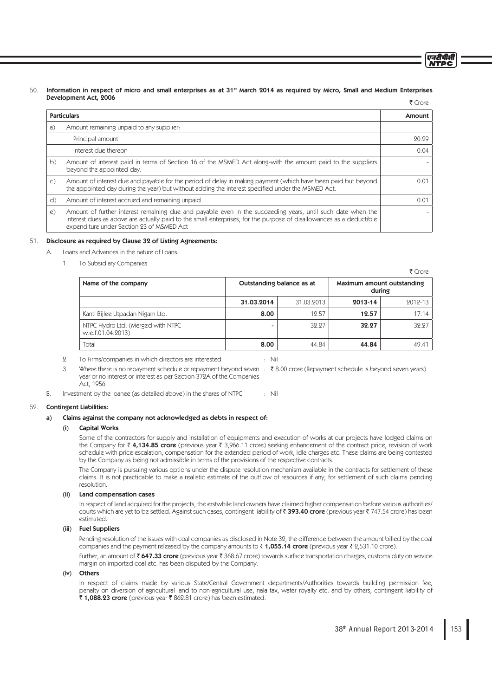#### 50. Information in respect of micro and small enterprises as at 31<sup>st</sup> March 2014 as required by Micro, Small and Medium Enterprises Development Act, 2006 ₹ Crore

|                | <b>Particulars</b>                                                                                                                                                                                                                                                              | Amount |
|----------------|---------------------------------------------------------------------------------------------------------------------------------------------------------------------------------------------------------------------------------------------------------------------------------|--------|
| a)             | Amount remaining unpaid to any supplier.                                                                                                                                                                                                                                        |        |
|                | Principal amount                                                                                                                                                                                                                                                                | 20.29  |
|                | Interest due thereon                                                                                                                                                                                                                                                            | 0.04   |
| b)             | Amount of interest paid in terms of Section 16 of the MSMED Act along-with the amount paid to the suppliers<br>beyond the appointed day.                                                                                                                                        |        |
| $\mathsf{C}$ ) | Amount of interest due and payable for the period of delay in making payment (which have been paid but beyond<br>the appointed day during the year) but without adding the interest specified under the MSMED Act.                                                              | 0.01   |
| d)             | Amount of interest accrued and remaining unpaid                                                                                                                                                                                                                                 | 0.01   |
| e)             | Amount of further interest remaining due and payable even in the succeeding years, until such date when the<br>interest dues as above are actually paid to the small enterprises, for the purpose of disallowances as a deductible<br>expenditure under Section 23 of MSMED Act |        |

## 51. Disclosure as required by Clause 32 of Listing Agreements:

A. Loans and Advances in the nature of Loans:

1. To Subsidiary Companies

| 1 CIVIE                                                |            |                           |         |                                      |
|--------------------------------------------------------|------------|---------------------------|---------|--------------------------------------|
| Name of the company                                    |            | Outstanding balance as at |         | Maximum amount outstanding<br>during |
|                                                        | 31.03.2014 | 31.03.2013                | 2013-14 | 2012-13                              |
| Kanti Bijlee Utpadan Nigam Ltd.                        | 8.00       | 12.57                     | 12.57   | 17.14                                |
| NTPC Hydro Ltd. (Merged with NTPC<br>w.e.f.01.04.2013) |            | 32.27                     | 32.27   | 32.27                                |
| Total                                                  | 8.00       | 44.84                     | 44.84   | 49.41                                |

- 2. To Firms/companies in which directors are interested : Nil
	-
- 3. Where there is no repayment schedule or repayment beyond seven : ₹8.00 crore (Repayment schedule is beyond seven years) year or no interest or interest as per Section 372A of the Companies Act, 1956

B. Investment by the loanee (as detailed above) in the shares of NTPC : Nil

## 52. Contingent Liabilities:

## a) Claims against the company not acknowledged as debts in respect of:

## (i) Capital Works

 Some of the contractors for supply and installation of equipments and execution of works at our projects have lodged claims on the Company for  $\bar{\tau}$  4,134.85 crore (previous year  $\bar{\tau}$  3,966.11 crore) seeking enhancement of the contract price, revision of work schedule with price escalation, compensation for the extended period of work, idle charges etc. These claims are being contested by the Company as being not admissible in terms of the provisions of the respective contracts.

 The Company is pursuing various options under the dispute resolution mechanism available in the contracts for settlement of these claims. It is not practicable to make a realistic estimate of the outflow of resources if any, for settlement of such claims pending resolution.

### (ii) Land compensation cases

 In respect of land acquired for the projects, the erstwhile land owners have claimed higher compensation before various authorities/ courts which are yet to be settled. Against such cases, contingent liability of  $\bar{\tau}$  393.40 crore (previous year  $\bar{\tau}$  747.54 crore) has been estimated.

# (iii) Fuel Suppliers

 Pending resolution of the issues with coal companies as disclosed in Note 32, the difference between the amount billed by the coal companies and the payment released by the company amounts to  $\bar{\tau}$  1,055.14 crore (previous year  $\bar{\tau}$  2,531.10 crore).

Further, an amount of  $\bar{\tau}$  647.33 crore (previous year  $\bar{\tau}$  368.67 crore) towards surface transportation charges, customs duty on service margin on imported coal etc. has been disputed by the Company.

# (iv) Others

In respect of claims made by various State/Central Government departments/Authorities towards building permission fee, penalty on diversion of agricultural land to non-agricultural use, nala tax, water royalty etc. and by others, contingent liability of ₹ 1,088.23 crore (previous year ₹ 862.81 crore) has been estimated.

एनटीपीसी **NTDC** 

 $\sim$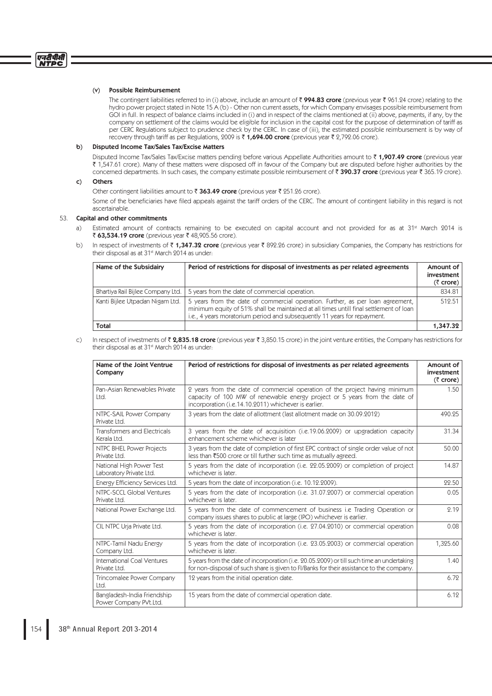## (v) Possible Reimbursement

The contingent liabilities referred to in (i) above, include an amount of  $\bar{z}$  994.83 crore (previous year  $\bar{z}$  961.24 crore) relating to the hydro power project stated in Note 15 A (b) - Other non current assets, for which Company envisages possible reimbursement from GOI in full. In respect of balance claims included in (i) and in respect of the claims mentioned at (ii) above, payments, if any, by the company on settlement of the claims would be eligible for inclusion in the capital cost for the purpose of determination of tariff as per CERC Regulations subject to prudence check by the CERC. In case of (iii), the estimated possible reimbursement is by way of recovery through tariff as per Regulations, 2009 is  $\bar{\tau}$  1,694.00 crore (previous year  $\bar{\tau}$  2,792.06 crore).

#### b) Disputed Income Tax/Sales Tax/Excise Matters

Disputed Income Tax/Sales Tax/Excise matters pending before various Appellate Authorities amount to  $\bar{\tau}$  1,907.49 crore (previous year ` 1,547.61 crore). Many of these matters were disposed off in favour of the Company but are disputed before higher authorities by the concerned departments. In such cases, the company estimate possible reimbursement of  $\bar{\tau}$  390.37 crore (previous year  $\bar{\tau}$  365.19 crore).

## c) Others

Other contingent liabilities amount to  $\bar{\tau}$  363.49 crore (previous year  $\bar{\tau}$  251.26 crore).

Some of the beneficiaries have filed appeals against the tariff orders of the CERC. The amount of contingent liability in this regard is not ascertainable.

### 53. Capital and other commitments

- a) Estimated amount of contracts remaining to be executed on capital account and not provided for as at 31<sup>st</sup> March 2014 is ₹ 63,534.19 crore (previous year ₹ 48,905.56 crore).
- b) In respect of investments of  $\bar{\tau}$  1,347.32 crore (previous year  $\bar{\tau}$  892.26 crore) in subsidiary Companies, the Company has restrictions for their disposal as at 31<sup>st</sup> March 2014 as under:

| Name of the Subsidairy            | Period of restrictions for disposal of investments as per related agreements                                                                                                                                                                      | Amount of<br>investment<br>(₹ crore) |
|-----------------------------------|---------------------------------------------------------------------------------------------------------------------------------------------------------------------------------------------------------------------------------------------------|--------------------------------------|
| Bhartiya Rail Bijlee Company Ltd. | 5 years from the date of commercial operation.                                                                                                                                                                                                    | 834.81                               |
| Kanti Bijlee Utpadan Nigam Ltd.   | 5 years from the date of commercial operation. Further, as per loan agreement, minimum equity of 51% shall be maintained at all times untill final settlement of loan<br>i.e., 4 years moratorium period and subsequently 11 years for repayment. | 512.51                               |
| Total                             |                                                                                                                                                                                                                                                   | 1,347.32                             |

c) In respect of investments of  $\bar{\zeta}$  2,835.18 crore (previous year  $\bar{\zeta}$  3,850.15 crore) in the joint venture entities, the Company has restrictions for their disposal as at 31<sup>st</sup> March 2014 as under:

| Name of the Joint Ventrue<br>Company                  | Period of restrictions for disposal of investments as per related agreements                                                                                                                                      | Amount of<br>investment<br>$(5$ crore) |
|-------------------------------------------------------|-------------------------------------------------------------------------------------------------------------------------------------------------------------------------------------------------------------------|----------------------------------------|
| Pan-Asian Renewables Private<br>Ltd.                  | 2 years from the date of commercial operation of the project having minimum<br>capacity of 100 MW of renewable energy project or 5 years from the date of<br>incorporation (i.e.14.10.2011) whichever is earlier. | 1.50                                   |
| NTPC-SAIL Power Company<br>Private Ltd.               | 3 years from the date of allottment (last allotment made on 30.09.2012)                                                                                                                                           | 490.95                                 |
| <b>Transformers and Electricals</b><br>Kerala Ltd.    | 3 years from the date of acquisition (i.e.19.06.2009) or upgradation capacity<br>enhancement scheme whichever is later                                                                                            | 31.34                                  |
| NTPC BHEL Power Projects<br>Private Ltd.              | 3 years from the date of completion of first EPC contract of single order value of not<br>less than ₹500 crore or till further such time as mutually agreed.                                                      | 50.00                                  |
| National High Power Test<br>Laboratory Private Ltd.   | 5 years from the date of incorporation (i.e. 22.05.2009) or completion of project<br>whichever is later.                                                                                                          | 14.87                                  |
| Energy Efficiency Services Ltd.                       | 5 years from the date of incorporation (i.e. 10.12.2009).                                                                                                                                                         | 22.50                                  |
| NTPC-SCCL Global Ventures<br>Private Ltd.             | 5 years from the date of incorporation (i.e. 31.07.2007) or commercial operation<br>whichever is later.                                                                                                           | 0.05                                   |
| National Power Exchange Ltd.                          | 5 years from the date of commencement of business i.e Trading Operation or<br>company issues shares to public at large (IPO) whichever is earlier.                                                                | 2.19                                   |
| CIL NTPC Urja Private Ltd.                            | 5 years from the date of incorporation (i.e. 27.04.2010) or commercial operation<br>whichever is later.                                                                                                           | 0.08                                   |
| NTPC-Tamil Nadu Energy<br>Company Ltd.                | 5 years from the date of incorporation (i.e. 23.05.2003) or commercial operation<br>whichever is later.                                                                                                           | 1,325.60                               |
| International Coal Ventures<br>Private Ltd.           | 5 years from the date of incorporation (i.e. 20.05.2009) or till such time an undertaking<br>for non-disposal of such share is given to FI/Banks for their assistance to the company.                             | 1.40                                   |
| Trincomalee Power Company<br>Ltd.                     | 12 years from the initial operation date.                                                                                                                                                                         | 6.72                                   |
| Bangladesh-India Friendship<br>Power Company PVt.Ltd. | 15 years from the date of commercial operation date.                                                                                                                                                              | 6.12                                   |